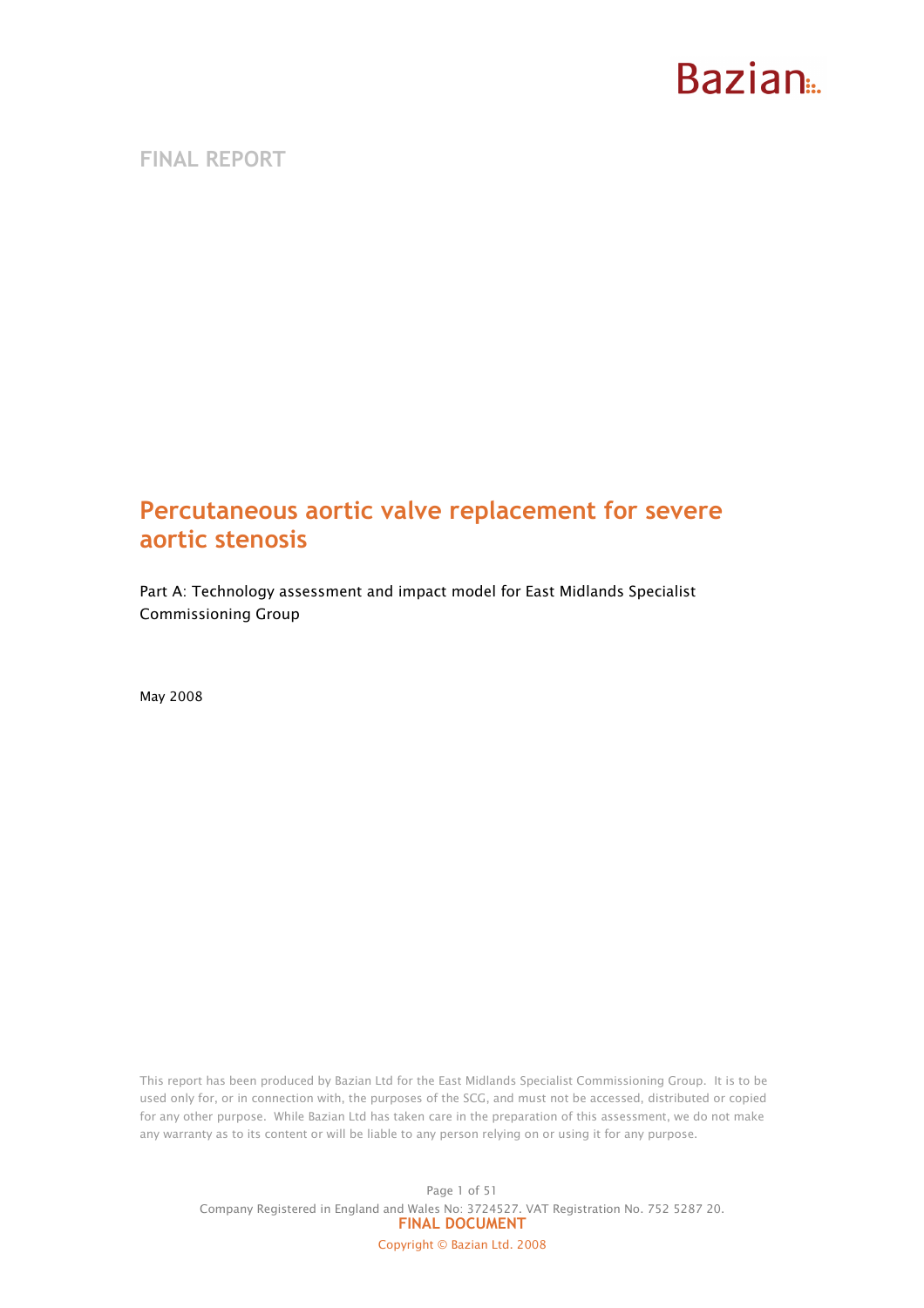FINAL REPORT

### Percutaneous aortic valve replacement for severe aortic stenosis

Part A: Technology assessment and impact model for East Midlands Specialist Commissioning Group

May 2008

This report has been produced by Bazian Ltd for the East Midlands Specialist Commissioning Group. It is to be used only for, or in connection with, the purposes of the SCG, and must not be accessed, distributed or copied for any other purpose. While Bazian Ltd has taken care in the preparation of this assessment, we do not make any warranty as to its content or will be liable to any person relying on or using it for any purpose.

Page 1 of 51 Company Registered in England and Wales No: 3724527. VAT Registration No. 752 5287 20. FINAL DOCUMENT Copyright © Bazian Ltd. 2008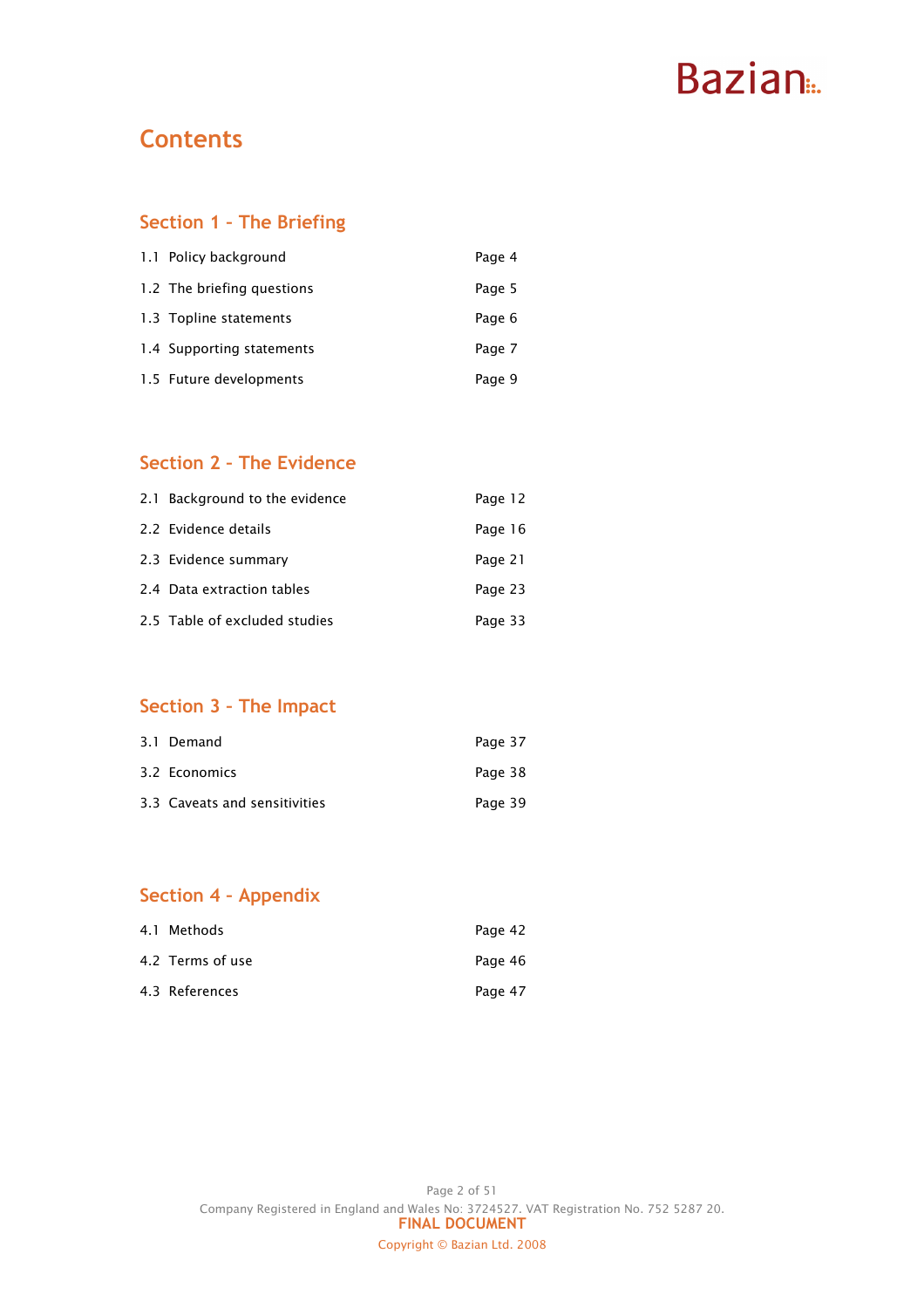# Bazian...

### **Contents**

### Section 1 – The Briefing

| 1.1 Policy background      | Page 4 |
|----------------------------|--------|
| 1.2 The briefing questions | Page 5 |
| 1.3 Topline statements     | Page 6 |
| 1.4 Supporting statements  | Page 7 |
| 1.5 Future developments    | Page 9 |

### Section 2 – The Evidence

| 2.1 Background to the evidence | Page 12 |
|--------------------------------|---------|
| 2.2 Evidence details           | Page 16 |
| 2.3 Evidence summary           | Page 21 |
| 2.4 Data extraction tables     | Page 23 |
| 2.5 Table of excluded studies  | Page 33 |

### Section 3 – The Impact

| 3.1 Demand                    | Page 37 |
|-------------------------------|---------|
| 3.2 Economics                 | Page 38 |
| 3.3 Caveats and sensitivities | Page 39 |

### Section 4 – Appendix

| 4.1 Methods      | Page 42 |
|------------------|---------|
| 4.2 Terms of use | Page 46 |
| 4.3 References   | Page 47 |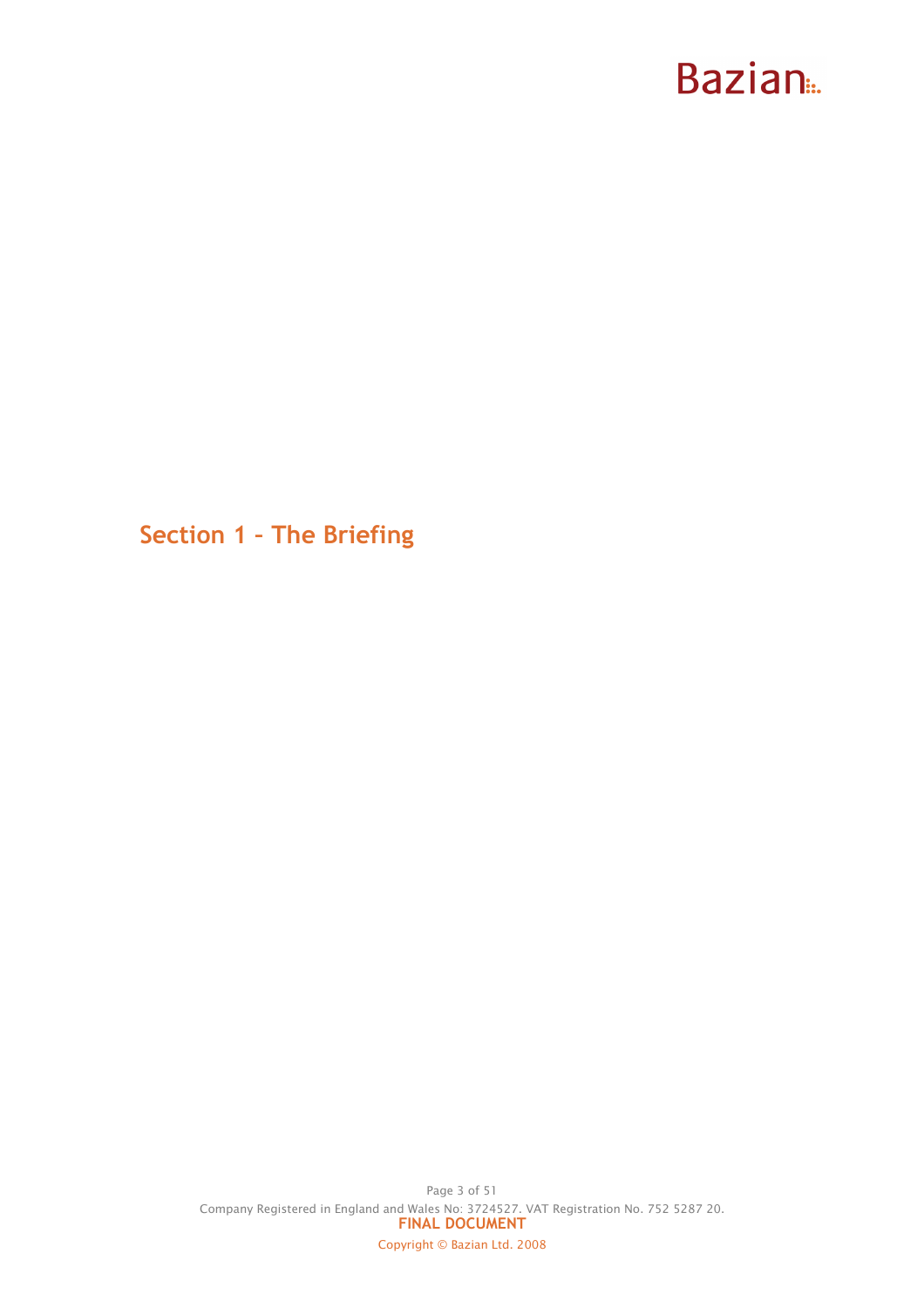Section 1 – The Briefing

Page 3 of 51 Company Registered in England and Wales No: 3724527. VAT Registration No. 752 5287 20. FINAL DOCUMENT Copyright © Bazian Ltd. 2008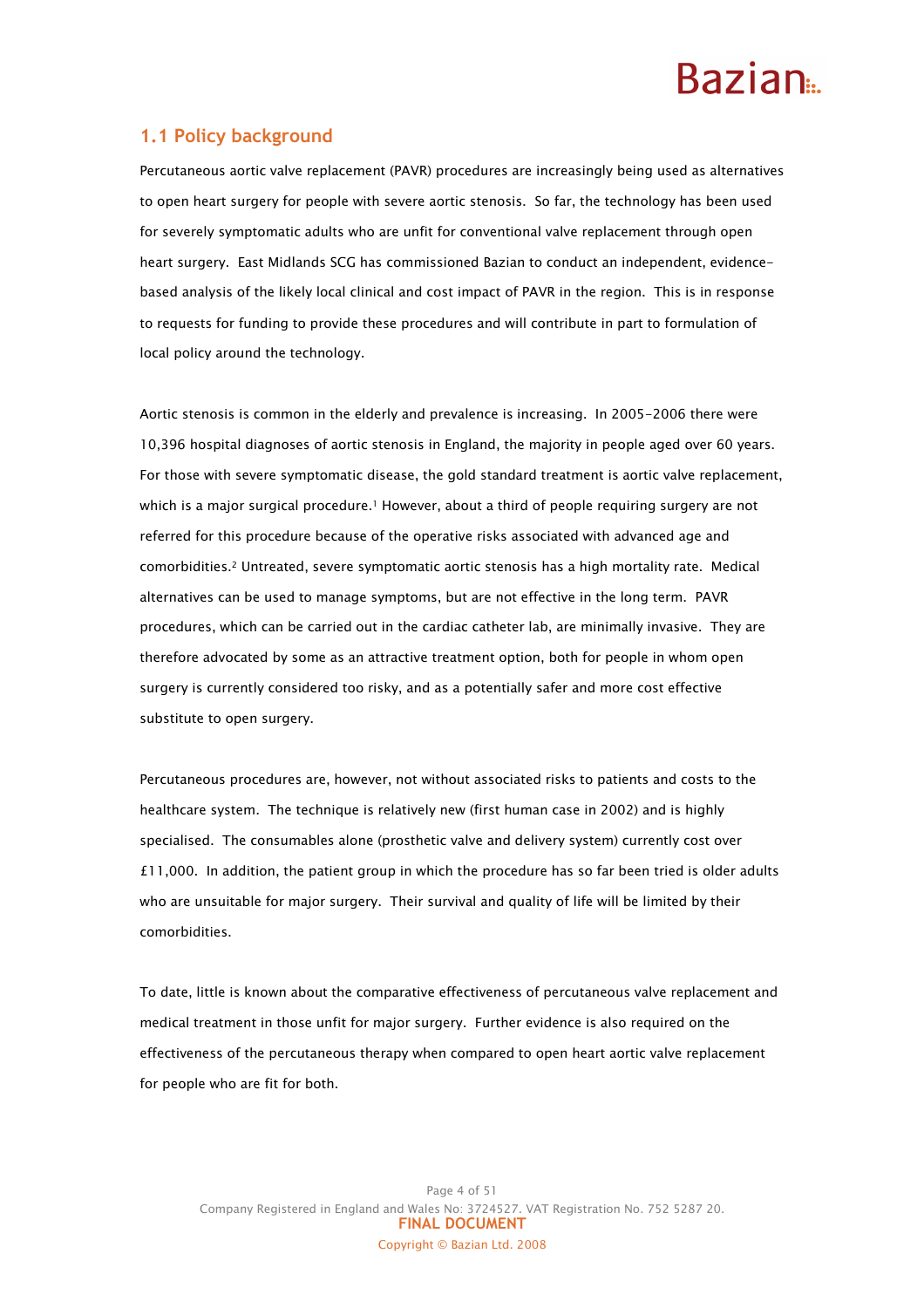### 1.1 Policy background

Percutaneous aortic valve replacement (PAVR) procedures are increasingly being used as alternatives to open heart surgery for people with severe aortic stenosis. So far, the technology has been used for severely symptomatic adults who are unfit for conventional valve replacement through open heart surgery. East Midlands SCG has commissioned Bazian to conduct an independent, evidencebased analysis of the likely local clinical and cost impact of PAVR in the region. This is in response to requests for funding to provide these procedures and will contribute in part to formulation of local policy around the technology.

Aortic stenosis is common in the elderly and prevalence is increasing. In 2005-2006 there were 10,396 hospital diagnoses of aortic stenosis in England, the majority in people aged over 60 years. For those with severe symptomatic disease, the gold standard treatment is aortic valve replacement, which is a major surgical procedure.<sup>1</sup> However, about a third of people requiring surgery are not referred for this procedure because of the operative risks associated with advanced age and comorbidities.2 Untreated, severe symptomatic aortic stenosis has a high mortality rate. Medical alternatives can be used to manage symptoms, but are not effective in the long term. PAVR procedures, which can be carried out in the cardiac catheter lab, are minimally invasive. They are therefore advocated by some as an attractive treatment option, both for people in whom open surgery is currently considered too risky, and as a potentially safer and more cost effective substitute to open surgery.

Percutaneous procedures are, however, not without associated risks to patients and costs to the healthcare system. The technique is relatively new (first human case in 2002) and is highly specialised. The consumables alone (prosthetic valve and delivery system) currently cost over £11,000. In addition, the patient group in which the procedure has so far been tried is older adults who are unsuitable for major surgery. Their survival and quality of life will be limited by their comorbidities.

To date, little is known about the comparative effectiveness of percutaneous valve replacement and medical treatment in those unfit for major surgery. Further evidence is also required on the effectiveness of the percutaneous therapy when compared to open heart aortic valve replacement for people who are fit for both.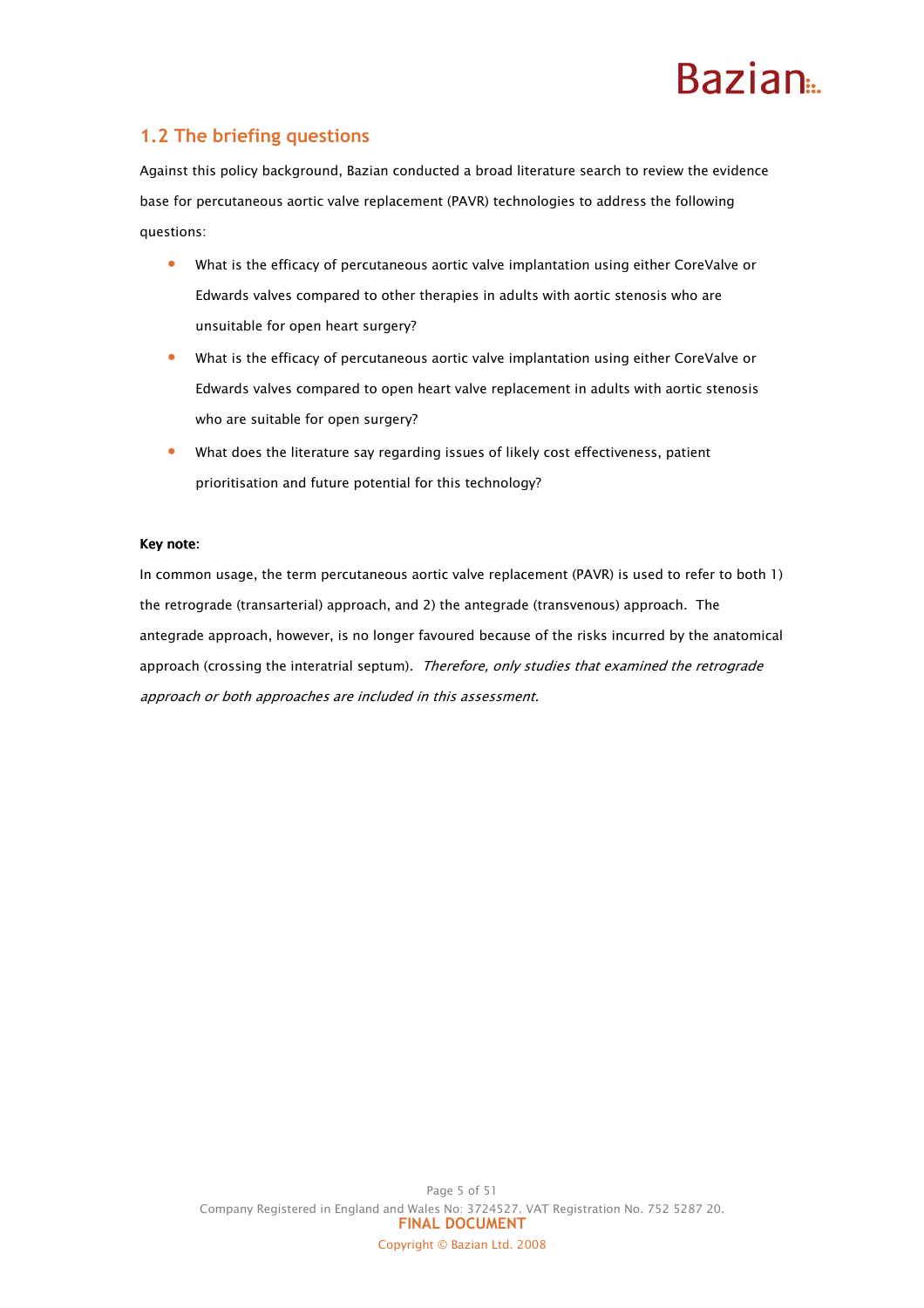### 1.2 The briefing questions

Against this policy background, Bazian conducted a broad literature search to review the evidence base for percutaneous aortic valve replacement (PAVR) technologies to address the following questions:

- What is the efficacy of percutaneous aortic valve implantation using either CoreValve or Edwards valves compared to other therapies in adults with aortic stenosis who are unsuitable for open heart surgery?
- What is the efficacy of percutaneous aortic valve implantation using either CoreValve or Edwards valves compared to open heart valve replacement in adults with aortic stenosis who are suitable for open surgery?
- What does the literature say regarding issues of likely cost effectiveness, patient prioritisation and future potential for this technology?

#### Key note:

In common usage, the term percutaneous aortic valve replacement (PAVR) is used to refer to both 1) the retrograde (transarterial) approach, and 2) the antegrade (transvenous) approach. The antegrade approach, however, is no longer favoured because of the risks incurred by the anatomical approach (crossing the interatrial septum). Therefore, only studies that examined the retrograde approach or both approaches are included in this assessment.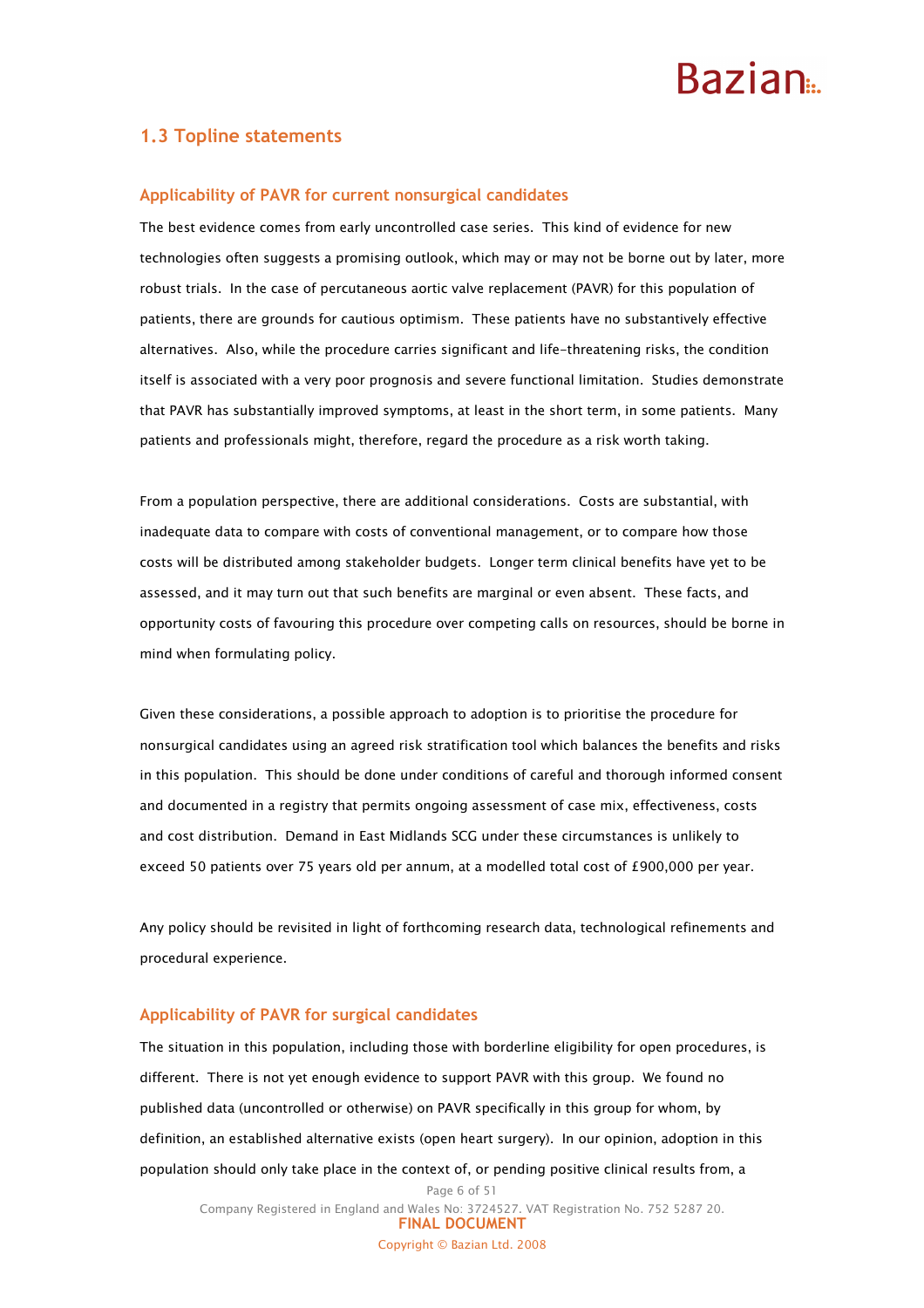### 1.3 Topline statements

#### Applicability of PAVR for current nonsurgical candidates

The best evidence comes from early uncontrolled case series. This kind of evidence for new technologies often suggests a promising outlook, which may or may not be borne out by later, more robust trials. In the case of percutaneous aortic valve replacement (PAVR) for this population of patients, there are grounds for cautious optimism. These patients have no substantively effective alternatives. Also, while the procedure carries significant and life-threatening risks, the condition itself is associated with a very poor prognosis and severe functional limitation. Studies demonstrate that PAVR has substantially improved symptoms, at least in the short term, in some patients. Many patients and professionals might, therefore, regard the procedure as a risk worth taking.

From a population perspective, there are additional considerations. Costs are substantial, with inadequate data to compare with costs of conventional management, or to compare how those costs will be distributed among stakeholder budgets. Longer term clinical benefits have yet to be assessed, and it may turn out that such benefits are marginal or even absent. These facts, and opportunity costs of favouring this procedure over competing calls on resources, should be borne in mind when formulating policy.

Given these considerations, a possible approach to adoption is to prioritise the procedure for nonsurgical candidates using an agreed risk stratification tool which balances the benefits and risks in this population. This should be done under conditions of careful and thorough informed consent and documented in a registry that permits ongoing assessment of case mix, effectiveness, costs and cost distribution. Demand in East Midlands SCG under these circumstances is unlikely to exceed 50 patients over 75 years old per annum, at a modelled total cost of £900,000 per year.

Any policy should be revisited in light of forthcoming research data, technological refinements and procedural experience.

#### Applicability of PAVR for surgical candidates

The situation in this population, including those with borderline eligibility for open procedures, is different. There is not yet enough evidence to support PAVR with this group. We found no published data (uncontrolled or otherwise) on PAVR specifically in this group for whom, by definition, an established alternative exists (open heart surgery). In our opinion, adoption in this population should only take place in the context of, or pending positive clinical results from, a

Page 6 of 51 Company Registered in England and Wales No: 3724527. VAT Registration No. 752 5287 20. FINAL DOCUMENT Copyright © Bazian Ltd. 2008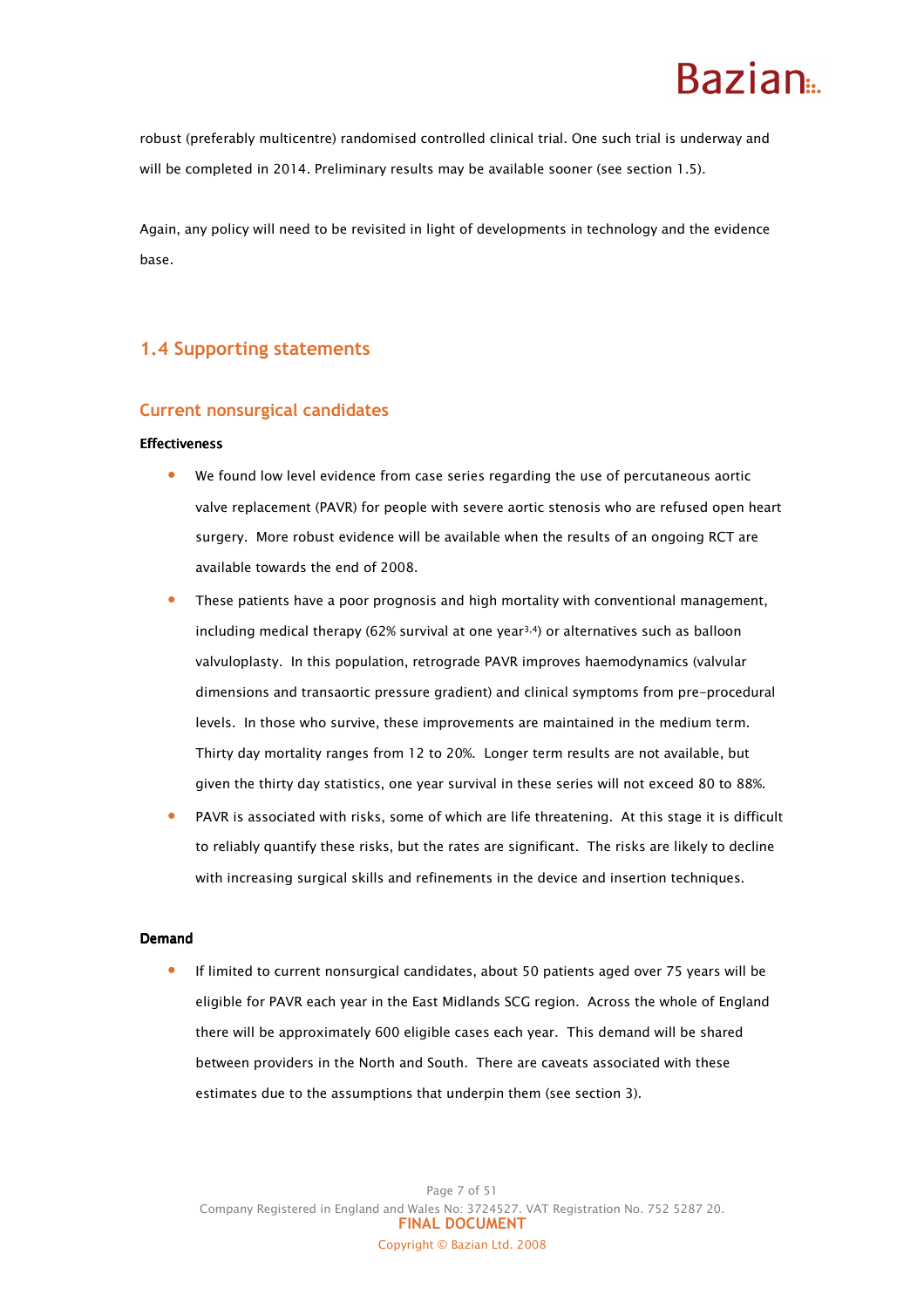### **Razian**

robust (preferably multicentre) randomised controlled clinical trial. One such trial is underway and will be completed in 2014. Preliminary results may be available sooner (see section 1.5).

Again, any policy will need to be revisited in light of developments in technology and the evidence base.

### 1.4 Supporting statements

### Current nonsurgical candidates

#### **Effectiveness**

- We found low level evidence from case series regarding the use of percutaneous aortic valve replacement (PAVR) for people with severe aortic stenosis who are refused open heart surgery. More robust evidence will be available when the results of an ongoing RCT are available towards the end of 2008.
- These patients have a poor prognosis and high mortality with conventional management, including medical therapy (62% survival at one year<sup>3,4</sup>) or alternatives such as balloon valvuloplasty. In this population, retrograde PAVR improves haemodynamics (valvular dimensions and transaortic pressure gradient) and clinical symptoms from pre-procedural levels. In those who survive, these improvements are maintained in the medium term. Thirty day mortality ranges from 12 to 20%. Longer term results are not available, but given the thirty day statistics, one year survival in these series will not exceed 80 to 88%.
- PAVR is associated with risks, some of which are life threatening. At this stage it is difficult to reliably quantify these risks, but the rates are significant. The risks are likely to decline with increasing surgical skills and refinements in the device and insertion techniques.

#### Demand

• If limited to current nonsurgical candidates, about 50 patients aged over 75 years will be eligible for PAVR each year in the East Midlands SCG region. Across the whole of England there will be approximately 600 eligible cases each year. This demand will be shared between providers in the North and South. There are caveats associated with these estimates due to the assumptions that underpin them (see section 3).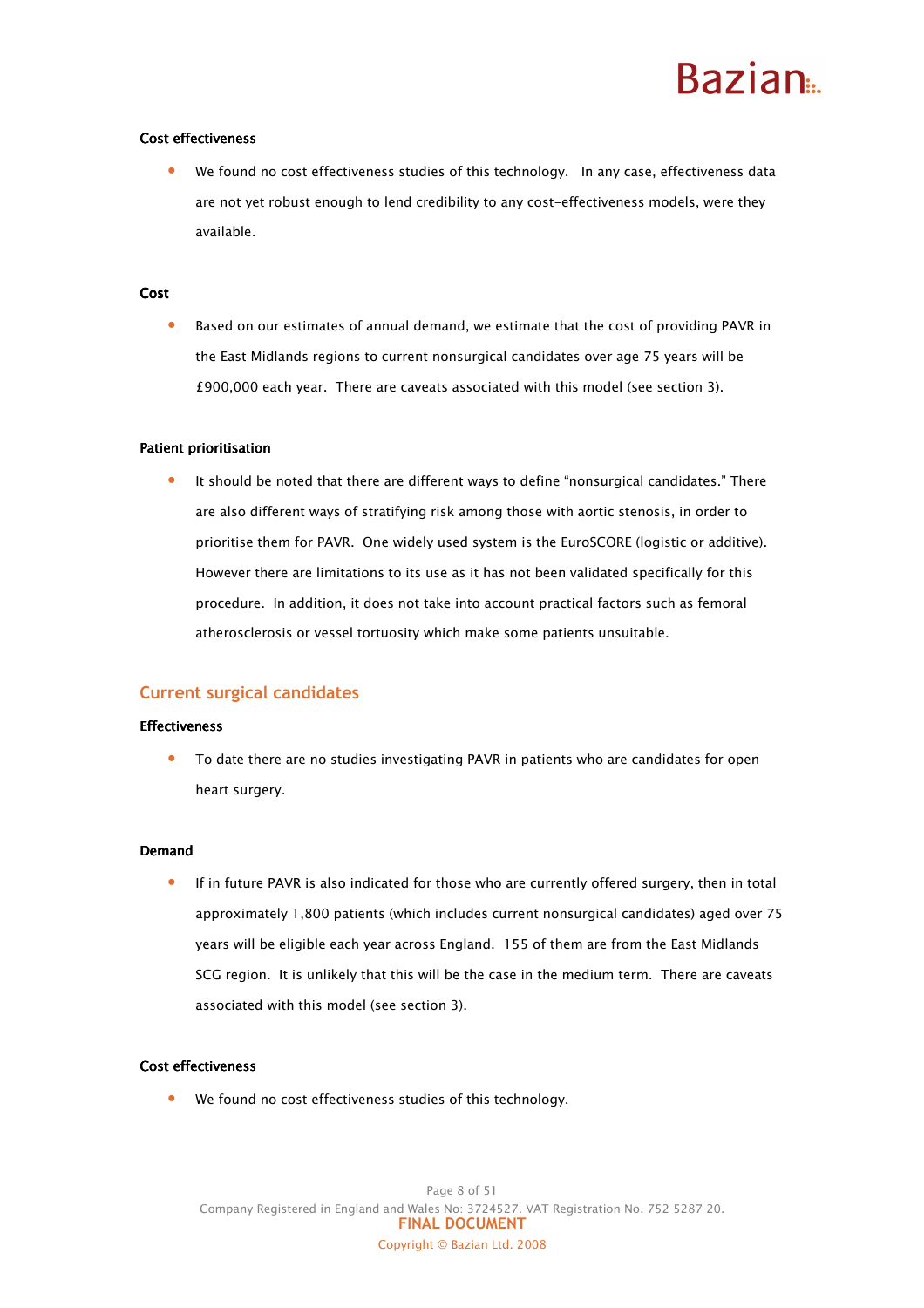#### Cost effectiveness

We found no cost effectiveness studies of this technology. In any case, effectiveness data are not yet robust enough to lend credibility to any cost-effectiveness models, were they available.

#### **Cost**

• Based on our estimates of annual demand, we estimate that the cost of providing PAVR in the East Midlands regions to current nonsurgical candidates over age 75 years will be £900,000 each year. There are caveats associated with this model (see section 3).

#### Patient prioritisation

It should be noted that there are different ways to define "nonsurgical candidates." There are also different ways of stratifying risk among those with aortic stenosis, in order to prioritise them for PAVR. One widely used system is the EuroSCORE (logistic or additive). However there are limitations to its use as it has not been validated specifically for this procedure. In addition, it does not take into account practical factors such as femoral atherosclerosis or vessel tortuosity which make some patients unsuitable.

#### Current surgical candidates

#### **Effectiveness**

• To date there are no studies investigating PAVR in patients who are candidates for open heart surgery.

#### Demand

• If in future PAVR is also indicated for those who are currently offered surgery, then in total approximately 1,800 patients (which includes current nonsurgical candidates) aged over 75 years will be eligible each year across England. 155 of them are from the East Midlands SCG region. It is unlikely that this will be the case in the medium term. There are caveats associated with this model (see section 3).

#### Cost effectiveness

We found no cost effectiveness studies of this technology.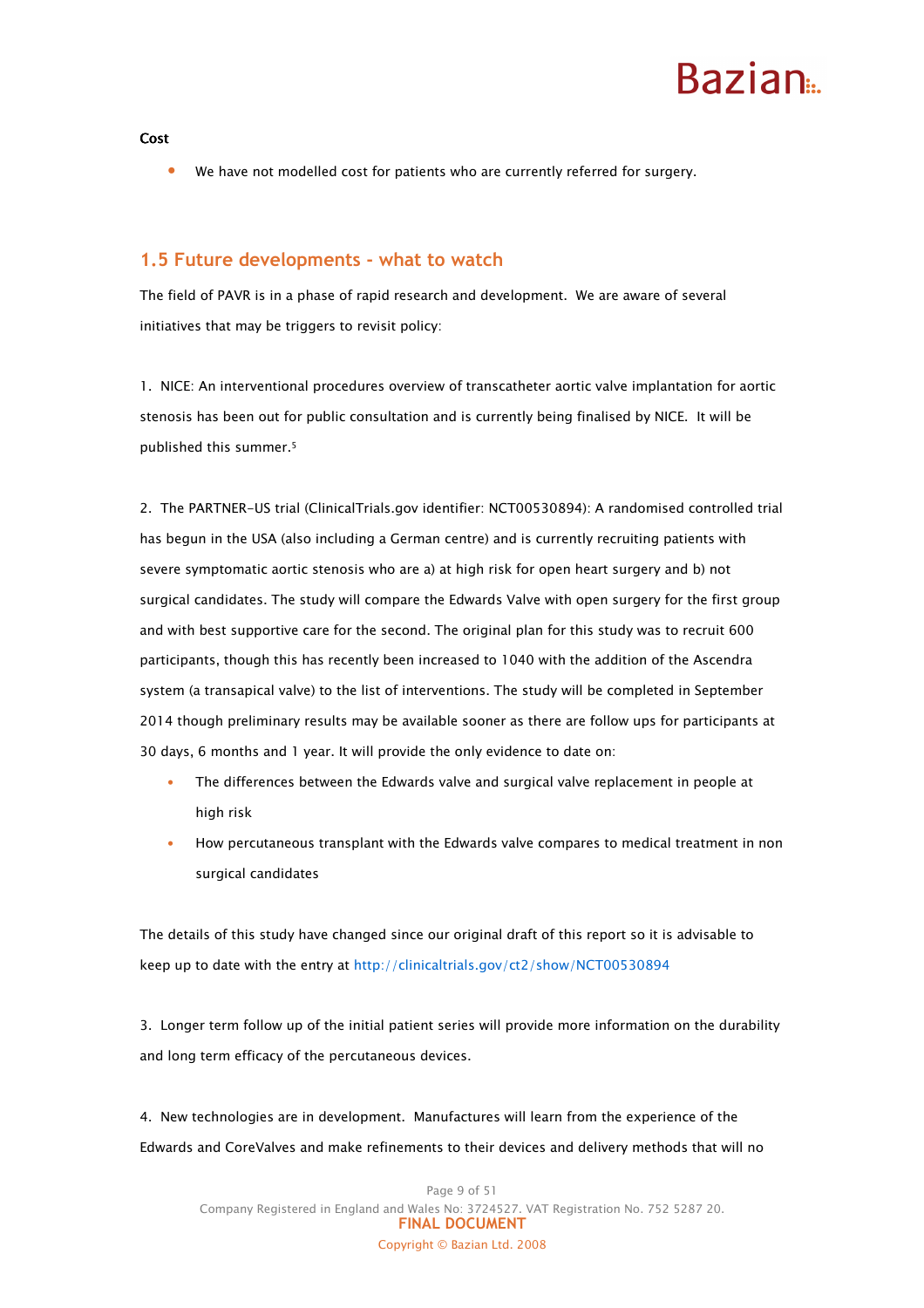## **Razian**

Cost

We have not modelled cost for patients who are currently referred for surgery.

### 1.5 Future developments - what to watch

The field of PAVR is in a phase of rapid research and development. We are aware of several initiatives that may be triggers to revisit policy:

1. NICE: An interventional procedures overview of transcatheter aortic valve implantation for aortic stenosis has been out for public consultation and is currently being finalised by NICE. It will be published this summer.<sup>5</sup>

2. The PARTNER-US trial (ClinicalTrials.gov identifier: NCT00530894): A randomised controlled trial has begun in the USA (also including a German centre) and is currently recruiting patients with severe symptomatic aortic stenosis who are a) at high risk for open heart surgery and b) not surgical candidates. The study will compare the Edwards Valve with open surgery for the first group and with best supportive care for the second. The original plan for this study was to recruit 600 participants, though this has recently been increased to 1040 with the addition of the Ascendra system (a transapical valve) to the list of interventions. The study will be completed in September 2014 though preliminary results may be available sooner as there are follow ups for participants at 30 days, 6 months and 1 year. It will provide the only evidence to date on:

- The differences between the Edwards valve and surgical valve replacement in people at high risk
- How percutaneous transplant with the Edwards valve compares to medical treatment in non surgical candidates

The details of this study have changed since our original draft of this report so it is advisable to keep up to date with the entry at http://clinicaltrials.gov/ct2/show/NCT00530894

3. Longer term follow up of the initial patient series will provide more information on the durability and long term efficacy of the percutaneous devices.

4. New technologies are in development. Manufactures will learn from the experience of the Edwards and CoreValves and make refinements to their devices and delivery methods that will no

Page 9 of 51 Company Registered in England and Wales No: 3724527. VAT Registration No. 752 5287 20. FINAL DOCUMENT Copyright © Bazian Ltd. 2008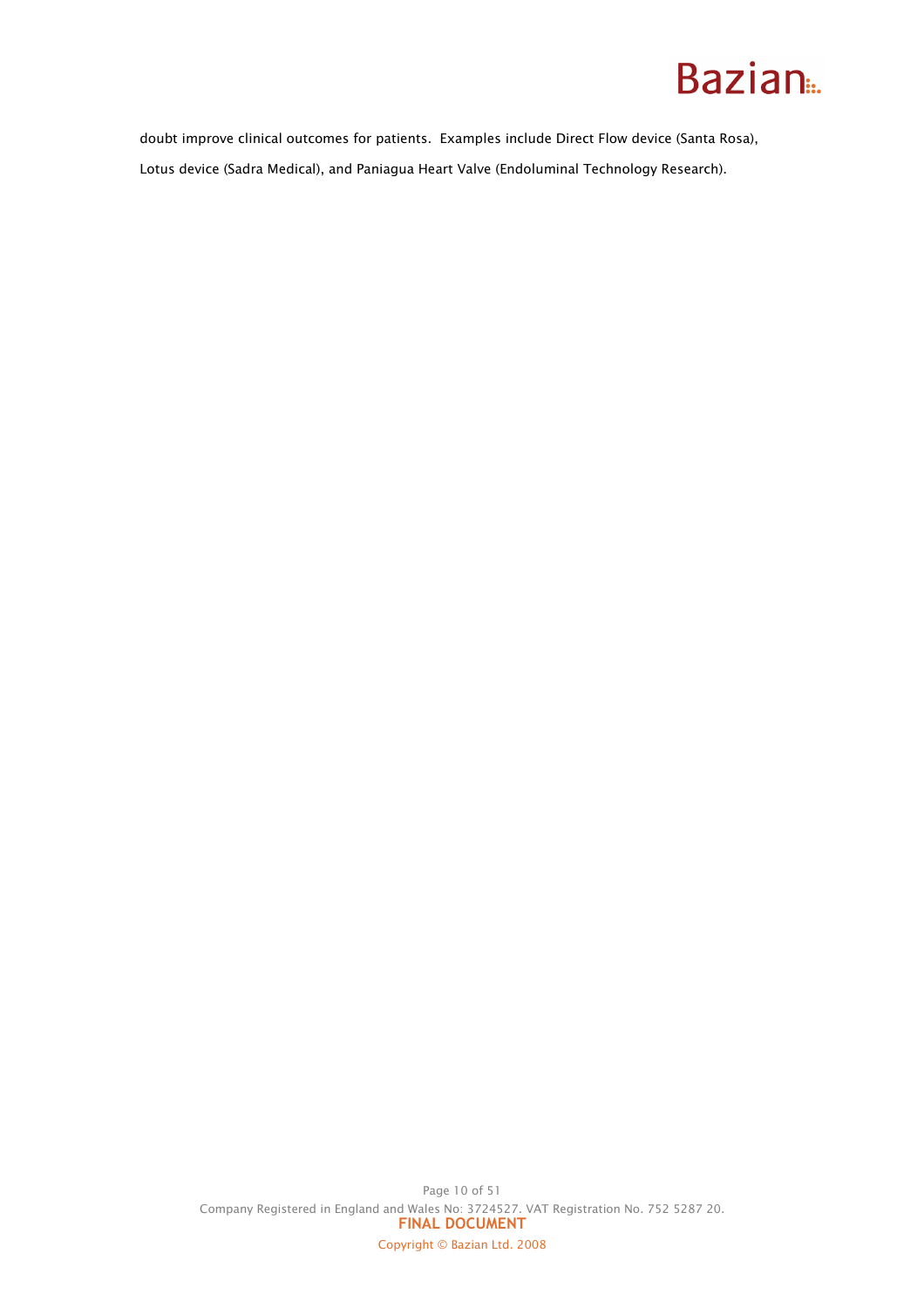doubt improve clinical outcomes for patients. Examples include Direct Flow device (Santa Rosa), Lotus device (Sadra Medical), and Paniagua Heart Valve (Endoluminal Technology Research).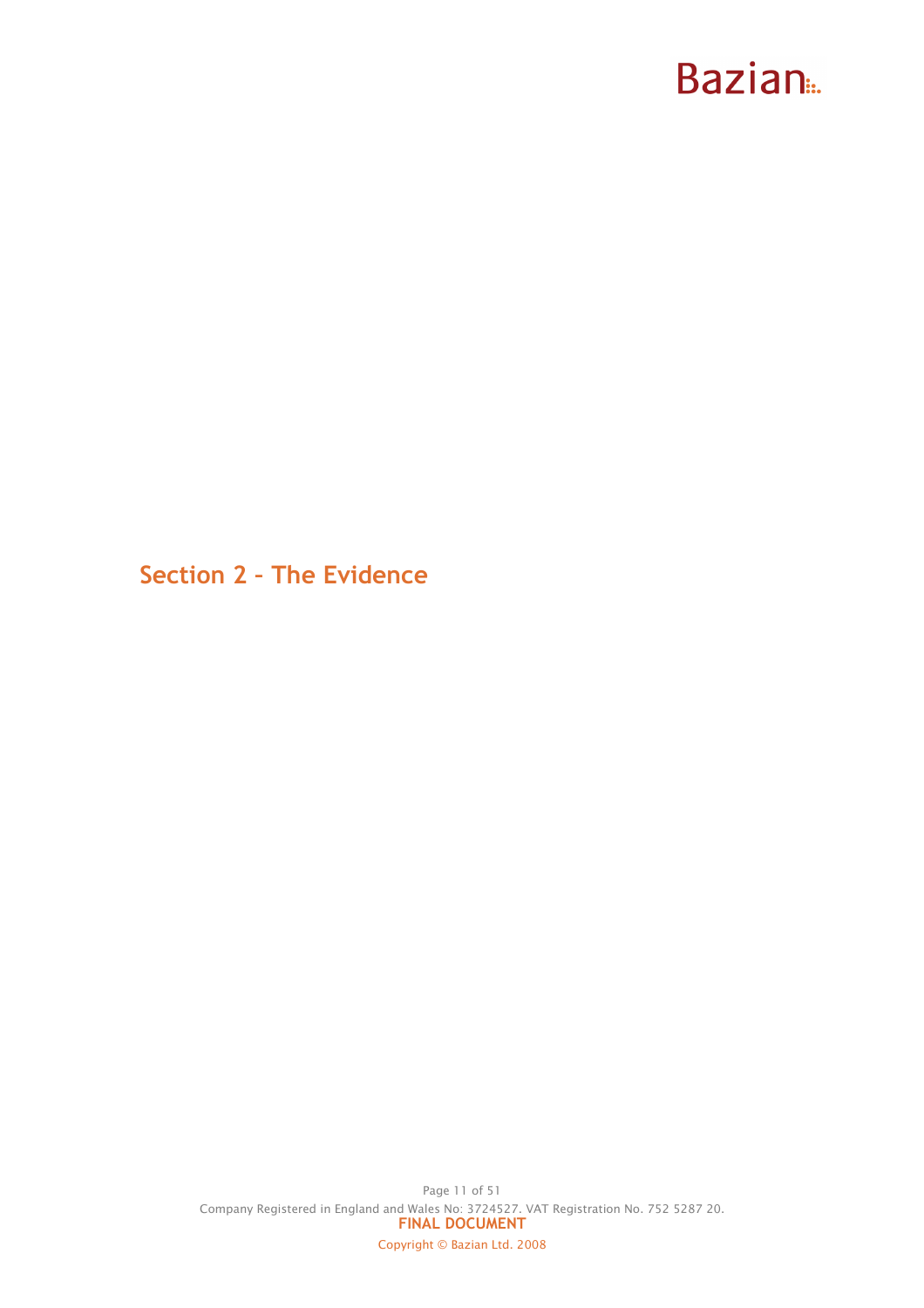Section 2 – The Evidence

Page 11 of 51 Company Registered in England and Wales No: 3724527. VAT Registration No. 752 5287 20. FINAL DOCUMENT Copyright © Bazian Ltd. 2008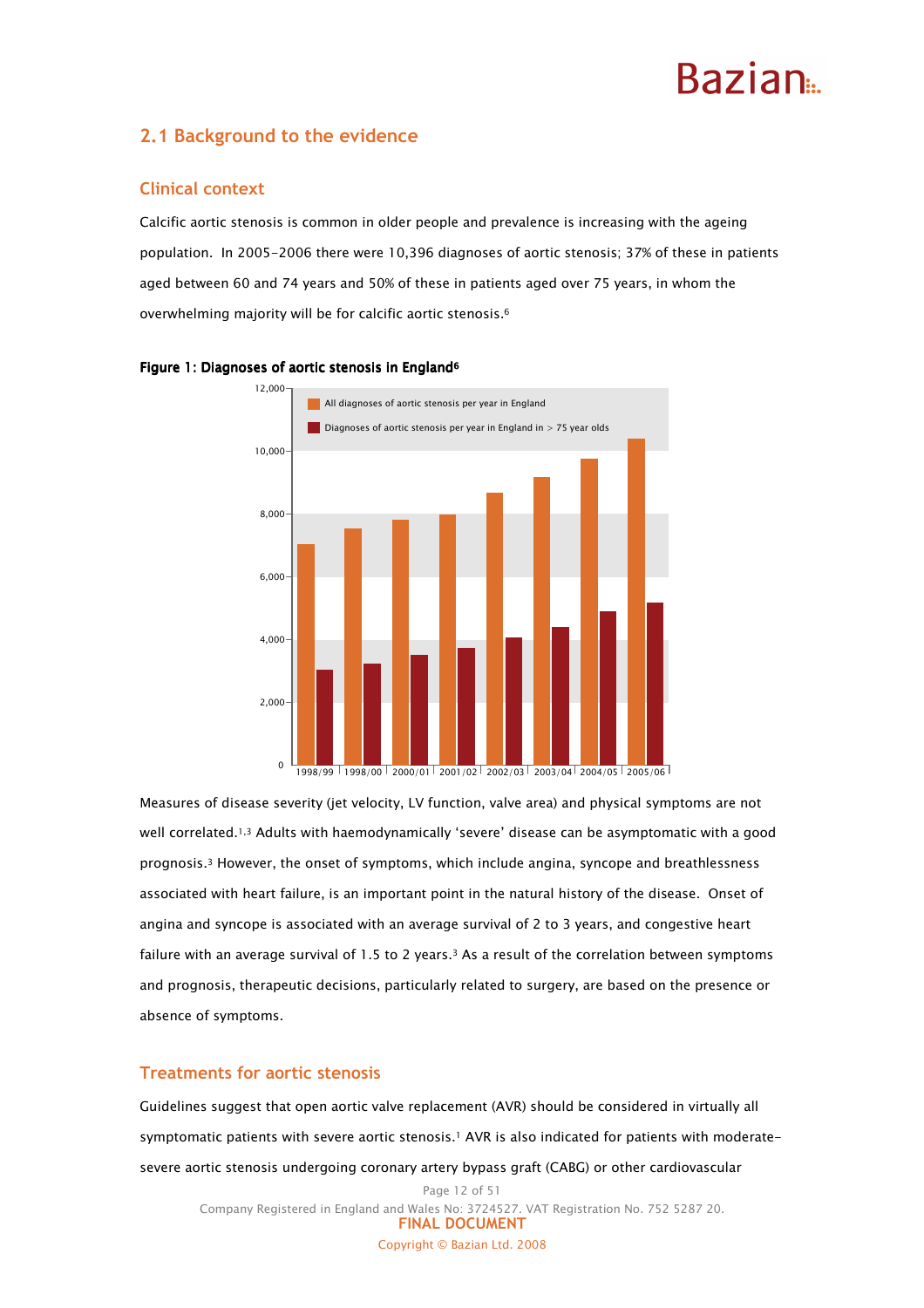### 2.1 Background to the evidence

### Clinical context

Calcific aortic stenosis is common in older people and prevalence is increasing with the ageing population. In 2005-2006 there were 10,396 diagnoses of aortic stenosis; 37% of these in patients aged between 60 and 74 years and 50% of these in patients aged over 75 years, in whom the overwhelming majority will be for calcific aortic stenosis.<sup>6</sup>



#### Figure 1: Diagnoses of aortic stenosis in England<sup>6</sup>

Measures of disease severity (jet velocity, LV function, valve area) and physical symptoms are not well correlated.1,3 Adults with haemodynamically 'severe' disease can be asymptomatic with a good prognosis.3 However, the onset of symptoms, which include angina, syncope and breathlessness associated with heart failure, is an important point in the natural history of the disease. Onset of angina and syncope is associated with an average survival of 2 to 3 years, and congestive heart failure with an average survival of 1.5 to 2 years.<sup>3</sup> As a result of the correlation between symptoms and prognosis, therapeutic decisions, particularly related to surgery, are based on the presence or absence of symptoms.

#### Treatments for aortic stenosis

Guidelines suggest that open aortic valve replacement (AVR) should be considered in virtually all symptomatic patients with severe aortic stenosis.1 AVR is also indicated for patients with moderatesevere aortic stenosis undergoing coronary artery bypass graft (CABG) or other cardiovascular

Page 12 of 51 Company Registered in England and Wales No: 3724527. VAT Registration No. 752 5287 20. FINAL DOCUMENT Copyright © Bazian Ltd. 2008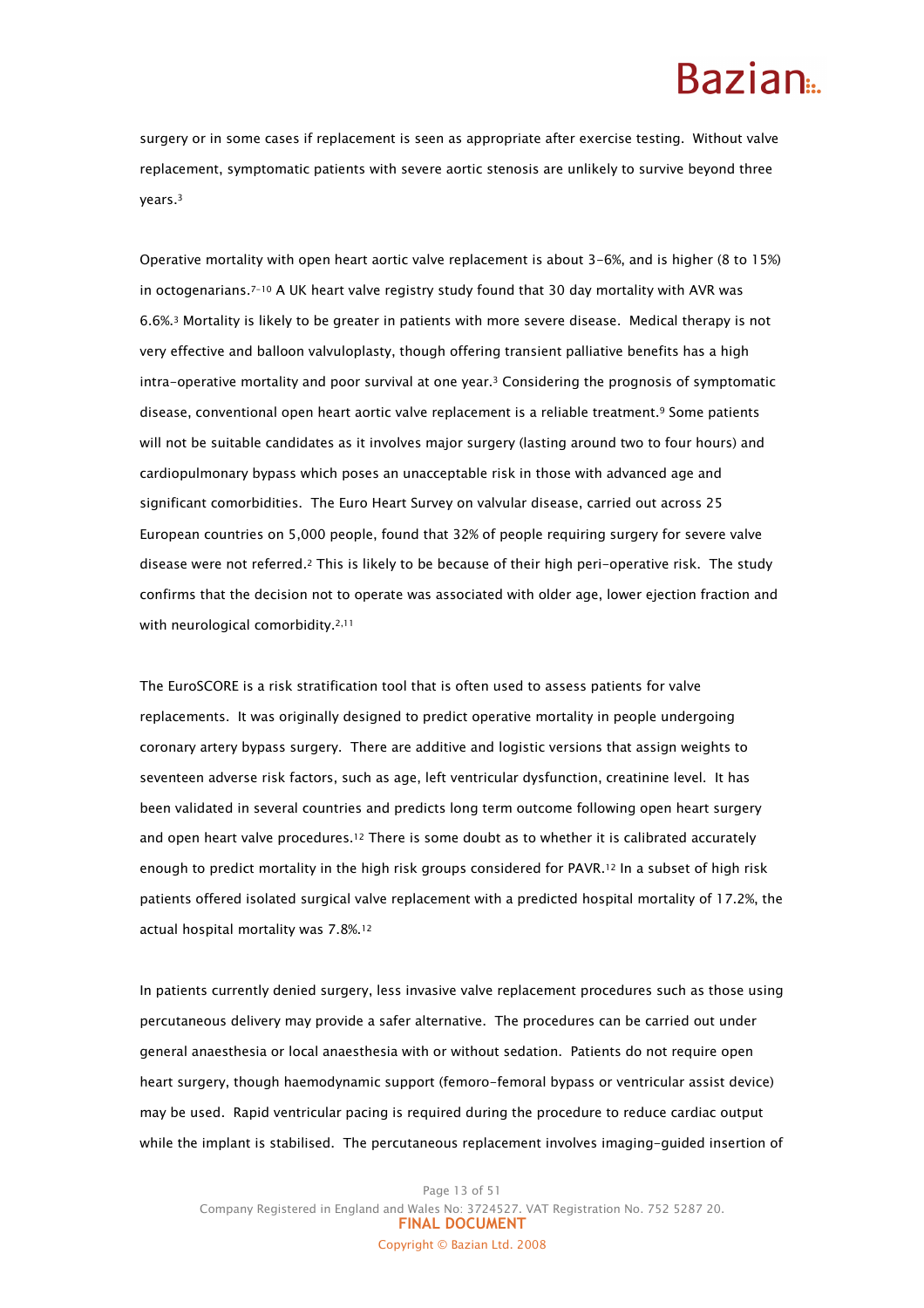### Razian<sub>a</sub>

surgery or in some cases if replacement is seen as appropriate after exercise testing. Without valve replacement, symptomatic patients with severe aortic stenosis are unlikely to survive beyond three years.<sup>3</sup>

Operative mortality with open heart aortic valve replacement is about 3-6%, and is higher (8 to 15%) in octogenarians.7-10 A UK heart valve registry study found that 30 day mortality with AVR was 6.6%.3 Mortality is likely to be greater in patients with more severe disease. Medical therapy is not very effective and balloon valvuloplasty, though offering transient palliative benefits has a high intra-operative mortality and poor survival at one year.3 Considering the prognosis of symptomatic disease, conventional open heart aortic valve replacement is a reliable treatment.9 Some patients will not be suitable candidates as it involves major surgery (lasting around two to four hours) and cardiopulmonary bypass which poses an unacceptable risk in those with advanced age and significant comorbidities. The Euro Heart Survey on valvular disease, carried out across 25 European countries on 5,000 people, found that 32% of people requiring surgery for severe valve disease were not referred.2 This is likely to be because of their high peri-operative risk. The study confirms that the decision not to operate was associated with older age, lower ejection fraction and with neurological comorbidity.<sup>2,11</sup>

The EuroSCORE is a risk stratification tool that is often used to assess patients for valve replacements. It was originally designed to predict operative mortality in people undergoing coronary artery bypass surgery. There are additive and logistic versions that assign weights to seventeen adverse risk factors, such as age, left ventricular dysfunction, creatinine level. It has been validated in several countries and predicts long term outcome following open heart surgery and open heart valve procedures.<sup>12</sup> There is some doubt as to whether it is calibrated accurately enough to predict mortality in the high risk groups considered for PAVR.12 In a subset of high risk patients offered isolated surgical valve replacement with a predicted hospital mortality of 17.2%, the actual hospital mortality was 7.8%.<sup>12</sup>

In patients currently denied surgery, less invasive valve replacement procedures such as those using percutaneous delivery may provide a safer alternative. The procedures can be carried out under general anaesthesia or local anaesthesia with or without sedation. Patients do not require open heart surgery, though haemodynamic support (femoro-femoral bypass or ventricular assist device) may be used. Rapid ventricular pacing is required during the procedure to reduce cardiac output while the implant is stabilised. The percutaneous replacement involves imaging-guided insertion of

Page 13 of 51 Company Registered in England and Wales No: 3724527. VAT Registration No. 752 5287 20. FINAL DOCUMENT Copyright © Bazian Ltd. 2008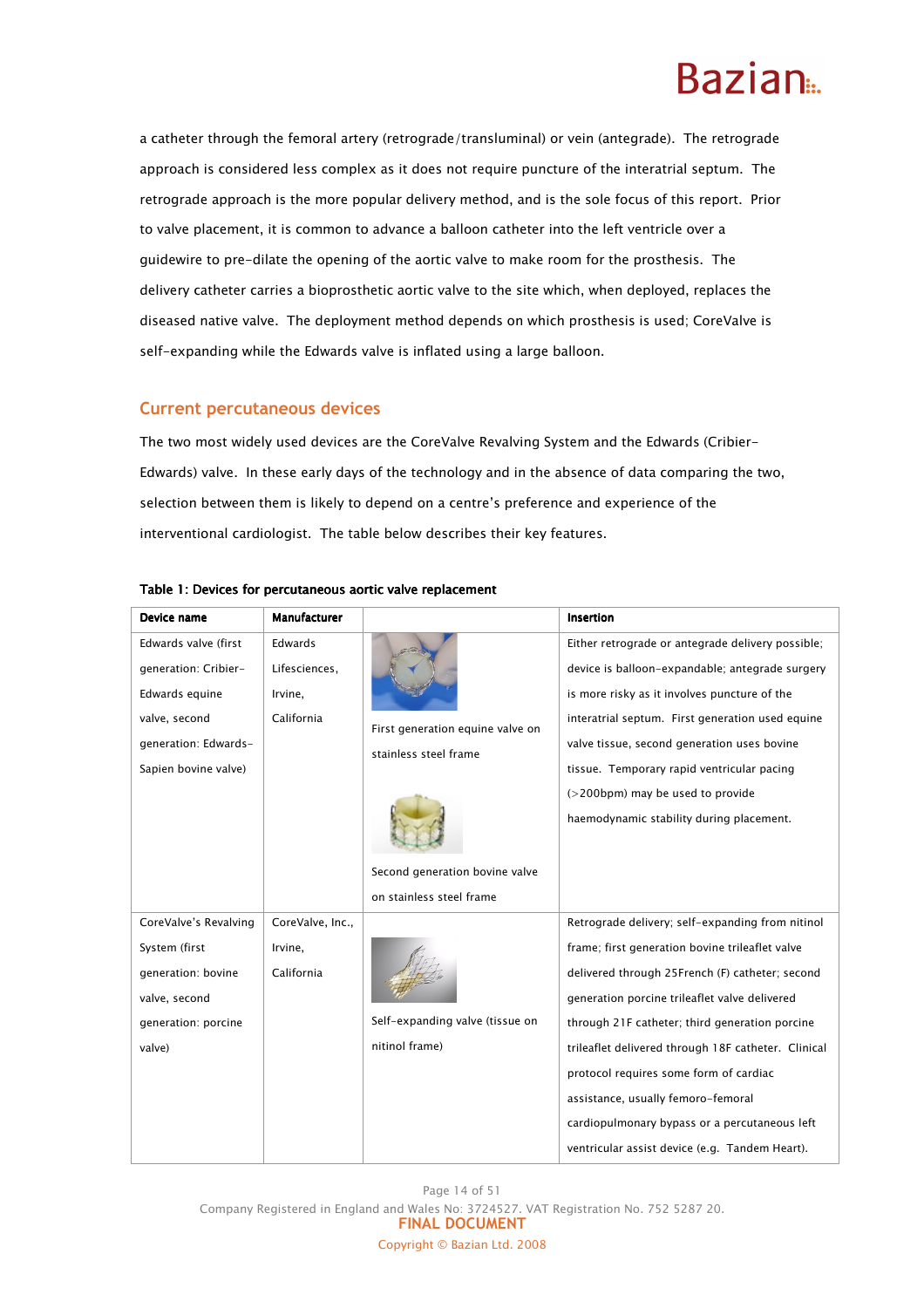a catheter through the femoral artery (retrograde/transluminal) or vein (antegrade). The retrograde approach is considered less complex as it does not require puncture of the interatrial septum. The retrograde approach is the more popular delivery method, and is the sole focus of this report. Prior to valve placement, it is common to advance a balloon catheter into the left ventricle over a guidewire to pre-dilate the opening of the aortic valve to make room for the prosthesis. The delivery catheter carries a bioprosthetic aortic valve to the site which, when deployed, replaces the diseased native valve. The deployment method depends on which prosthesis is used; CoreValve is self-expanding while the Edwards valve is inflated using a large balloon.

### Current percutaneous devices

The two most widely used devices are the CoreValve Revalving System and the Edwards (Cribier-Edwards) valve. In these early days of the technology and in the absence of data comparing the two, selection between them is likely to depend on a centre's preference and experience of the interventional cardiologist. The table below describes their key features.

| Device name           | <b>Manufacturer</b> |                                  | Insertion                                           |
|-----------------------|---------------------|----------------------------------|-----------------------------------------------------|
| Edwards valve (first  | Edwards             |                                  | Either retrograde or antegrade delivery possible;   |
| generation: Cribier-  | Lifesciences,       |                                  | device is balloon-expandable; antegrade surgery     |
| Edwards equine        | Irvine,             |                                  | is more risky as it involves puncture of the        |
| valve, second         | California          | First generation equine valve on | interatrial septum. First generation used equine    |
| generation: Edwards-  |                     | stainless steel frame            | valve tissue, second generation uses bovine         |
| Sapien bovine valve)  |                     |                                  | tissue. Temporary rapid ventricular pacing          |
|                       |                     |                                  | (>200bpm) may be used to provide                    |
|                       |                     |                                  | haemodynamic stability during placement.            |
|                       |                     |                                  |                                                     |
|                       |                     | Second generation bovine valve   |                                                     |
|                       |                     | on stainless steel frame         |                                                     |
| CoreValve's Revalving | CoreValve, Inc.,    |                                  | Retrograde delivery; self-expanding from nitinol    |
| System (first         | Irvine,             |                                  | frame; first generation bovine trileaflet valve     |
| generation: bovine    | California          |                                  | delivered through 25French (F) catheter; second     |
| valve, second         |                     |                                  | generation porcine trileaflet valve delivered       |
| generation: porcine   |                     | Self-expanding valve (tissue on  | through 21F catheter; third generation porcine      |
| valve)                |                     | nitinol frame)                   | trileaflet delivered through 18F catheter. Clinical |
|                       |                     |                                  | protocol requires some form of cardiac              |
|                       |                     |                                  | assistance, usually femoro-femoral                  |
|                       |                     |                                  | cardiopulmonary bypass or a percutaneous left       |
|                       |                     |                                  | ventricular assist device (e.g. Tandem Heart).      |

#### Table 1: Devices for percutaneous aortic valve replacement

Page 14 of 51 Company Registered in England and Wales No: 3724527. VAT Registration No. 752 5287 20. FINAL DOCUMENT Copyright © Bazian Ltd. 2008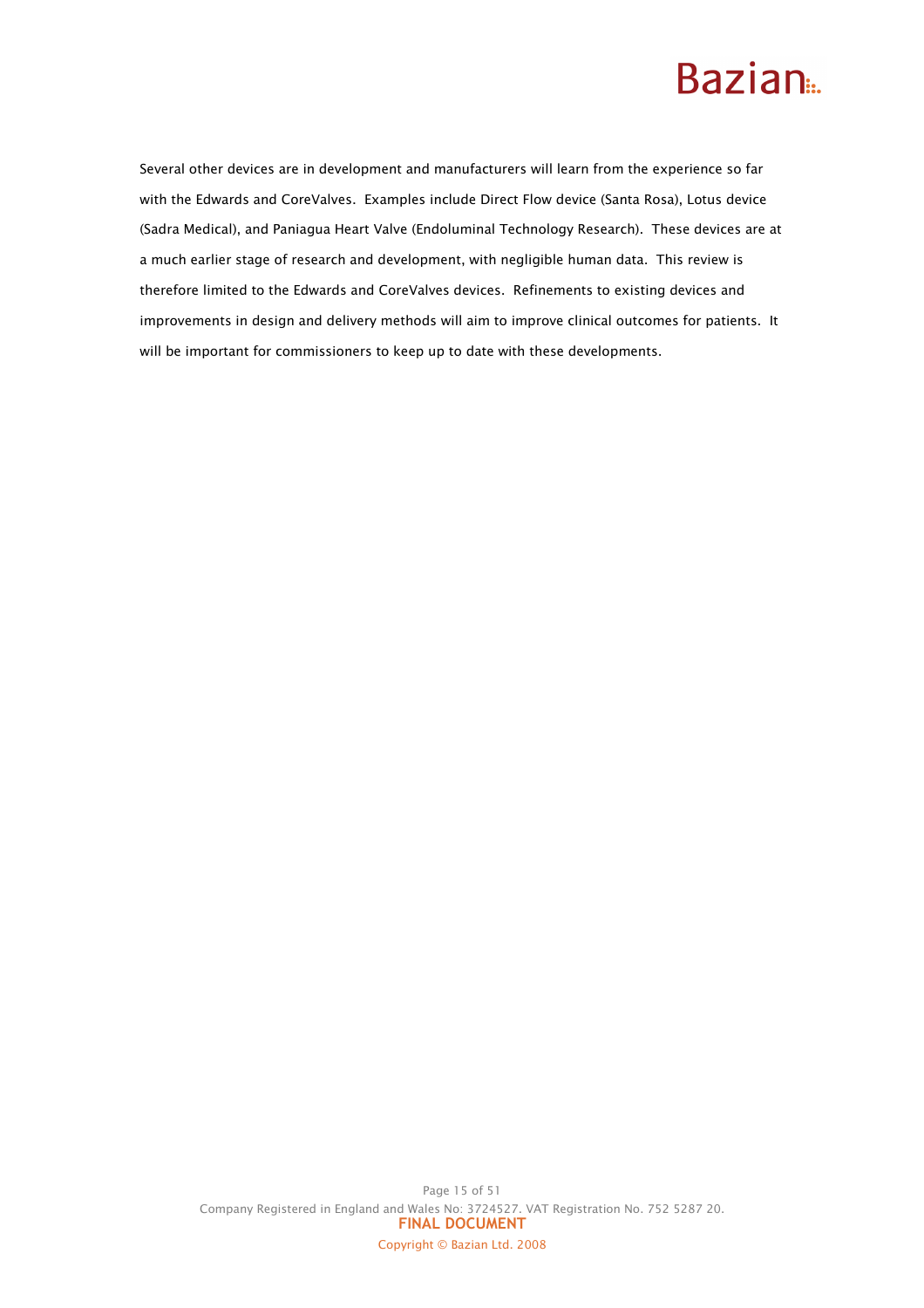Several other devices are in development and manufacturers will learn from the experience so far with the Edwards and CoreValves. Examples include Direct Flow device (Santa Rosa), Lotus device (Sadra Medical), and Paniagua Heart Valve (Endoluminal Technology Research). These devices are at a much earlier stage of research and development, with negligible human data. This review is therefore limited to the Edwards and CoreValves devices. Refinements to existing devices and improvements in design and delivery methods will aim to improve clinical outcomes for patients. It will be important for commissioners to keep up to date with these developments.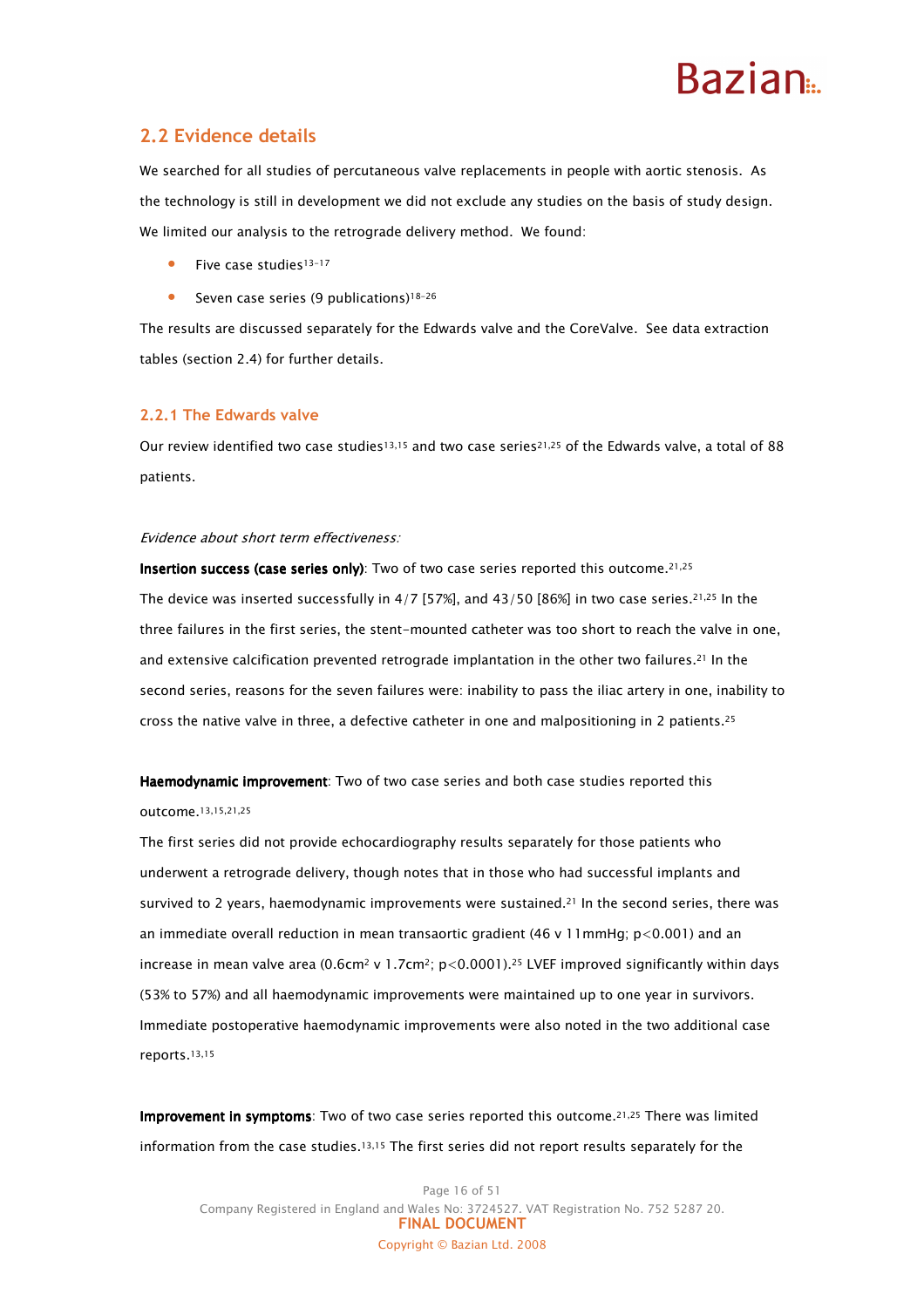### **Razian**

### 2.2 Evidence details

We searched for all studies of percutaneous valve replacements in people with aortic stenosis. As the technology is still in development we did not exclude any studies on the basis of study design. We limited our analysis to the retrograde delivery method. We found:

- Five case studies13-17
- Seven case series (9 publications)<sup>18-26</sup>

The results are discussed separately for the Edwards valve and the CoreValve. See data extraction tables (section 2.4) for further details.

#### 2.2.1 The Edwards valve

Our review identified two case studies<sup>13,15</sup> and two case series<sup>21,25</sup> of the Edwards valve, a total of 88 patients.

#### Evidence about short term effectiveness:

Insertion success (case series only): Two of two case series reported this outcome.<sup>21,25</sup> The device was inserted successfully in  $4/7$  [57%], and  $43/50$  [86%] in two case series.<sup>21,25</sup> In the three failures in the first series, the stent-mounted catheter was too short to reach the valve in one, and extensive calcification prevented retrograde implantation in the other two failures.21 In the second series, reasons for the seven failures were: inability to pass the iliac artery in one, inability to cross the native valve in three, a defective catheter in one and malpositioning in 2 patients.<sup>25</sup>

Haemodynamic improvement: Two of two case series and both case studies reported this outcome.13,15,21,25

The first series did not provide echocardiography results separately for those patients who underwent a retrograde delivery, though notes that in those who had successful implants and survived to 2 years, haemodynamic improvements were sustained.<sup>21</sup> In the second series, there was an immediate overall reduction in mean transaortic gradient (46 v 11mmHg; p<0.001) and an increase in mean valve area (0.6cm<sup>2</sup> v 1.7cm<sup>2</sup>; p<0.0001).<sup>25</sup> LVEF improved significantly within days (53% to 57%) and all haemodynamic improvements were maintained up to one year in survivors. Immediate postoperative haemodynamic improvements were also noted in the two additional case reports.13,15

Improvement in symptoms: Two of two case series reported this outcome.<sup>21,25</sup> There was limited information from the case studies.13,15 The first series did not report results separately for the

Page 16 of 51 Company Registered in England and Wales No: 3724527. VAT Registration No. 752 5287 20. FINAL DOCUMENT Copyright © Bazian Ltd. 2008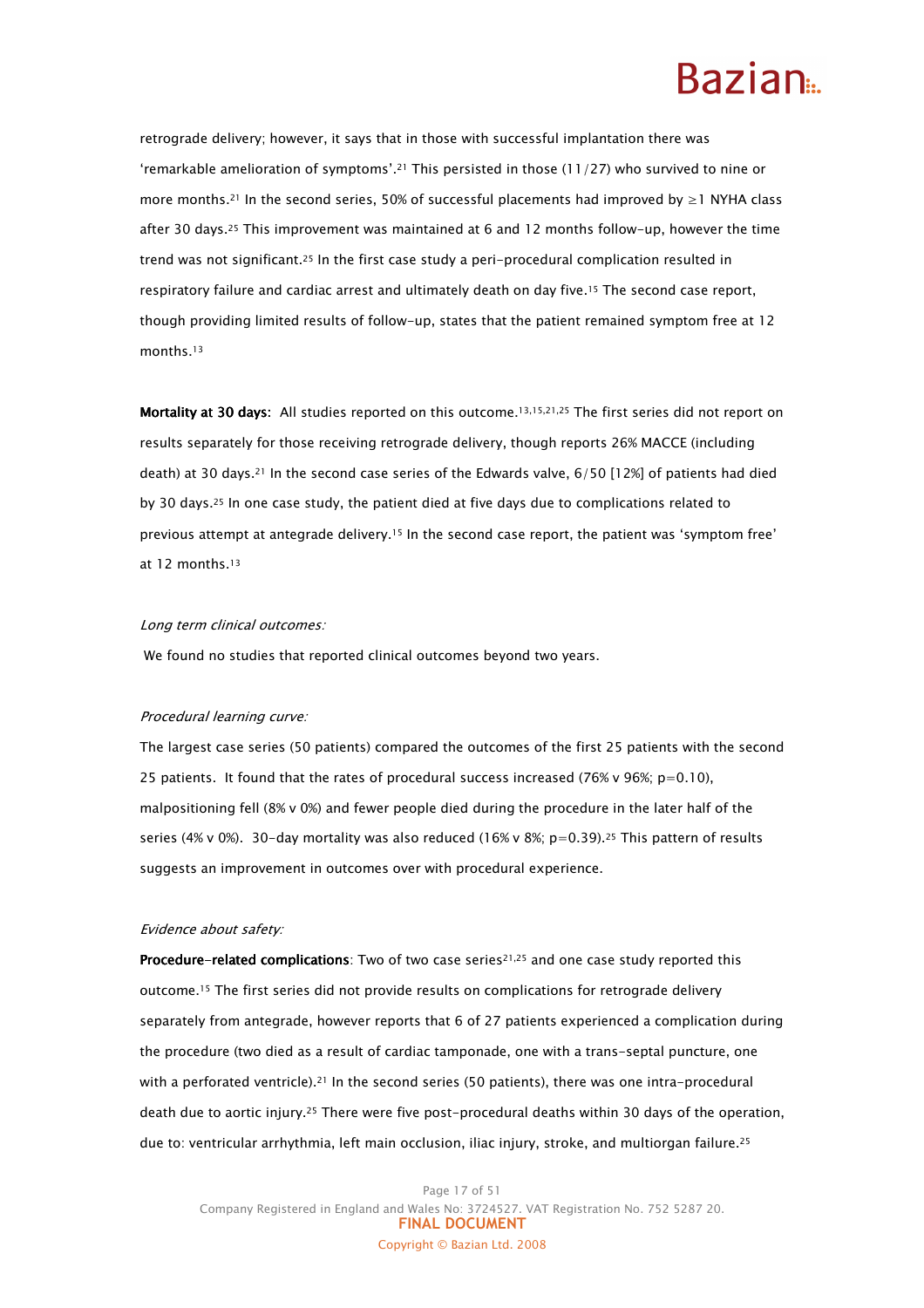retrograde delivery; however, it says that in those with successful implantation there was 'remarkable amelioration of symptoms'.21 This persisted in those (11/27) who survived to nine or more months.21 In the second series, 50% of successful placements had improved by ≥1 NYHA class after 30 days.25 This improvement was maintained at 6 and 12 months follow-up, however the time trend was not significant.25 In the first case study a peri-procedural complication resulted in respiratory failure and cardiac arrest and ultimately death on day five.15 The second case report, though providing limited results of follow-up, states that the patient remained symptom free at 12 months.<sup>13</sup>

Mortality at 30 days: All studies reported on this outcome.<sup>13,15,21,25</sup> The first series did not report on results separately for those receiving retrograde delivery, though reports 26% MACCE (including death) at 30 days.21 In the second case series of the Edwards valve, 6/50 [12%] of patients had died by 30 days.25 In one case study, the patient died at five days due to complications related to previous attempt at antegrade delivery.15 In the second case report, the patient was 'symptom free' at 12 months.<sup>13</sup>

#### Long term clinical outcomes:

We found no studies that reported clinical outcomes beyond two years.

#### Procedural learning curve:

The largest case series (50 patients) compared the outcomes of the first 25 patients with the second 25 patients. It found that the rates of procedural success increased (76% v 96%; p=0.10), malpositioning fell (8% v 0%) and fewer people died during the procedure in the later half of the series (4% v 0%). 30-day mortality was also reduced (16% v 8%; p=0.39).<sup>25</sup> This pattern of results suggests an improvement in outcomes over with procedural experience.

#### Evidence about safety:

Procedure-related complications: Two of two case series<sup>21,25</sup> and one case study reported this outcome.15 The first series did not provide results on complications for retrograde delivery separately from antegrade, however reports that 6 of 27 patients experienced a complication during the procedure (two died as a result of cardiac tamponade, one with a trans-septal puncture, one with a perforated ventricle).<sup>21</sup> In the second series (50 patients), there was one intra-procedural death due to aortic injury.25 There were five post-procedural deaths within 30 days of the operation, due to: ventricular arrhythmia, left main occlusion, iliac injury, stroke, and multiorgan failure.25

Page 17 of 51 Company Registered in England and Wales No: 3724527. VAT Registration No. 752 5287 20. FINAL DOCUMENT Copyright © Bazian Ltd. 2008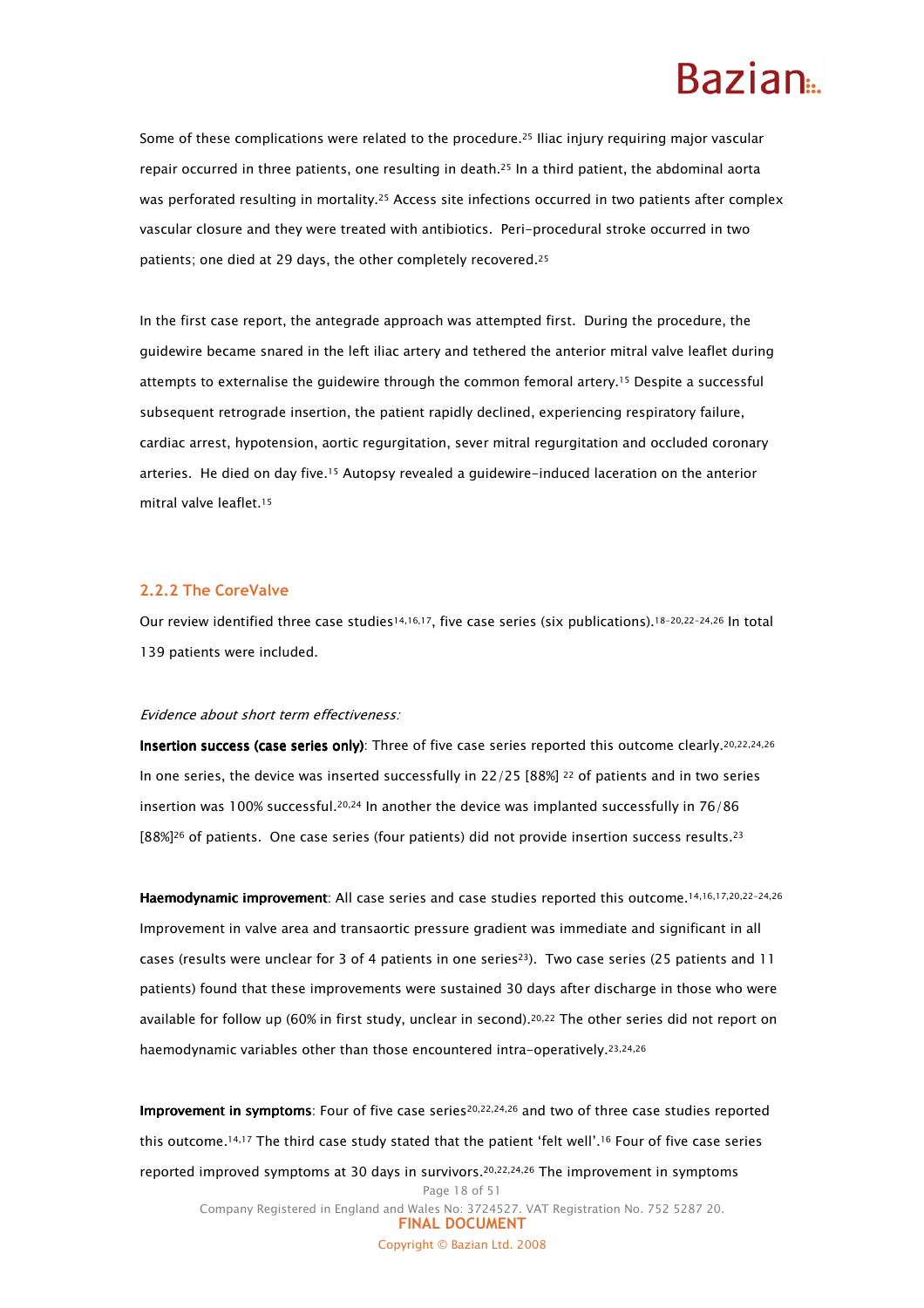### Razian<sub>a</sub>

Some of these complications were related to the procedure.25 Iliac injury requiring major vascular repair occurred in three patients, one resulting in death.25 In a third patient, the abdominal aorta was perforated resulting in mortality.<sup>25</sup> Access site infections occurred in two patients after complex vascular closure and they were treated with antibiotics. Peri-procedural stroke occurred in two patients; one died at 29 days, the other completely recovered.<sup>25</sup>

In the first case report, the antegrade approach was attempted first. During the procedure, the guidewire became snared in the left iliac artery and tethered the anterior mitral valve leaflet during attempts to externalise the guidewire through the common femoral artery.15 Despite a successful subsequent retrograde insertion, the patient rapidly declined, experiencing respiratory failure, cardiac arrest, hypotension, aortic regurgitation, sever mitral regurgitation and occluded coronary arteries. He died on day five.15 Autopsy revealed a guidewire-induced laceration on the anterior mitral valve leaflet.<sup>15</sup>

#### 2.2.2 The CoreValve

Our review identified three case studies14,16,17, five case series (six publications).18-20,22-24,26 In total 139 patients were included.

#### Evidence about short term effectiveness:

Insertion success (case series only): Three of five case series reported this outcome clearly.<sup>20,22,24,26</sup> In one series, the device was inserted successfully in 22/25 [88%] <sup>22</sup> of patients and in two series insertion was 100% successful.<sup>20,24</sup> In another the device was implanted successfully in 76/86  $[88\%]^{26}$  of patients. One case series (four patients) did not provide insertion success results.<sup>23</sup>

Haemodynamic improvement: All case series and case studies reported this outcome.<sup>14,16,17,20,22-24,26</sup> Improvement in valve area and transaortic pressure gradient was immediate and significant in all cases (results were unclear for 3 of 4 patients in one series<sup>23</sup>). Two case series (25 patients and 11 patients) found that these improvements were sustained 30 days after discharge in those who were available for follow up (60% in first study, unclear in second).20,22 The other series did not report on haemodynamic variables other than those encountered intra-operatively.<sup>23,24,26</sup>

Page 18 of 51 Improvement in symptoms: Four of five case series<sup>20,22,24,26</sup> and two of three case studies reported this outcome.14,17 The third case study stated that the patient 'felt well'.16 Four of five case series reported improved symptoms at 30 days in survivors.20,22,24,26 The improvement in symptoms

Company Registered in England and Wales No: 3724527. VAT Registration No. 752 5287 20. FINAL DOCUMENT Copyright © Bazian Ltd. 2008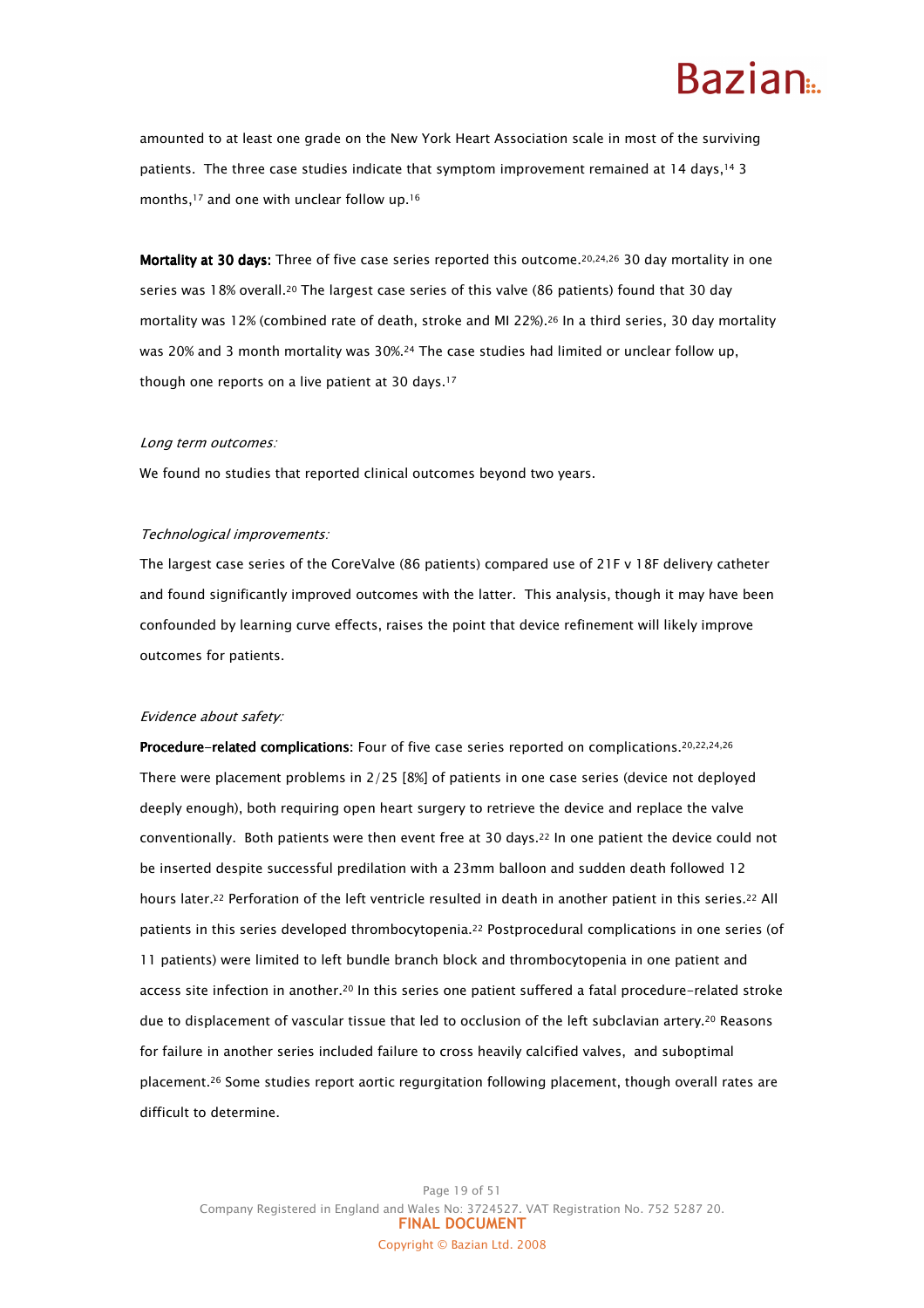### Razian<sub>a</sub>

amounted to at least one grade on the New York Heart Association scale in most of the surviving patients. The three case studies indicate that symptom improvement remained at 14 days,<sup>14</sup> 3 months,17 and one with unclear follow up.<sup>16</sup>

Mortality at 30 days: Three of five case series reported this outcome.<sup>20,24,26</sup> 30 day mortality in one series was 18% overall.20 The largest case series of this valve (86 patients) found that 30 day mortality was 12% (combined rate of death, stroke and MI 22%).26 In a third series, 30 day mortality was 20% and 3 month mortality was 30%.24 The case studies had limited or unclear follow up, though one reports on a live patient at 30 days.<sup>17</sup>

#### Long term outcomes:

We found no studies that reported clinical outcomes beyond two years.

#### Technological improvements:

The largest case series of the CoreValve (86 patients) compared use of 21F v 18F delivery catheter and found significantly improved outcomes with the latter. This analysis, though it may have been confounded by learning curve effects, raises the point that device refinement will likely improve outcomes for patients.

#### Evidence about safety:

Procedure-related complications: Four of five case series reported on complications. 20,22,24,26 There were placement problems in 2/25 [8%] of patients in one case series (device not deployed deeply enough), both requiring open heart surgery to retrieve the device and replace the valve conventionally. Both patients were then event free at 30 days.22 In one patient the device could not be inserted despite successful predilation with a 23mm balloon and sudden death followed 12 hours later.22 Perforation of the left ventricle resulted in death in another patient in this series.22 All patients in this series developed thrombocytopenia.22 Postprocedural complications in one series (of 11 patients) were limited to left bundle branch block and thrombocytopenia in one patient and access site infection in another.20 In this series one patient suffered a fatal procedure-related stroke due to displacement of vascular tissue that led to occlusion of the left subclavian artery.<sup>20</sup> Reasons for failure in another series included failure to cross heavily calcified valves, and suboptimal placement.26 Some studies report aortic regurgitation following placement, though overall rates are difficult to determine.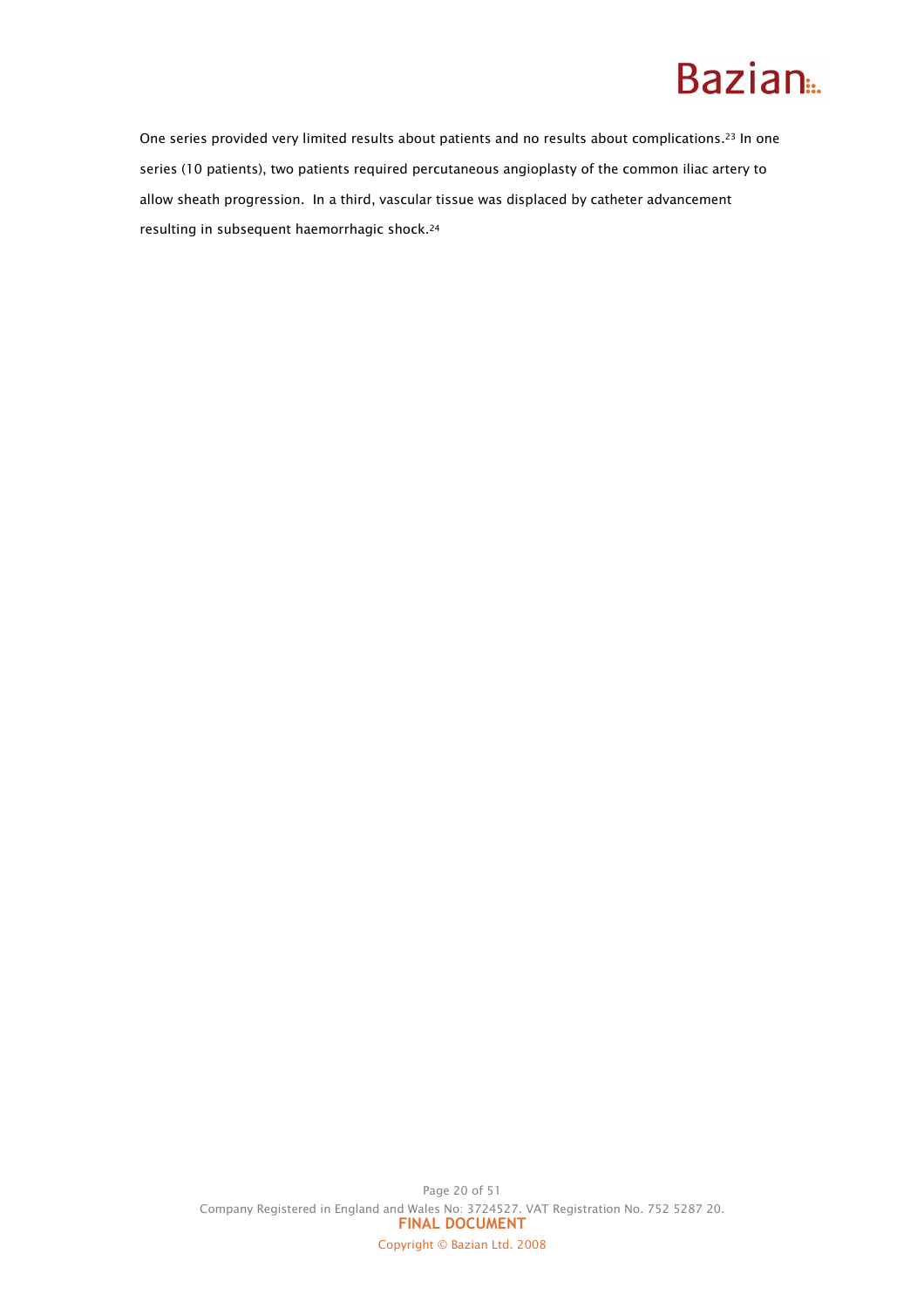One series provided very limited results about patients and no results about complications.<sup>23</sup> In one series (10 patients), two patients required percutaneous angioplasty of the common iliac artery to allow sheath progression. In a third, vascular tissue was displaced by catheter advancement resulting in subsequent haemorrhagic shock.24

Page 20 of 51 Company Registered in England and Wales No: 3724527. VAT Registration No. 752 5287 20. FINAL DOCUMENT Copyright © Bazian Ltd. 2008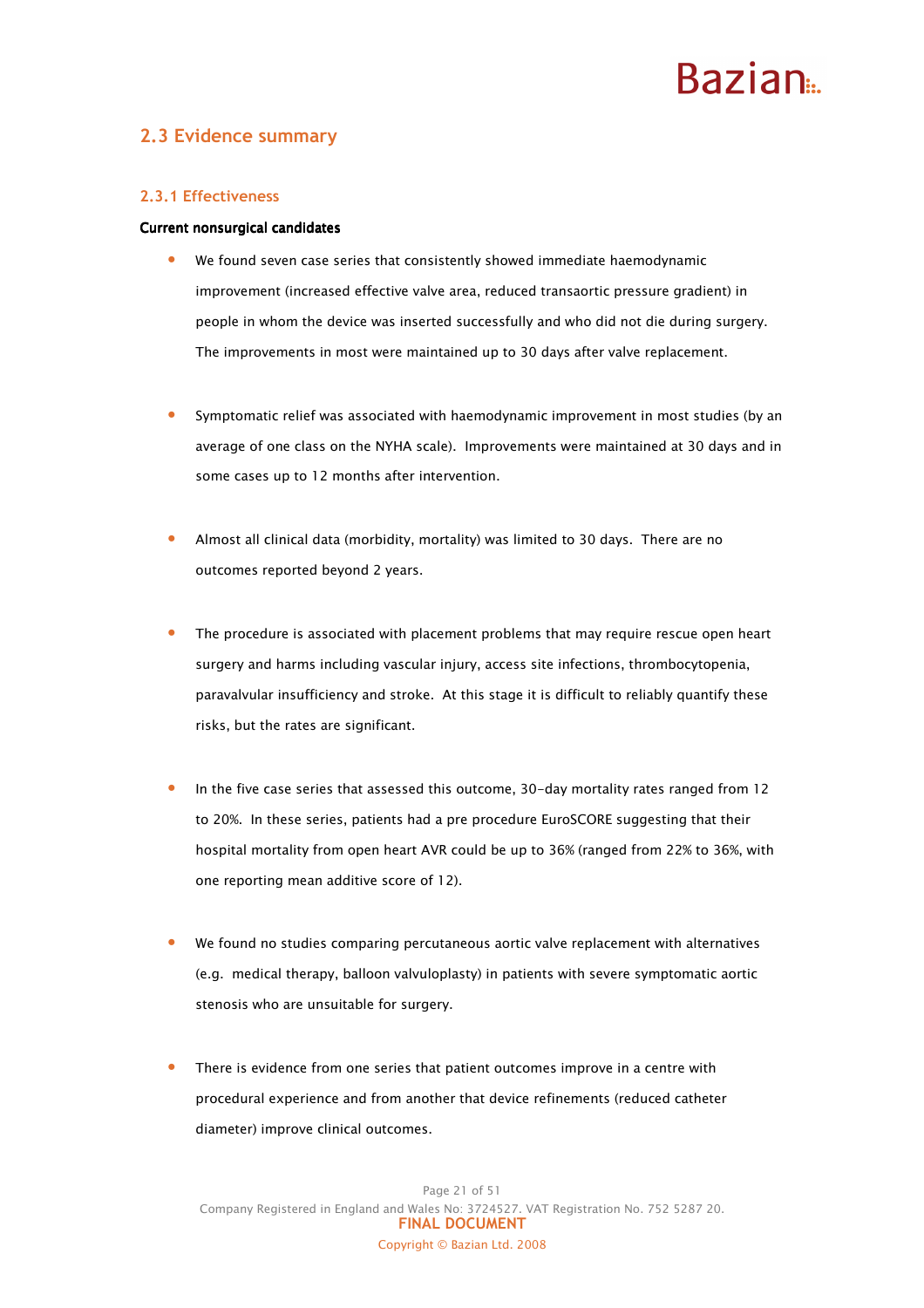## **Razian**

### 2.3 Evidence summary

#### 2.3.1 Effectiveness

#### Current nonsurgical candidates

- We found seven case series that consistently showed immediate haemodynamic improvement (increased effective valve area, reduced transaortic pressure gradient) in people in whom the device was inserted successfully and who did not die during surgery. The improvements in most were maintained up to 30 days after valve replacement.
- Symptomatic relief was associated with haemodynamic improvement in most studies (by an average of one class on the NYHA scale). Improvements were maintained at 30 days and in some cases up to 12 months after intervention.
- Almost all clinical data (morbidity, mortality) was limited to 30 days. There are no outcomes reported beyond 2 years.
- The procedure is associated with placement problems that may require rescue open heart surgery and harms including vascular injury, access site infections, thrombocytopenia, paravalvular insufficiency and stroke. At this stage it is difficult to reliably quantify these risks, but the rates are significant.
- In the five case series that assessed this outcome, 30-day mortality rates ranged from 12 to 20%. In these series, patients had a pre procedure EuroSCORE suggesting that their hospital mortality from open heart AVR could be up to 36% (ranged from 22% to 36%, with one reporting mean additive score of 12).
- We found no studies comparing percutaneous aortic valve replacement with alternatives (e.g. medical therapy, balloon valvuloplasty) in patients with severe symptomatic aortic stenosis who are unsuitable for surgery.
- There is evidence from one series that patient outcomes improve in a centre with procedural experience and from another that device refinements (reduced catheter diameter) improve clinical outcomes.

Page 21 of 51 Company Registered in England and Wales No: 3724527. VAT Registration No. 752 5287 20. FINAL DOCUMENT Copyright © Bazian Ltd. 2008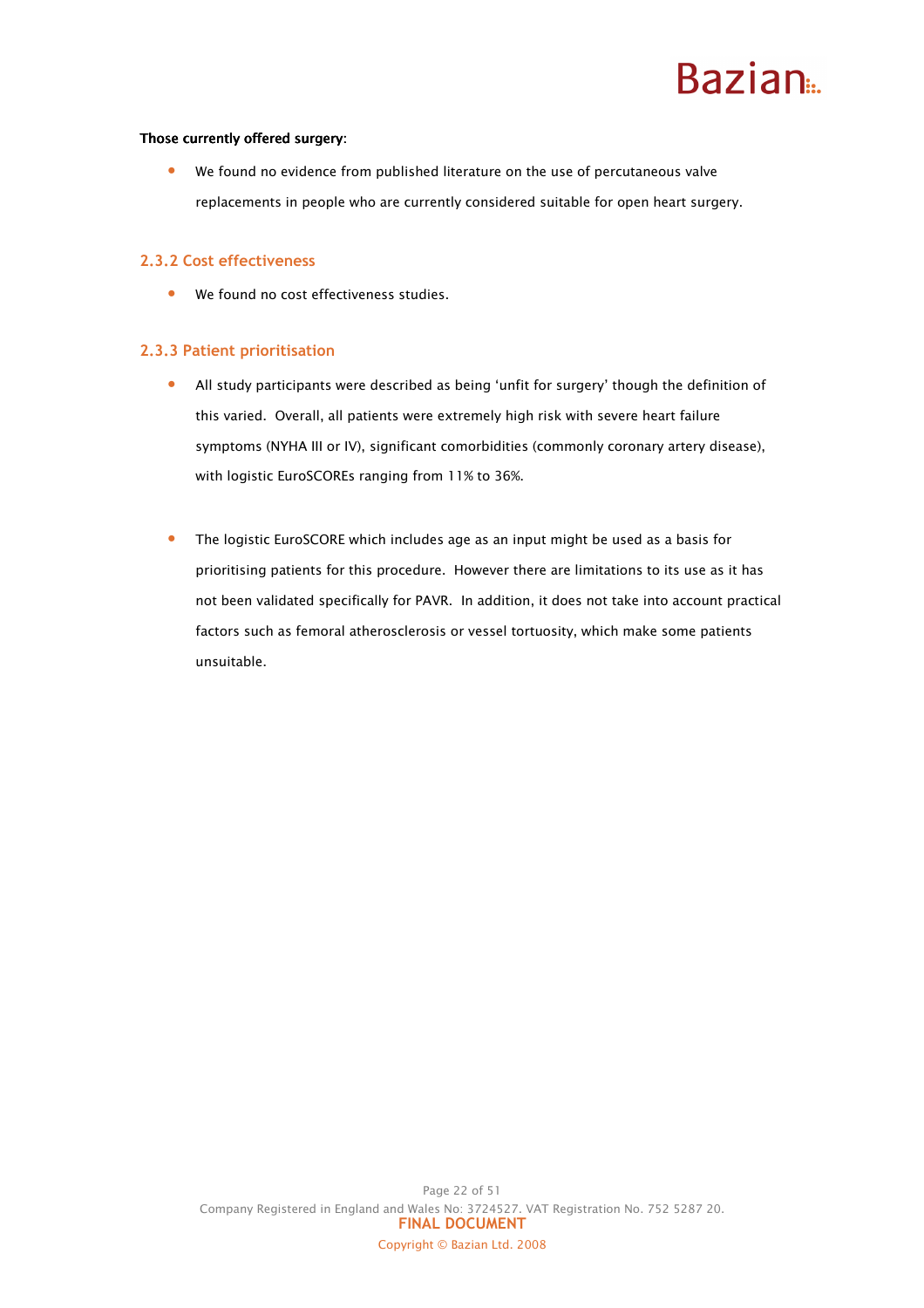#### Those currently offered surgery:

• We found no evidence from published literature on the use of percutaneous valve replacements in people who are currently considered suitable for open heart surgery.

#### 2.3.2 Cost effectiveness

• We found no cost effectiveness studies.

#### 2.3.3 Patient prioritisation

- All study participants were described as being 'unfit for surgery' though the definition of this varied. Overall, all patients were extremely high risk with severe heart failure symptoms (NYHA III or IV), significant comorbidities (commonly coronary artery disease), with logistic EuroSCOREs ranging from 11% to 36%.
- The logistic EuroSCORE which includes age as an input might be used as a basis for prioritising patients for this procedure. However there are limitations to its use as it has not been validated specifically for PAVR. In addition, it does not take into account practical factors such as femoral atherosclerosis or vessel tortuosity, which make some patients unsuitable.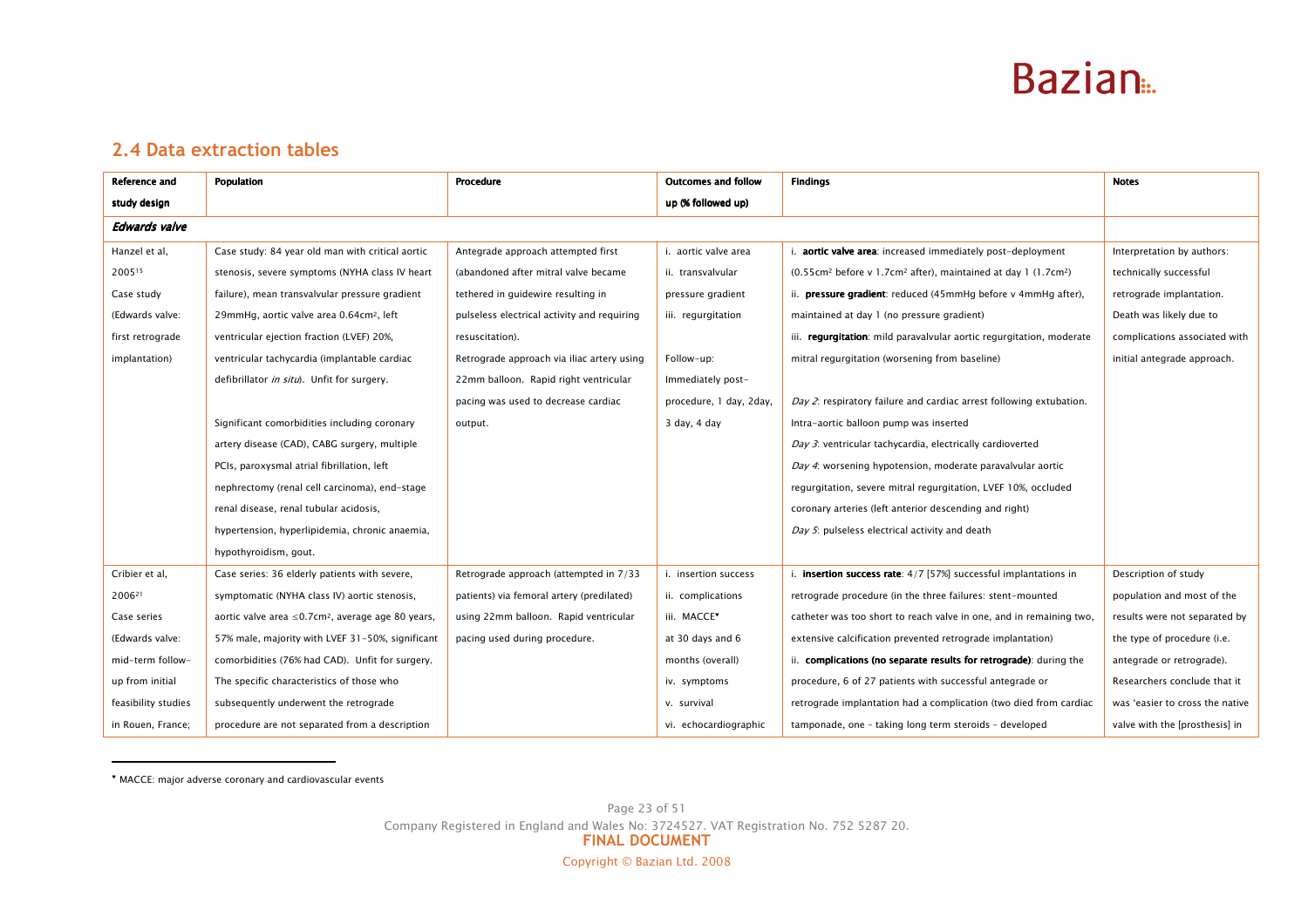

### 2.4 Data extraction tables

| Reference and        | Population                                                          | Procedure                                   | <b>Outcomes and follow</b> | <b>Findings</b>                                                                                    | <b>Notes</b>                    |
|----------------------|---------------------------------------------------------------------|---------------------------------------------|----------------------------|----------------------------------------------------------------------------------------------------|---------------------------------|
| study design         |                                                                     |                                             | up (% followed up)         |                                                                                                    |                                 |
| <b>Edwards valve</b> |                                                                     |                                             |                            |                                                                                                    |                                 |
| Hanzel et al,        | Case study: 84 year old man with critical aortic                    | Antegrade approach attempted first          | i. aortic valve area       | i. aortic valve area: increased immediately post-deployment                                        | Interpretation by authors:      |
| 200515               | stenosis, severe symptoms (NYHA class IV heart                      | (abandoned after mitral valve became        | ii. transvalvular          | (0.55cm <sup>2</sup> before v 1.7cm <sup>2</sup> after), maintained at day 1 (1.7cm <sup>2</sup> ) | technically successful          |
| Case study           | failure), mean transvalvular pressure gradient                      | tethered in guidewire resulting in          | pressure gradient          | ii. <b>pressure gradient</b> : reduced (45mmHg before v 4mmHg after),                              | retrograde implantation.        |
| (Edwards valve:      | 29mmHg, aortic valve area 0.64cm <sup>2</sup> , left                | pulseless electrical activity and requiring | iii. regurgitation         | maintained at day 1 (no pressure gradient)                                                         | Death was likely due to         |
| first retrograde     | ventricular ejection fraction (LVEF) 20%,                           | resuscitation).                             |                            | iii. requrgitation: mild paravalvular aortic requrgitation, moderate                               | complications associated with   |
| implantation)        | ventricular tachycardia (implantable cardiac                        | Retrograde approach via iliac artery using  | Follow-up:                 | mitral regurgitation (worsening from baseline)                                                     | initial antegrade approach.     |
|                      | defibrillator in situ). Unfit for surgery.                          | 22mm balloon. Rapid right ventricular       | Immediately post-          |                                                                                                    |                                 |
|                      |                                                                     | pacing was used to decrease cardiac         | procedure, 1 day, 2day,    | Day 2: respiratory failure and cardiac arrest following extubation.                                |                                 |
|                      | Significant comorbidities including coronary                        | output.                                     | 3 day, 4 day               | Intra-aortic balloon pump was inserted                                                             |                                 |
|                      | artery disease (CAD), CABG surgery, multiple                        |                                             |                            | Day 3: ventricular tachycardia, electrically cardioverted                                          |                                 |
|                      | PCIs, paroxysmal atrial fibrillation, left                          |                                             |                            | Day 4: worsening hypotension, moderate paravalvular aortic                                         |                                 |
|                      | nephrectomy (renal cell carcinoma), end-stage                       |                                             |                            | regurgitation, severe mitral regurgitation, LVEF 10%, occluded                                     |                                 |
|                      | renal disease, renal tubular acidosis,                              |                                             |                            | coronary arteries (left anterior descending and right)                                             |                                 |
|                      | hypertension, hyperlipidemia, chronic anaemia,                      |                                             |                            | Day 5: pulseless electrical activity and death                                                     |                                 |
|                      | hypothyroidism, gout.                                               |                                             |                            |                                                                                                    |                                 |
| Cribier et al,       | Case series: 36 elderly patients with severe,                       | Retrograde approach (attempted in 7/33      | i. insertion success       | i. <b>insertion success rate</b> : 4/7 [57%] successful implantations in                           | Description of study            |
| 200621               | symptomatic (NYHA class IV) aortic stenosis,                        | patients) via femoral artery (predilated)   | ii. complications          | retrograde procedure (in the three failures: stent-mounted                                         | population and most of the      |
| Case series          | aortic valve area $\leq$ 0.7cm <sup>2</sup> , average age 80 years, | using 22mm balloon. Rapid ventricular       | iii. MACCE*                | catheter was too short to reach valve in one, and in remaining two,                                | results were not separated by   |
| (Edwards valve:      | 57% male, majority with LVEF 31-50%, significant                    | pacing used during procedure.               | at 30 days and 6           | extensive calcification prevented retrograde implantation)                                         | the type of procedure (i.e.     |
| mid-term follow-     | comorbidities (76% had CAD). Unfit for surgery.                     |                                             | months (overall)           | ii. complications (no separate results for retrograde): during the                                 | antegrade or retrograde).       |
| up from initial      | The specific characteristics of those who                           |                                             | iv. symptoms               | procedure, 6 of 27 patients with successful antegrade or                                           | Researchers conclude that it    |
| feasibility studies  | subsequently underwent the retrograde                               |                                             | v. survival                | retrograde implantation had a complication (two died from cardiac                                  | was 'easier to cross the native |
| in Rouen, France;    | procedure are not separated from a description                      |                                             | vi. echocardiographic      | tamponade, one - taking long term steroids - developed                                             | valve with the [prosthesis] in  |

<sup>♥</sup> MACCE: major adverse coronary and cardiovascular events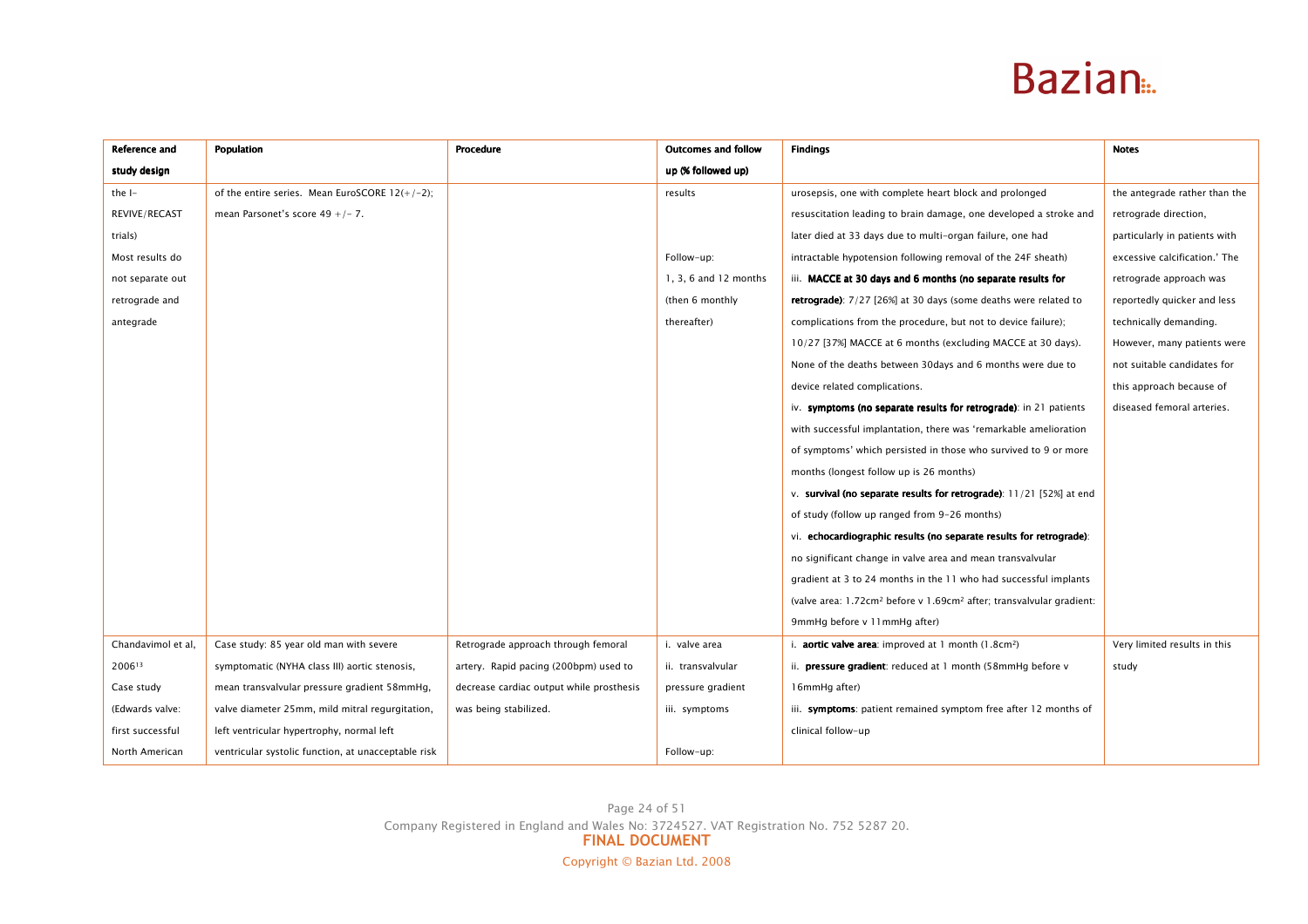| Reference and      | Population                                          | <b>Procedure</b>                         | <b>Outcomes and follow</b> | <b>Findings</b>                                                                              | <b>Notes</b>                  |
|--------------------|-----------------------------------------------------|------------------------------------------|----------------------------|----------------------------------------------------------------------------------------------|-------------------------------|
| study design       |                                                     |                                          | up (% followed up)         |                                                                                              |                               |
| the I-             | of the entire series. Mean EuroSCORE $12(+/-2)$ ;   |                                          | results                    | urosepsis, one with complete heart block and prolonged                                       | the antegrade rather than the |
| REVIVE/RECAST      | mean Parsonet's score $49 + (-7)$ .                 |                                          |                            | resuscitation leading to brain damage, one developed a stroke and                            | retrograde direction,         |
| trials)            |                                                     |                                          |                            | later died at 33 days due to multi-organ failure, one had                                    | particularly in patients with |
| Most results do    |                                                     |                                          | Follow-up:                 | intractable hypotension following removal of the 24F sheath)                                 | excessive calcification.' The |
| not separate out   |                                                     |                                          | 1, 3, 6 and 12 months      | iii. MACCE at 30 days and 6 months (no separate results for                                  | retrograde approach was       |
| retrograde and     |                                                     |                                          | (then 6 monthly            | <b>retrograde</b> ): 7/27 [26%] at 30 days (some deaths were related to                      | reportedly quicker and less   |
| antegrade          |                                                     |                                          | thereafter)                | complications from the procedure, but not to device failure);                                | technically demanding.        |
|                    |                                                     |                                          |                            | 10/27 [37%] MACCE at 6 months (excluding MACCE at 30 days).                                  | However, many patients were   |
|                    |                                                     |                                          |                            | None of the deaths between 30days and 6 months were due to                                   | not suitable candidates for   |
|                    |                                                     |                                          |                            | device related complications.                                                                | this approach because of      |
|                    |                                                     |                                          |                            | iv. symptoms (no separate results for retrograde): in 21 patients                            | diseased femoral arteries.    |
|                    |                                                     |                                          |                            | with successful implantation, there was 'remarkable amelioration                             |                               |
|                    |                                                     |                                          |                            | of symptoms' which persisted in those who survived to 9 or more                              |                               |
|                    |                                                     |                                          |                            | months (longest follow up is 26 months)                                                      |                               |
|                    |                                                     |                                          |                            | v. survival (no separate results for retrograde): $11/21$ [52%] at end                       |                               |
|                    |                                                     |                                          |                            | of study (follow up ranged from 9-26 months)                                                 |                               |
|                    |                                                     |                                          |                            | vi. echocardiographic results (no separate results for retrograde):                          |                               |
|                    |                                                     |                                          |                            | no significant change in valve area and mean transvalvular                                   |                               |
|                    |                                                     |                                          |                            | gradient at 3 to 24 months in the 11 who had successful implants                             |                               |
|                    |                                                     |                                          |                            | (valve area: 1.72cm <sup>2</sup> before v 1.69cm <sup>2</sup> after; transvalvular gradient: |                               |
|                    |                                                     |                                          |                            | 9mmHg before v 11mmHg after)                                                                 |                               |
| Chandavimol et al, | Case study: 85 year old man with severe             | Retrograde approach through femoral      | i. valve area              | i. <b>aortic valve area</b> : improved at 1 month (1.8cm <sup>2</sup> )                      | Very limited results in this  |
| 200613             | symptomatic (NYHA class III) aortic stenosis,       | artery. Rapid pacing (200bpm) used to    | ii. transvalvular          | ii. <b>pressure gradient</b> : reduced at 1 month (58mmHg before v                           | study                         |
| Case study         | mean transvalvular pressure gradient 58mmHg,        | decrease cardiac output while prosthesis | pressure gradient          | 16mmHg after)                                                                                |                               |
| (Edwards valve:    | valve diameter 25mm, mild mitral regurgitation,     | was being stabilized.                    | iii. symptoms              | iii. symptoms: patient remained symptom free after 12 months of                              |                               |
| first successful   | left ventricular hypertrophy, normal left           |                                          |                            | clinical follow-up                                                                           |                               |
| North American     | ventricular systolic function, at unacceptable risk |                                          | Follow-up:                 |                                                                                              |                               |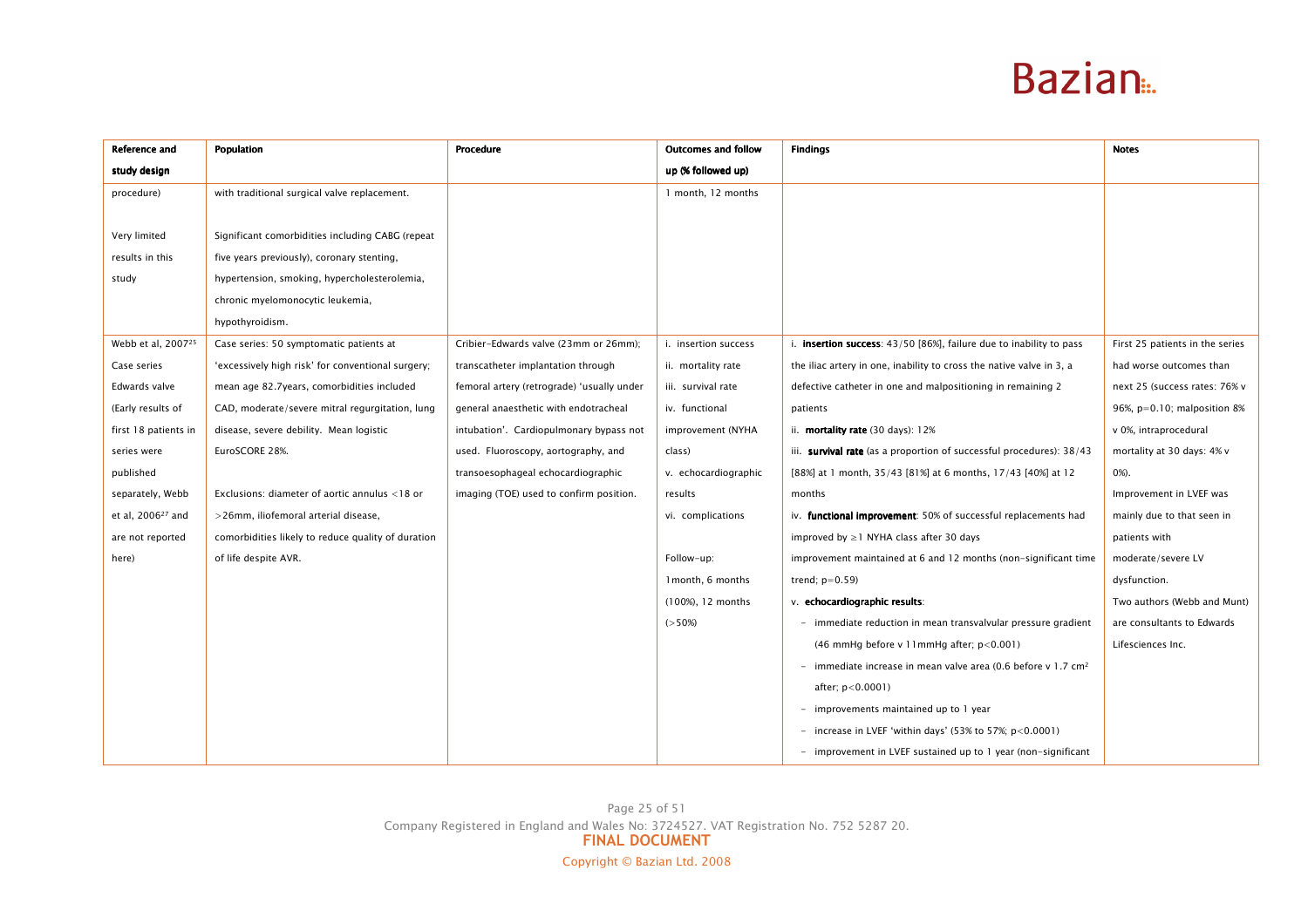| Reference and                  | <b>Population</b>                                  | Procedure                                  | <b>Outcomes and follow</b> | <b>Findings</b>                                                            | <b>Notes</b>                    |
|--------------------------------|----------------------------------------------------|--------------------------------------------|----------------------------|----------------------------------------------------------------------------|---------------------------------|
| study design                   |                                                    |                                            | up (% followed up)         |                                                                            |                                 |
| procedure)                     | with traditional surgical valve replacement.       |                                            | 1 month, 12 months         |                                                                            |                                 |
|                                |                                                    |                                            |                            |                                                                            |                                 |
| Very limited                   | Significant comorbidities including CABG (repeat   |                                            |                            |                                                                            |                                 |
| results in this                | five years previously), coronary stenting,         |                                            |                            |                                                                            |                                 |
| study                          | hypertension, smoking, hypercholesterolemia,       |                                            |                            |                                                                            |                                 |
|                                | chronic myelomonocytic leukemia,                   |                                            |                            |                                                                            |                                 |
|                                | hypothyroidism.                                    |                                            |                            |                                                                            |                                 |
| Webb et al, 2007 <sup>25</sup> | Case series: 50 symptomatic patients at            | Cribier-Edwards valve (23mm or 26mm);      | i. insertion success       | i. insertion success: 43/50 [86%], failure due to inability to pass        | First 25 patients in the series |
| Case series                    | 'excessively high risk' for conventional surgery;  | transcatheter implantation through         | ii. mortality rate         | the iliac artery in one, inability to cross the native valve in 3, a       | had worse outcomes than         |
| Edwards valve                  | mean age 82.7years, comorbidities included         | femoral artery (retrograde) 'usually under | iii. survival rate         | defective catheter in one and malpositioning in remaining 2                | next 25 (success rates: 76% v   |
| (Early results of              | CAD, moderate/severe mitral regurgitation, lung    | general anaesthetic with endotracheal      | iv. functional             | patients                                                                   | 96%, $p=0.10$ ; malposition 8%  |
| first 18 patients in           | disease, severe debility. Mean logistic            | intubation'. Cardiopulmonary bypass not    | improvement (NYHA          | ii. mortality rate (30 days): 12%                                          | v 0%, intraprocedural           |
| series were                    | EuroSCORE 28%.                                     | used. Fluoroscopy, aortography, and        | class)                     | iii. survival rate (as a proportion of successful procedures): 38/43       | mortality at 30 days: 4% v      |
| published                      |                                                    | transoesophageal echocardiographic         | v. echocardiographic       | [88%] at 1 month, 35/43 [81%] at 6 months, 17/43 [40%] at 12               | $0\%$ ).                        |
| separately, Webb               | Exclusions: diameter of aortic annulus <18 or      | imaging (TOE) used to confirm position.    | results                    | months                                                                     | Improvement in LVEF was         |
| et al, 2006 <sup>27</sup> and  | >26mm, iliofemoral arterial disease,               |                                            | vi. complications          | iv. functional improvement: 50% of successful replacements had             | mainly due to that seen in      |
| are not reported               | comorbidities likely to reduce quality of duration |                                            |                            | improved by $\geq$ 1 NYHA class after 30 days                              | patients with                   |
| here)                          | of life despite AVR.                               |                                            | Follow-up:                 | improvement maintained at 6 and 12 months (non-significant time            | moderate/severe LV              |
|                                |                                                    |                                            | 1 month, 6 months          | trend; $p=0.59$ )                                                          | dysfunction.                    |
|                                |                                                    |                                            | (100%), 12 months          | v. echocardiographic results:                                              | Two authors (Webb and Munt)     |
|                                |                                                    |                                            | $(>50\%)$                  | - immediate reduction in mean transvalvular pressure gradient              | are consultants to Edwards      |
|                                |                                                    |                                            |                            | (46 mmHg before $v$ 11 mmHg after; $p < 0.001$ )                           | Lifesciences Inc.               |
|                                |                                                    |                                            |                            | - immediate increase in mean valve area (0.6 before v $1.7 \text{ cm}^2$ ) |                                 |
|                                |                                                    |                                            |                            | after; $p < 0.0001$ )                                                      |                                 |
|                                |                                                    |                                            |                            | - improvements maintained up to 1 year                                     |                                 |
|                                |                                                    |                                            |                            | - increase in LVEF 'within days' (53% to 57%; $p < 0.0001$ )               |                                 |
|                                |                                                    |                                            |                            | - improvement in LVEF sustained up to 1 year (non-significant              |                                 |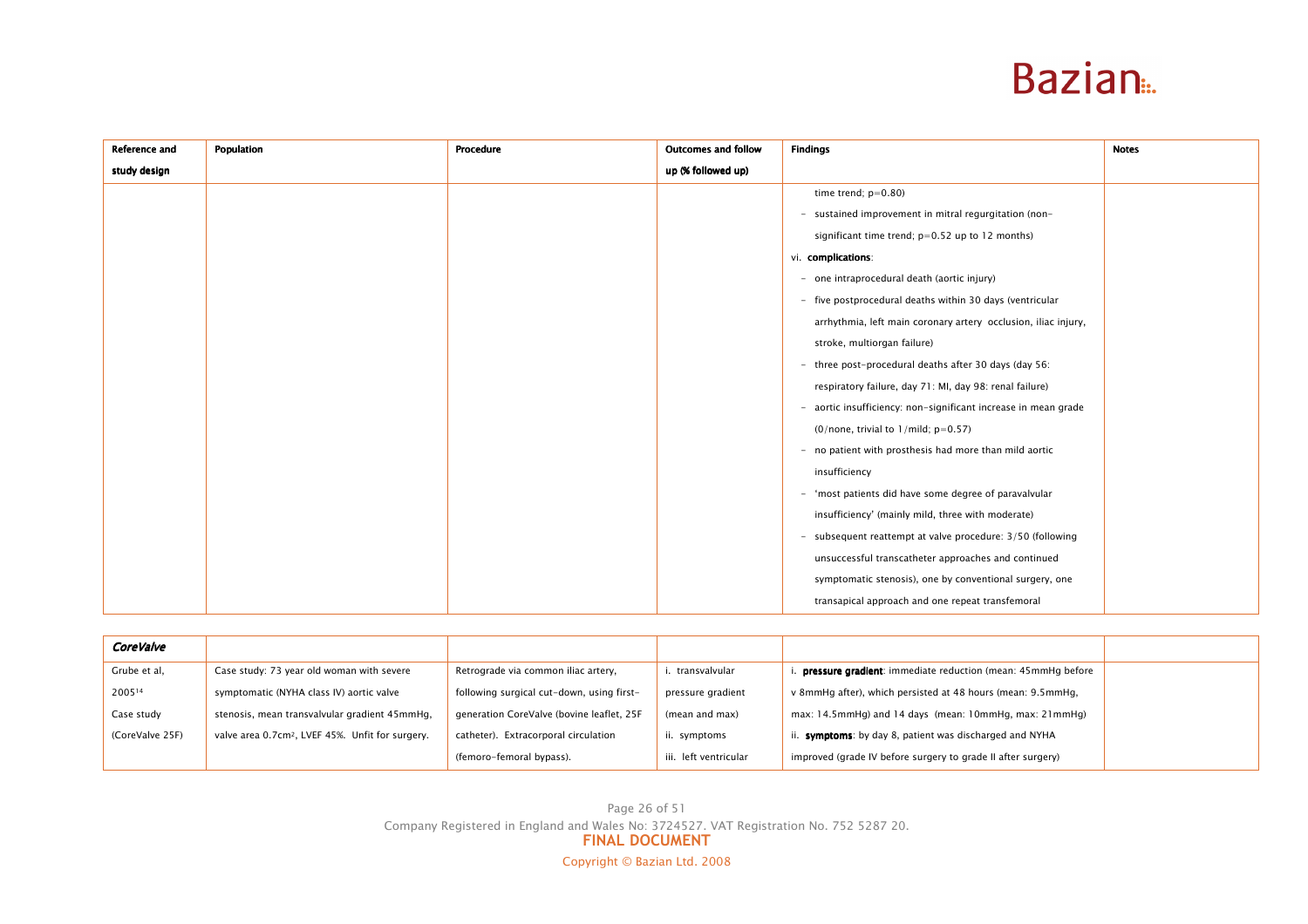| <b>Reference and</b> | Population | Procedure | <b>Outcomes and follow</b> | <b>Findings</b>                                                | <b>Notes</b> |
|----------------------|------------|-----------|----------------------------|----------------------------------------------------------------|--------------|
| study design         |            |           | up (% followed up)         |                                                                |              |
|                      |            |           |                            | time trend; $p=0.80$ )                                         |              |
|                      |            |           |                            | - sustained improvement in mitral regurgitation (non-          |              |
|                      |            |           |                            | significant time trend; p=0.52 up to 12 months)                |              |
|                      |            |           |                            | vi. complications:                                             |              |
|                      |            |           |                            | - one intraprocedural death (aortic injury)                    |              |
|                      |            |           |                            | - five postprocedural deaths within 30 days (ventricular       |              |
|                      |            |           |                            | arrhythmia, left main coronary artery occlusion, iliac injury, |              |
|                      |            |           |                            | stroke, multiorgan failure)                                    |              |
|                      |            |           |                            | - three post-procedural deaths after 30 days (day 56:          |              |
|                      |            |           |                            | respiratory failure, day 71: MI, day 98: renal failure)        |              |
|                      |            |           |                            | - aortic insufficiency: non-significant increase in mean grade |              |
|                      |            |           |                            | $(0/none, trivial to 1/mild; p=0.57)$                          |              |
|                      |            |           |                            | - no patient with prosthesis had more than mild aortic         |              |
|                      |            |           |                            | insufficiency                                                  |              |
|                      |            |           |                            | - 'most patients did have some degree of paravalvular          |              |
|                      |            |           |                            | insufficiency' (mainly mild, three with moderate)              |              |
|                      |            |           |                            | - subsequent reattempt at valve procedure: 3/50 (following     |              |
|                      |            |           |                            | unsuccessful transcatheter approaches and continued            |              |
|                      |            |           |                            | symptomatic stenosis), one by conventional surgery, one        |              |
|                      |            |           |                            | transapical approach and one repeat transfemoral               |              |

| <b>CoreValve</b> |                                                              |                                           |                      |                                                               |  |
|------------------|--------------------------------------------------------------|-------------------------------------------|----------------------|---------------------------------------------------------------|--|
| Grube et al,     | Case study: 73 year old woman with severe                    | Retrograde via common iliac artery,       | . transvalvular      | . pressure gradient: immediate reduction (mean: 45mmHg before |  |
| 200514           | symptomatic (NYHA class IV) aortic valve                     | following surgical cut-down, using first- | pressure gradient    | v 8mmHq after), which persisted at 48 hours (mean: 9.5mmHq,   |  |
| Case study       | stenosis, mean transvalvular gradient 45mmHg,                | generation CoreValve (bovine leaflet, 25F | (mean and max)       | max: 14.5mmHg) and 14 days (mean: 10mmHg, max: 21mmHg)        |  |
| (CoreValve 25F)  | valve area 0.7cm <sup>2</sup> , LVEF 45%. Unfit for surgery. | catheter). Extracorporal circulation      | ii. symptoms         | ii. symptoms: by day 8, patient was discharged and NYHA       |  |
|                  |                                                              | (femoro-femoral bypass).                  | ii. left ventricular | improved (grade IV before surgery to grade II after surgery)  |  |

Page 26 of 51 Company Registered in England and Wales No: 3724527. VAT Registration No. 752 5287 20.<br>FINAL DOCUMENT Copyright © Bazian Ltd. 2008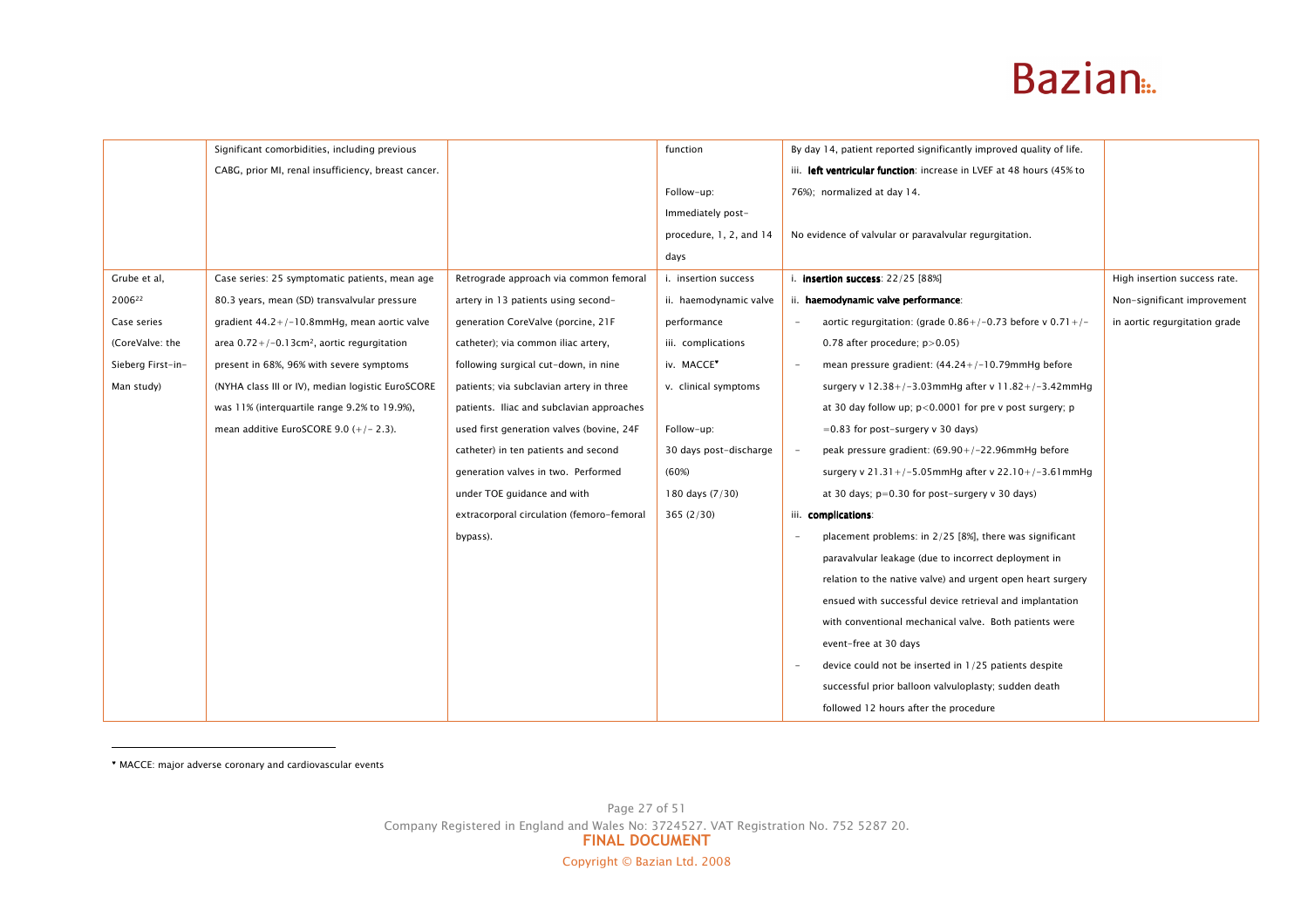|                   | Significant comorbidities, including previous             |                                           | function                | By day 14, patient reported significantly improved quality of life.  |                               |
|-------------------|-----------------------------------------------------------|-------------------------------------------|-------------------------|----------------------------------------------------------------------|-------------------------------|
|                   | CABG, prior MI, renal insufficiency, breast cancer.       |                                           |                         | iii. left ventricular function: increase in LVEF at 48 hours (45% to |                               |
|                   |                                                           |                                           | Follow-up:              | 76%); normalized at day 14.                                          |                               |
|                   |                                                           |                                           | Immediately post-       |                                                                      |                               |
|                   |                                                           |                                           | procedure, 1, 2, and 14 | No evidence of valvular or paravalvular regurgitation.               |                               |
|                   |                                                           |                                           | days                    |                                                                      |                               |
| Grube et al,      | Case series: 25 symptomatic patients, mean age            | Retrograde approach via common femoral    | i. insertion success    | i. insertion success: 22/25 [88%]                                    | High insertion success rate.  |
| 200622            | 80.3 years, mean (SD) transvalvular pressure              | artery in 13 patients using second-       | ii. haemodynamic valve  | ii. haemodynamic valve performance:                                  | Non-significant improvement   |
| Case series       | gradient $44.2+/-10.8$ mmHg, mean aortic valve            | generation CoreValve (porcine, 21F        | performance             | aortic regurgitation: (grade $0.86+/-0.73$ before v $0.71+/-$        | in aortic regurgitation grade |
| (CoreValve: the   | area $0.72+/-0.13$ cm <sup>2</sup> , aortic regurgitation | catheter); via common iliac artery,       | iii. complications      | 0.78 after procedure; $p > 0.05$ )                                   |                               |
| Sieberg First-in- | present in 68%, 96% with severe symptoms                  | following surgical cut-down, in nine      | iv. MACCE <sup>*</sup>  | mean pressure gradient: $(44.24+/-10.79$ mmHg before                 |                               |
| Man study)        | (NYHA class III or IV), median logistic EuroSCORE         | patients; via subclavian artery in three  | v. clinical symptoms    | surgery v $12.38+/-3.03$ mmHg after v $11.82+/-3.42$ mmHg            |                               |
|                   | was 11% (interquartile range 9.2% to 19.9%),              | patients. Iliac and subclavian approaches |                         | at 30 day follow up; $p < 0.0001$ for pre v post surgery; p          |                               |
|                   | mean additive EuroSCORE $9.0 (+/- 2.3)$ .                 | used first generation valves (bovine, 24F | Follow-up:              | $=0.83$ for post-surgery v 30 days)                                  |                               |
|                   |                                                           | catheter) in ten patients and second      | 30 days post-discharge  | peak pressure gradient: (69.90+/-22.96mmHg before                    |                               |
|                   |                                                           | generation valves in two. Performed       | (60%)                   | surgery v 21.31+/-5.05mmHg after v 22.10+/-3.61mmHg                  |                               |
|                   |                                                           | under TOE guidance and with               | 180 days (7/30)         | at 30 days; $p=0.30$ for post-surgery v 30 days)                     |                               |
|                   |                                                           | extracorporal circulation (femoro-femoral | 365(2/30)               | iii. complications:                                                  |                               |
|                   |                                                           | bypass).                                  |                         | placement problems: in 2/25 [8%], there was significant              |                               |
|                   |                                                           |                                           |                         | paravalvular leakage (due to incorrect deployment in                 |                               |
|                   |                                                           |                                           |                         | relation to the native valve) and urgent open heart surgery          |                               |
|                   |                                                           |                                           |                         | ensued with successful device retrieval and implantation             |                               |
|                   |                                                           |                                           |                         | with conventional mechanical valve. Both patients were               |                               |
|                   |                                                           |                                           |                         | event-free at 30 days                                                |                               |
|                   |                                                           |                                           |                         | device could not be inserted in 1/25 patients despite                |                               |
|                   |                                                           |                                           |                         | successful prior balloon valvuloplasty; sudden death                 |                               |
|                   |                                                           |                                           |                         | followed 12 hours after the procedure                                |                               |

♥ MACCE: major adverse coronary and cardiovascular events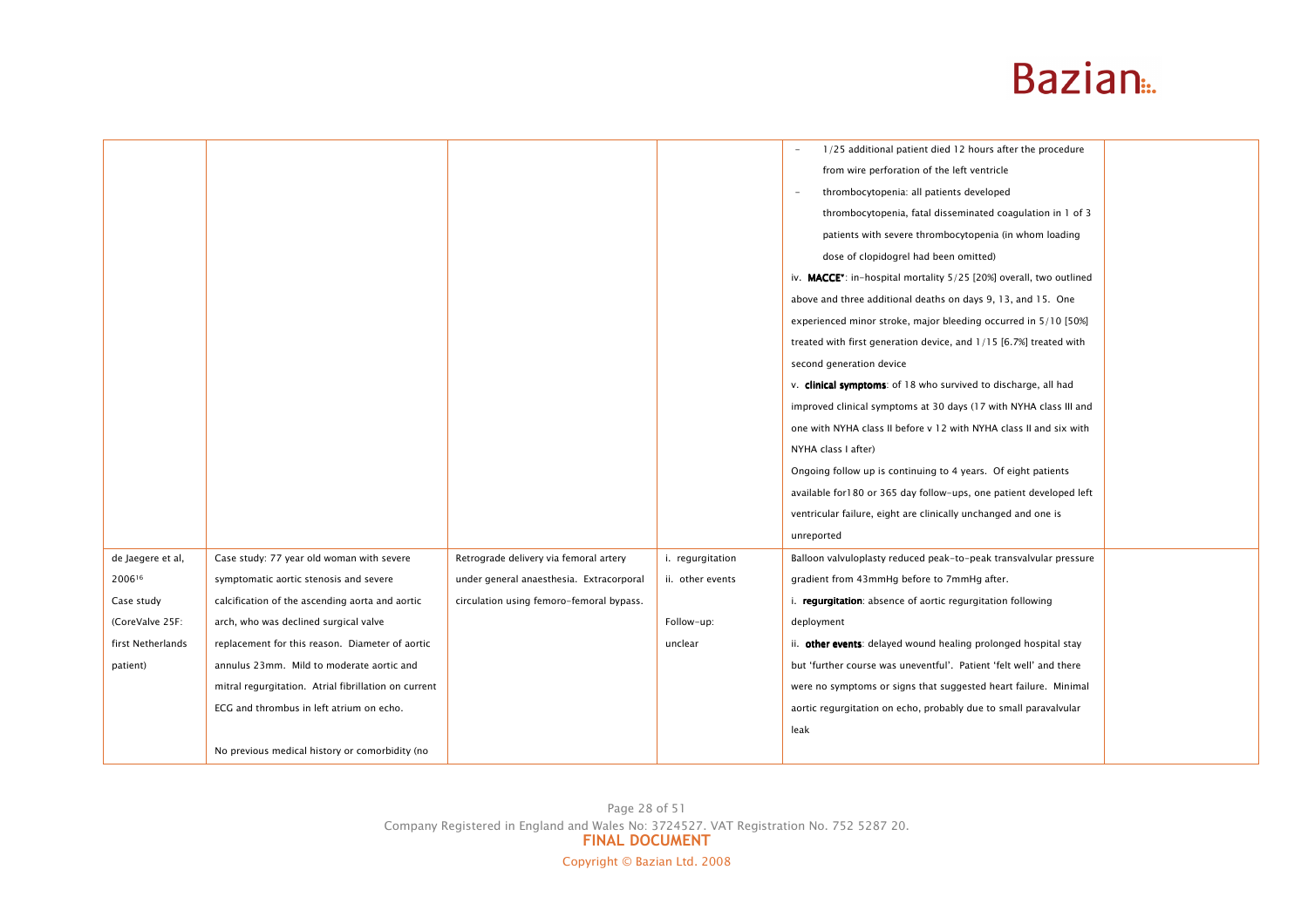|                   |                                                      |                                                                                                         |                  | 1/25 additional patient died 12 hours after the procedure                       |  |
|-------------------|------------------------------------------------------|---------------------------------------------------------------------------------------------------------|------------------|---------------------------------------------------------------------------------|--|
|                   |                                                      |                                                                                                         |                  | from wire perforation of the left ventricle                                     |  |
|                   |                                                      |                                                                                                         |                  | thrombocytopenia: all patients developed                                        |  |
|                   |                                                      |                                                                                                         |                  | thrombocytopenia, fatal disseminated coagulation in 1 of 3                      |  |
|                   |                                                      |                                                                                                         |                  | patients with severe thrombocytopenia (in whom loading                          |  |
|                   |                                                      |                                                                                                         |                  | dose of clopidogrel had been omitted)                                           |  |
|                   |                                                      |                                                                                                         |                  | iv. MACCE <sup>*</sup> : in-hospital mortality 5/25 [20%] overall, two outlined |  |
|                   |                                                      |                                                                                                         |                  | above and three additional deaths on days 9, 13, and 15. One                    |  |
|                   |                                                      |                                                                                                         |                  | experienced minor stroke, major bleeding occurred in 5/10 [50%]                 |  |
|                   |                                                      |                                                                                                         |                  | treated with first generation device, and 1/15 [6.7%] treated with              |  |
|                   |                                                      |                                                                                                         |                  | second generation device                                                        |  |
|                   |                                                      |                                                                                                         |                  | v. clinical symptoms: of 18 who survived to discharge, all had                  |  |
|                   |                                                      |                                                                                                         |                  | improved clinical symptoms at 30 days (17 with NYHA class III and               |  |
|                   |                                                      |                                                                                                         |                  | one with NYHA class II before v 12 with NYHA class II and six with              |  |
|                   |                                                      |                                                                                                         |                  | NYHA class I after)                                                             |  |
|                   |                                                      |                                                                                                         |                  | Ongoing follow up is continuing to 4 years. Of eight patients                   |  |
|                   |                                                      |                                                                                                         |                  | available for180 or 365 day follow-ups, one patient developed left              |  |
|                   |                                                      |                                                                                                         |                  | ventricular failure, eight are clinically unchanged and one is                  |  |
|                   |                                                      |                                                                                                         |                  | unreported                                                                      |  |
| de Jaegere et al, | Case study: 77 year old woman with severe            | Retrograde delivery via femoral artery                                                                  | i. regurgitation | Balloon valvuloplasty reduced peak-to-peak transvalvular pressure               |  |
| 200616            | symptomatic aortic stenosis and severe               | under general anaesthesia. Extracorporal                                                                | ii. other events | gradient from 43mmHg before to 7mmHg after.                                     |  |
| Case study        | calcification of the ascending aorta and aortic      | circulation using femoro-femoral bypass.                                                                |                  | i. regurgitation: absence of aortic regurgitation following                     |  |
| (CoreValve 25F:   | arch, who was declined surgical valve                |                                                                                                         | Follow-up:       | deployment                                                                      |  |
| first Netherlands | replacement for this reason. Diameter of aortic      |                                                                                                         | unclear          | ii. other events: delayed wound healing prolonged hospital stay                 |  |
| patient)          | annulus 23mm. Mild to moderate aortic and            |                                                                                                         |                  | but 'further course was uneventful'. Patient 'felt well' and there              |  |
|                   | mitral regurgitation. Atrial fibrillation on current |                                                                                                         |                  | were no symptoms or signs that suggested heart failure. Minimal                 |  |
|                   | ECG and thrombus in left atrium on echo.             |                                                                                                         |                  | aortic regurgitation on echo, probably due to small paravalvular                |  |
|                   |                                                      |                                                                                                         |                  | leak                                                                            |  |
|                   | No previous medical history or comorbidity (no       |                                                                                                         |                  |                                                                                 |  |
|                   |                                                      |                                                                                                         |                  |                                                                                 |  |
|                   |                                                      |                                                                                                         |                  |                                                                                 |  |
|                   |                                                      | Page 28 of 51<br>Company Registered in England and Wales No: 3724527. VAT Registration No. 752 5287 20. |                  |                                                                                 |  |
|                   |                                                      | <b>FINAL DOCUMENT</b>                                                                                   |                  |                                                                                 |  |
|                   |                                                      | Copyright © Bazian Ltd. 2008                                                                            |                  |                                                                                 |  |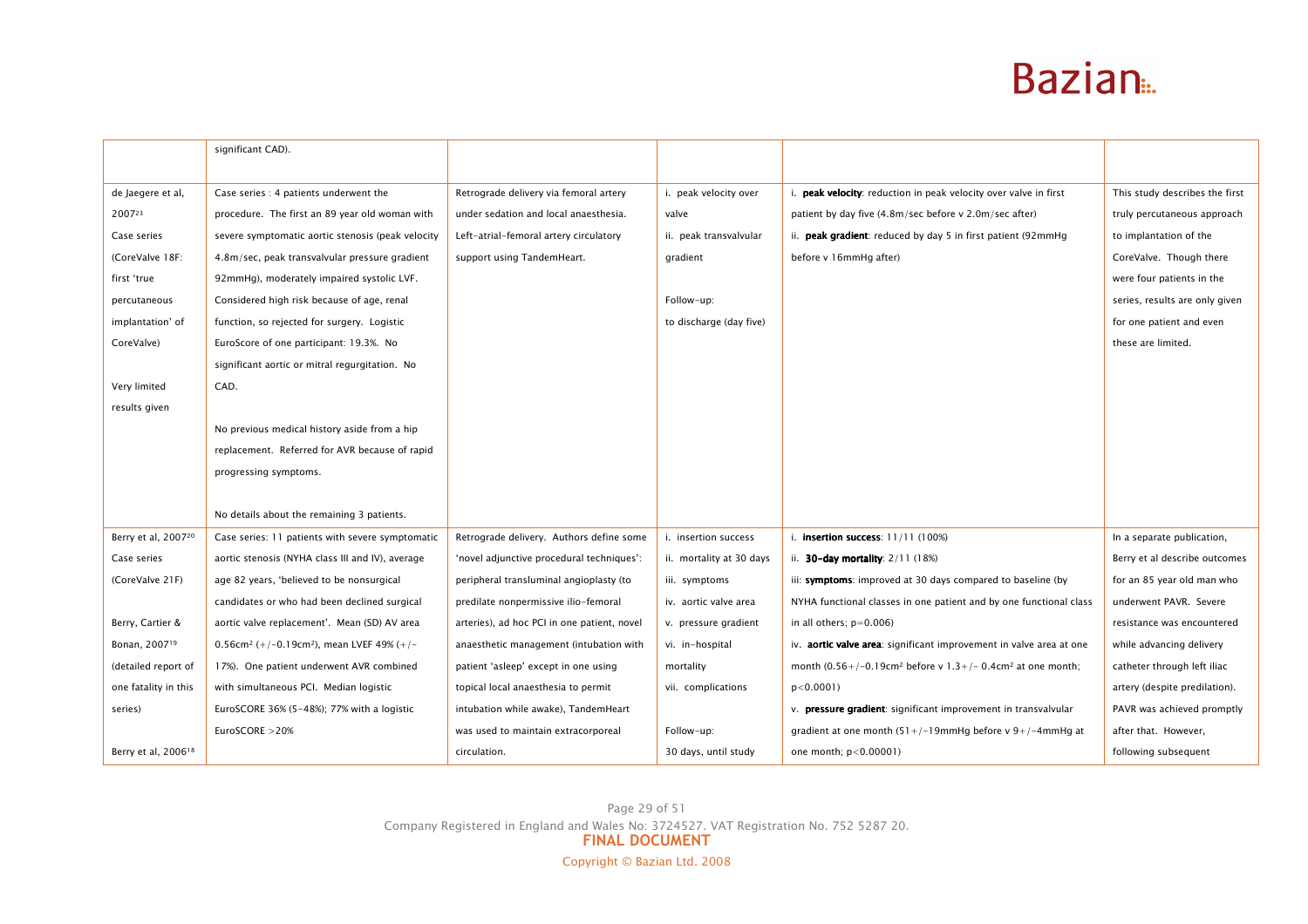|                                 | significant CAD).                                                 |                                             |                          |                                                                             |                                |
|---------------------------------|-------------------------------------------------------------------|---------------------------------------------|--------------------------|-----------------------------------------------------------------------------|--------------------------------|
|                                 |                                                                   |                                             |                          |                                                                             |                                |
| de Jaegere et al,               | Case series : 4 patients underwent the                            | Retrograde delivery via femoral artery      | i. peak velocity over    | i. peak velocity: reduction in peak velocity over valve in first            | This study describes the first |
| 200723                          | procedure. The first an 89 year old woman with                    | under sedation and local anaesthesia.       | valve                    | patient by day five (4.8m/sec before v 2.0m/sec after)                      | truly percutaneous approach    |
| Case series                     | severe symptomatic aortic stenosis (peak velocity                 | Left-atrial-femoral artery circulatory      | ii. peak transvalvular   | ii. peak gradient: reduced by day 5 in first patient (92mmHg                | to implantation of the         |
| (CoreValve 18F:                 | 4.8m/sec, peak transvalvular pressure gradient                    | support using TandemHeart.                  | gradient                 | before v 16mmHg after)                                                      | CoreValve. Though there        |
| first 'true                     | 92mmHg), moderately impaired systolic LVF.                        |                                             |                          |                                                                             | were four patients in the      |
| percutaneous                    | Considered high risk because of age, renal                        |                                             | Follow-up:               |                                                                             | series, results are only given |
| implantation' of                | function, so rejected for surgery. Logistic                       |                                             | to discharge (day five)  |                                                                             | for one patient and even       |
| CoreValve)                      | EuroScore of one participant: 19.3%. No                           |                                             |                          |                                                                             | these are limited.             |
|                                 | significant aortic or mitral regurgitation. No                    |                                             |                          |                                                                             |                                |
| Very limited                    | CAD.                                                              |                                             |                          |                                                                             |                                |
| results given                   |                                                                   |                                             |                          |                                                                             |                                |
|                                 | No previous medical history aside from a hip                      |                                             |                          |                                                                             |                                |
|                                 | replacement. Referred for AVR because of rapid                    |                                             |                          |                                                                             |                                |
|                                 | progressing symptoms.                                             |                                             |                          |                                                                             |                                |
|                                 |                                                                   |                                             |                          |                                                                             |                                |
|                                 | No details about the remaining 3 patients.                        |                                             |                          |                                                                             |                                |
| Berry et al, 200720             | Case series: 11 patients with severe symptomatic                  | Retrograde delivery. Authors define some    | i. insertion success     | i. insertion success: 11/11 (100%)                                          | In a separate publication,     |
| Case series                     | aortic stenosis (NYHA class III and IV), average                  | 'novel adjunctive procedural techniques':   | ii. mortality at 30 days | ii. <b>30-day mortality</b> : $2/11$ (18%)                                  | Berry et al describe outcomes  |
| (CoreValve 21F)                 | age 82 years, 'believed to be nonsurgical                         | peripheral transluminal angioplasty (to     | iii. symptoms            | iii: symptoms: improved at 30 days compared to baseline (by                 | for an 85 year old man who     |
|                                 | candidates or who had been declined surgical                      | predilate nonpermissive ilio-femoral        | iv. aortic valve area    | NYHA functional classes in one patient and by one functional class          | underwent PAVR. Severe         |
| Berry, Cartier &                | aortic valve replacement'. Mean (SD) AV area                      | arteries), ad hoc PCI in one patient, novel | v. pressure gradient     | in all others; $p=0.006$ )                                                  | resistance was encountered     |
| Bonan, 2007 <sup>19</sup>       | 0.56cm <sup>2</sup> (+/-0.19cm <sup>2</sup> ), mean LVEF 49% (+/- | anaesthetic management (intubation with     | vi. in-hospital          | iv. <b>aortic valve area</b> : significant improvement in valve area at one | while advancing delivery       |
| (detailed report of             | 17%). One patient underwent AVR combined                          | patient 'asleep' except in one using        | mortality                | month $(0.56+/-0.19cm^2$ before v 1.3+/- 0.4cm <sup>2</sup> at one month;   | catheter through left iliac    |
| one fatality in this            | with simultaneous PCI. Median logistic                            | topical local anaesthesia to permit         | vii. complications       | $p < 0.0001$ )                                                              | artery (despite predilation).  |
| series)                         | EuroSCORE 36% $(5-48%)$ ; 77% with a logistic                     | intubation while awake), TandemHeart        |                          | v. <b>pressure gradient</b> : significant improvement in transvalvular      | PAVR was achieved promptly     |
|                                 | EuroSCORE > 20%                                                   | was used to maintain extracorporeal         | Follow-up:               | gradient at one month $(51+/-19$ mmHg before v 9+/-4mmHg at                 | after that. However,           |
| Berry et al, 2006 <sup>18</sup> |                                                                   | circulation.                                | 30 days, until study     | one month; p<0.00001)                                                       | following subsequent           |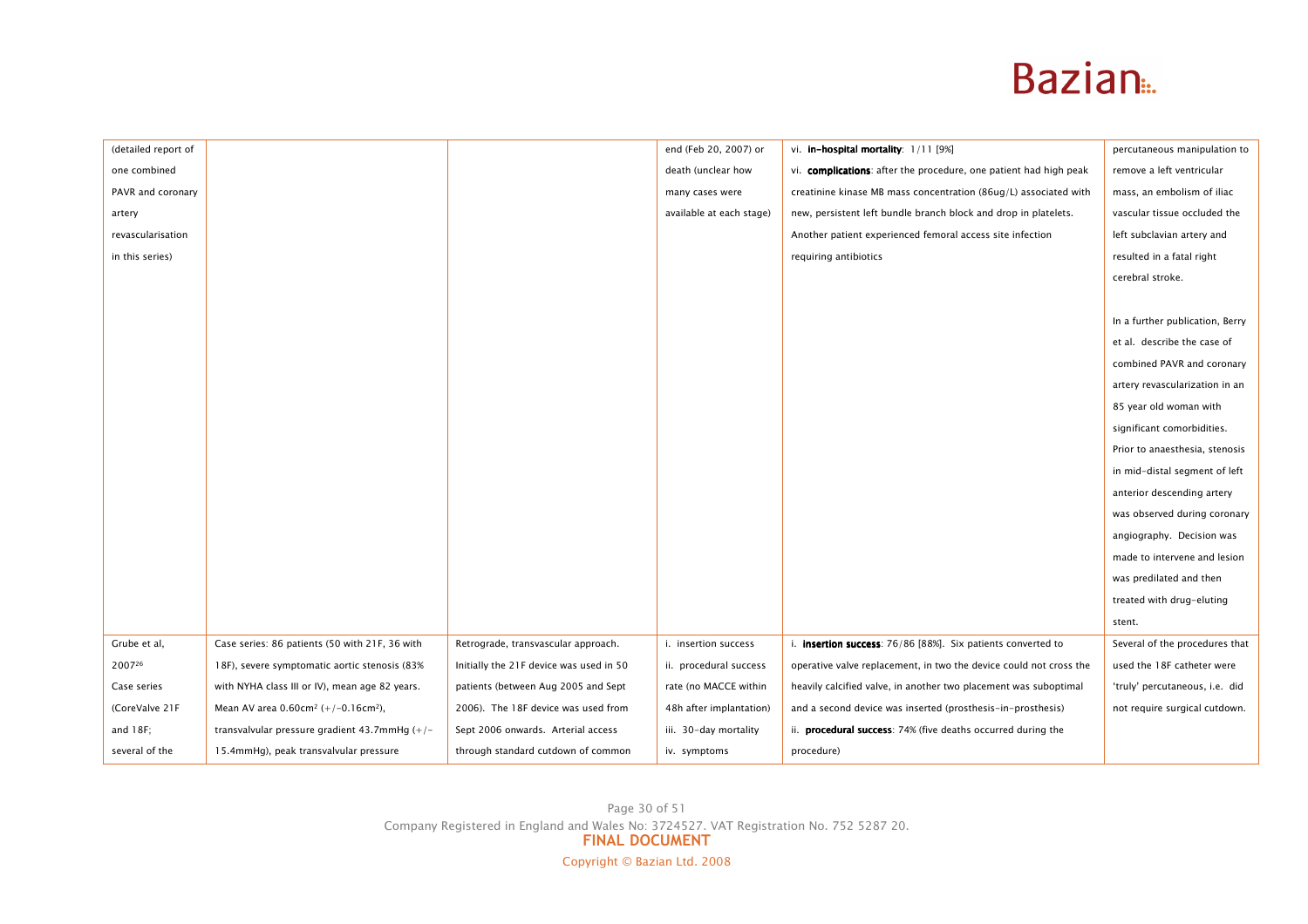| (detailed report of |                                                                |                                         | end (Feb 20, 2007) or    | vi. in-hospital mortality: 1/11 [9%]                                 | percutaneous manipulation to    |
|---------------------|----------------------------------------------------------------|-----------------------------------------|--------------------------|----------------------------------------------------------------------|---------------------------------|
| one combined        |                                                                |                                         | death (unclear how       | vi. complications: after the procedure, one patient had high peak    | remove a left ventricular       |
| PAVR and coronary   |                                                                |                                         | many cases were          | creatinine kinase MB mass concentration (86ug/L) associated with     | mass, an embolism of iliac      |
| artery              |                                                                |                                         | available at each stage) | new, persistent left bundle branch block and drop in platelets.      | vascular tissue occluded the    |
| revascularisation   |                                                                |                                         |                          | Another patient experienced femoral access site infection            | left subclavian artery and      |
| in this series)     |                                                                |                                         |                          | requiring antibiotics                                                | resulted in a fatal right       |
|                     |                                                                |                                         |                          |                                                                      | cerebral stroke.                |
|                     |                                                                |                                         |                          |                                                                      |                                 |
|                     |                                                                |                                         |                          |                                                                      | In a further publication, Berry |
|                     |                                                                |                                         |                          |                                                                      | et al. describe the case of     |
|                     |                                                                |                                         |                          |                                                                      | combined PAVR and coronary      |
|                     |                                                                |                                         |                          |                                                                      | artery revascularization in an  |
|                     |                                                                |                                         |                          |                                                                      | 85 year old woman with          |
|                     |                                                                |                                         |                          |                                                                      | significant comorbidities.      |
|                     |                                                                |                                         |                          |                                                                      | Prior to anaesthesia, stenosis  |
|                     |                                                                |                                         |                          |                                                                      | in mid-distal segment of left   |
|                     |                                                                |                                         |                          |                                                                      | anterior descending artery      |
|                     |                                                                |                                         |                          |                                                                      | was observed during coronary    |
|                     |                                                                |                                         |                          |                                                                      | angiography. Decision was       |
|                     |                                                                |                                         |                          |                                                                      | made to intervene and lesion    |
|                     |                                                                |                                         |                          |                                                                      | was predilated and then         |
|                     |                                                                |                                         |                          |                                                                      | treated with drug-eluting       |
|                     |                                                                |                                         |                          |                                                                      | stent.                          |
| Grube et al,        | Case series: 86 patients (50 with 21F, 36 with                 | Retrograde, transvascular approach.     | i. insertion success     | i. <b>insertion success</b> : 76/86 [88%]. Six patients converted to | Several of the procedures that  |
| 200726              | 18F), severe symptomatic aortic stenosis (83%                  | Initially the 21F device was used in 50 | ii. procedural success   | operative valve replacement, in two the device could not cross the   | used the 18F catheter were      |
| Case series         | with NYHA class III or IV), mean age 82 years.                 | patients (between Aug 2005 and Sept     | rate (no MACCE within    | heavily calcified valve, in another two placement was suboptimal     | 'truly' percutaneous, i.e. did  |
| (CoreValve 21F      | Mean AV area $0.60$ cm <sup>2</sup> (+/-0.16cm <sup>2</sup> ), | 2006). The 18F device was used from     | 48h after implantation)  | and a second device was inserted (prosthesis-in-prosthesis)          | not require surgical cutdown.   |
| and $18F$ ;         | transvalvular pressure gradient 43.7mmHg $(+/-)$               | Sept 2006 onwards. Arterial access      | iii. 30-day mortality    | ii. <b>procedural success</b> : 74% (five deaths occurred during the |                                 |
| several of the      | 15.4mmHg), peak transvalvular pressure                         | through standard cutdown of common      | iv. symptoms             | procedure)                                                           |                                 |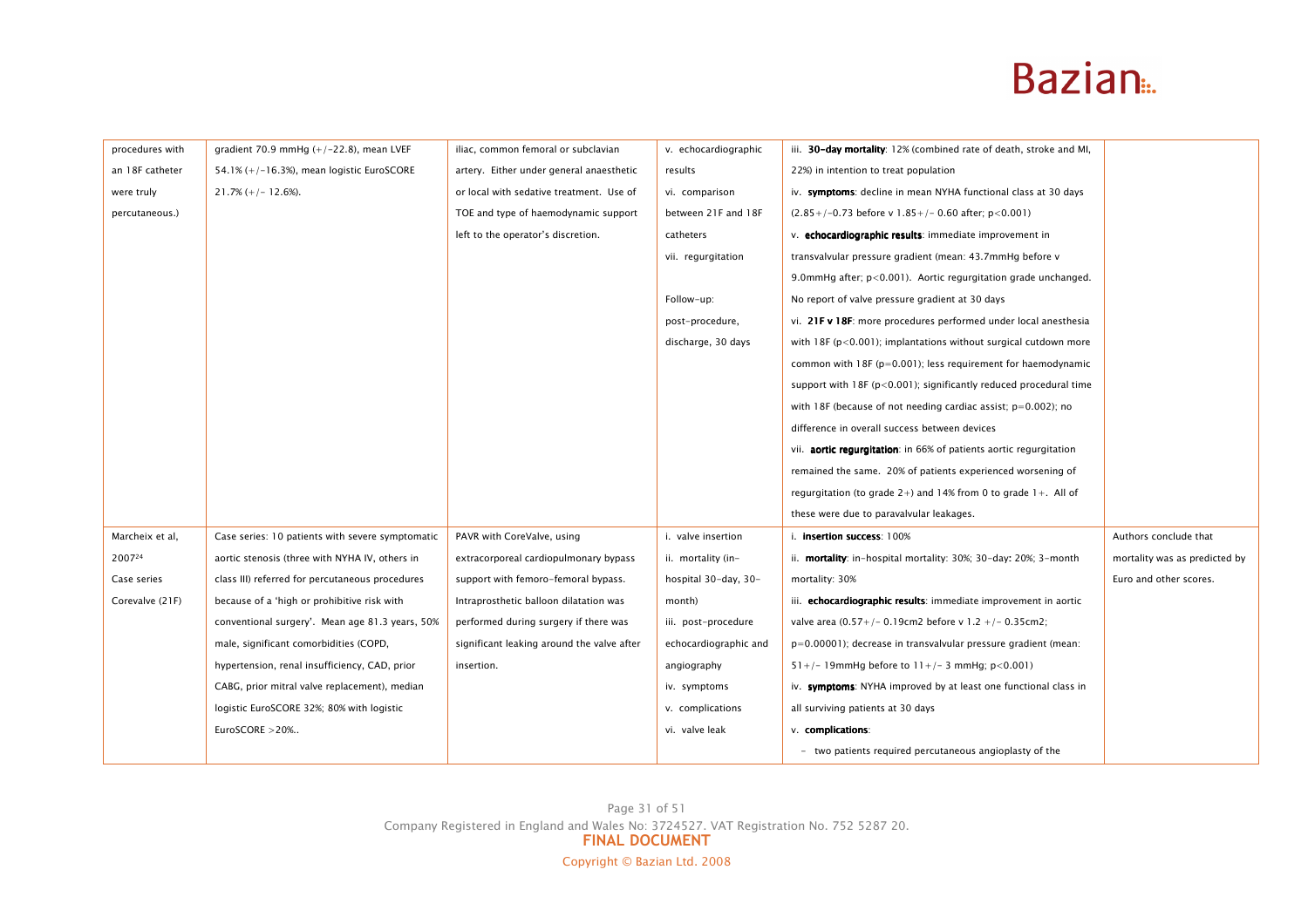| procedures with | gradient 70.9 mmHg $(+/-22.8)$ , mean LVEF       | iliac, common femoral or subclavian        | v. echocardiographic  | iii. 30-day mortality: 12% (combined rate of death, stroke and MI,    |                               |
|-----------------|--------------------------------------------------|--------------------------------------------|-----------------------|-----------------------------------------------------------------------|-------------------------------|
| an 18F catheter | 54.1% $(+/-16.3)$ , mean logistic EuroSCORE      | artery. Either under general anaesthetic   | results               | 22%) in intention to treat population                                 |                               |
| were truly      | $21.7\% (+/- 12.6\%).$                           | or local with sedative treatment. Use of   | vi. comparison        | iv. symptoms: decline in mean NYHA functional class at 30 days        |                               |
| percutaneous.)  |                                                  | TOE and type of haemodynamic support       | between 21F and 18F   | $(2.85+/-0.73$ before v 1.85+/- 0.60 after; p<0.001)                  |                               |
|                 |                                                  | left to the operator's discretion.         | catheters             | v. echocardiographic results: immediate improvement in                |                               |
|                 |                                                  |                                            | vii. regurgitation    | transvalvular pressure gradient (mean: 43.7mmHg before v              |                               |
|                 |                                                  |                                            |                       | 9.0mmHg after; p<0.001). Aortic regurgitation grade unchanged.        |                               |
|                 |                                                  |                                            | Follow-up:            | No report of valve pressure gradient at 30 days                       |                               |
|                 |                                                  |                                            | post-procedure,       | vi. 21F v 18F: more procedures performed under local anesthesia       |                               |
|                 |                                                  |                                            | discharge, 30 days    | with 18F ( $p < 0.001$ ); implantations without surgical cutdown more |                               |
|                 |                                                  |                                            |                       | common with $18F$ ( $p=0.001$ ); less requirement for haemodynamic    |                               |
|                 |                                                  |                                            |                       | support with $18F (p<0.001)$ ; significantly reduced procedural time  |                               |
|                 |                                                  |                                            |                       | with 18F (because of not needing cardiac assist; $p=0.002$ ); no      |                               |
|                 |                                                  |                                            |                       | difference in overall success between devices                         |                               |
|                 |                                                  |                                            |                       | vii. aortic regurgitation: in 66% of patients aortic regurgitation    |                               |
|                 |                                                  |                                            |                       | remained the same. 20% of patients experienced worsening of           |                               |
|                 |                                                  |                                            |                       | requrgitation (to grade $2+$ ) and 14% from 0 to grade $1+$ . All of  |                               |
|                 |                                                  |                                            |                       | these were due to paravalvular leakages.                              |                               |
| Marcheix et al, | Case series: 10 patients with severe symptomatic | PAVR with CoreValve, using                 | i. valve insertion    | i. <b>insertion success</b> : 100%                                    | Authors conclude that         |
| 200724          | aortic stenosis (three with NYHA IV, others in   | extracorporeal cardiopulmonary bypass      | ii. mortality (in-    | ii. mortality: in-hospital mortality: 30%; 30-day: 20%; 3-month       | mortality was as predicted by |
| Case series     | class III) referred for percutaneous procedures  | support with femoro-femoral bypass.        | hospital 30-day, 30-  | mortality: 30%                                                        | Euro and other scores.        |
| Corevalve (21F) | because of a 'high or prohibitive risk with      | Intraprosthetic balloon dilatation was     | month)                | iii. echocardiographic results: immediate improvement in aortic       |                               |
|                 | conventional surgery'. Mean age 81.3 years, 50%  | performed during surgery if there was      | iii. post-procedure   | valve area (0.57+/- 0.19cm2 before v 1.2 +/- 0.35cm2;                 |                               |
|                 | male, significant comorbidities (COPD,           | significant leaking around the valve after | echocardiographic and | $p=0.00001$ ); decrease in transvalvular pressure gradient (mean:     |                               |
|                 | hypertension, renal insufficiency, CAD, prior    | insertion.                                 | angiography           | $51+/- 19$ mmHg before to $11+/- 3$ mmHg; p<0.001)                    |                               |
|                 | CABG, prior mitral valve replacement), median    |                                            | iv. symptoms          | iv. symptoms: NYHA improved by at least one functional class in       |                               |
|                 | logistic EuroSCORE 32%; 80% with logistic        |                                            | v. complications      | all surviving patients at 30 days                                     |                               |
|                 | EuroSCORE > 20%                                  |                                            | vi. valve leak        | v. complications:                                                     |                               |
|                 |                                                  |                                            |                       | - two patients required percutaneous angioplasty of the               |                               |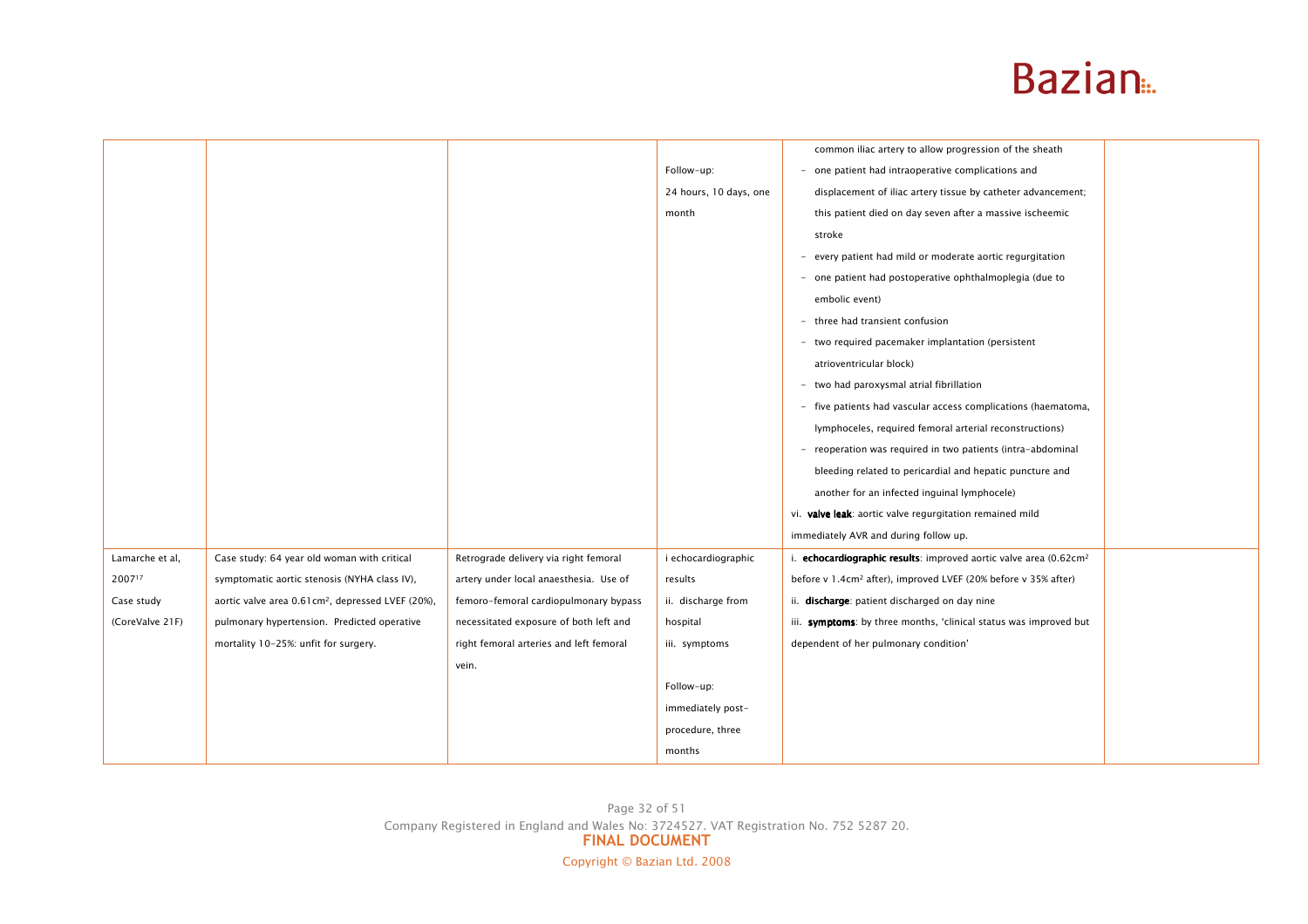|                                                                |                                         |                        | common iliac artery to allow progression of the sheath                        |  |
|----------------------------------------------------------------|-----------------------------------------|------------------------|-------------------------------------------------------------------------------|--|
|                                                                |                                         | Follow-up:             | - one patient had intraoperative complications and                            |  |
|                                                                |                                         | 24 hours, 10 days, one | displacement of iliac artery tissue by catheter advancement;                  |  |
|                                                                |                                         | month                  | this patient died on day seven after a massive ischeemic                      |  |
|                                                                |                                         |                        | stroke                                                                        |  |
|                                                                |                                         |                        | - every patient had mild or moderate aortic regurgitation                     |  |
|                                                                |                                         |                        | - one patient had postoperative ophthalmoplegia (due to                       |  |
|                                                                |                                         |                        | embolic event)                                                                |  |
|                                                                |                                         |                        | - three had transient confusion                                               |  |
|                                                                |                                         |                        | - two required pacemaker implantation (persistent                             |  |
|                                                                |                                         |                        | atrioventricular block)                                                       |  |
|                                                                |                                         |                        | - two had paroxysmal atrial fibrillation                                      |  |
|                                                                |                                         |                        | - five patients had vascular access complications (haematoma,                 |  |
|                                                                |                                         |                        | lymphoceles, required femoral arterial reconstructions)                       |  |
|                                                                |                                         |                        | - reoperation was required in two patients (intra-abdominal                   |  |
|                                                                |                                         |                        | bleeding related to pericardial and hepatic puncture and                      |  |
|                                                                |                                         |                        | another for an infected inguinal lymphocele)                                  |  |
|                                                                |                                         |                        | vi. valve leak: aortic valve regurgitation remained mild                      |  |
|                                                                |                                         |                        | immediately AVR and during follow up.                                         |  |
| Case study: 64 year old woman with critical                    | Retrograde delivery via right femoral   | i echocardiographic    | i. echocardiographic results: improved aortic valve area (0.62cm <sup>2</sup> |  |
| symptomatic aortic stenosis (NYHA class IV),                   | artery under local anaesthesia. Use of  | results                | before v 1.4cm <sup>2</sup> after), improved LVEF (20% before v 35% after)    |  |
| aortic valve area 0.61 cm <sup>2</sup> , depressed LVEF (20%), | femoro-femoral cardiopulmonary bypass   | ii. discharge from     | ii. discharge: patient discharged on day nine                                 |  |
| pulmonary hypertension. Predicted operative                    | necessitated exposure of both left and  | hospital               | iii. symptoms: by three months, 'clinical status was improved but             |  |
| mortality 10-25%: unfit for surgery.                           | right femoral arteries and left femoral | iii. symptoms          | dependent of her pulmonary condition'                                         |  |
|                                                                | vein.                                   |                        |                                                                               |  |
|                                                                |                                         | Follow-up:             |                                                                               |  |
|                                                                |                                         | immediately post-      |                                                                               |  |
|                                                                |                                         | procedure, three       |                                                                               |  |
|                                                                |                                         | months                 |                                                                               |  |
|                                                                |                                         |                        |                                                                               |  |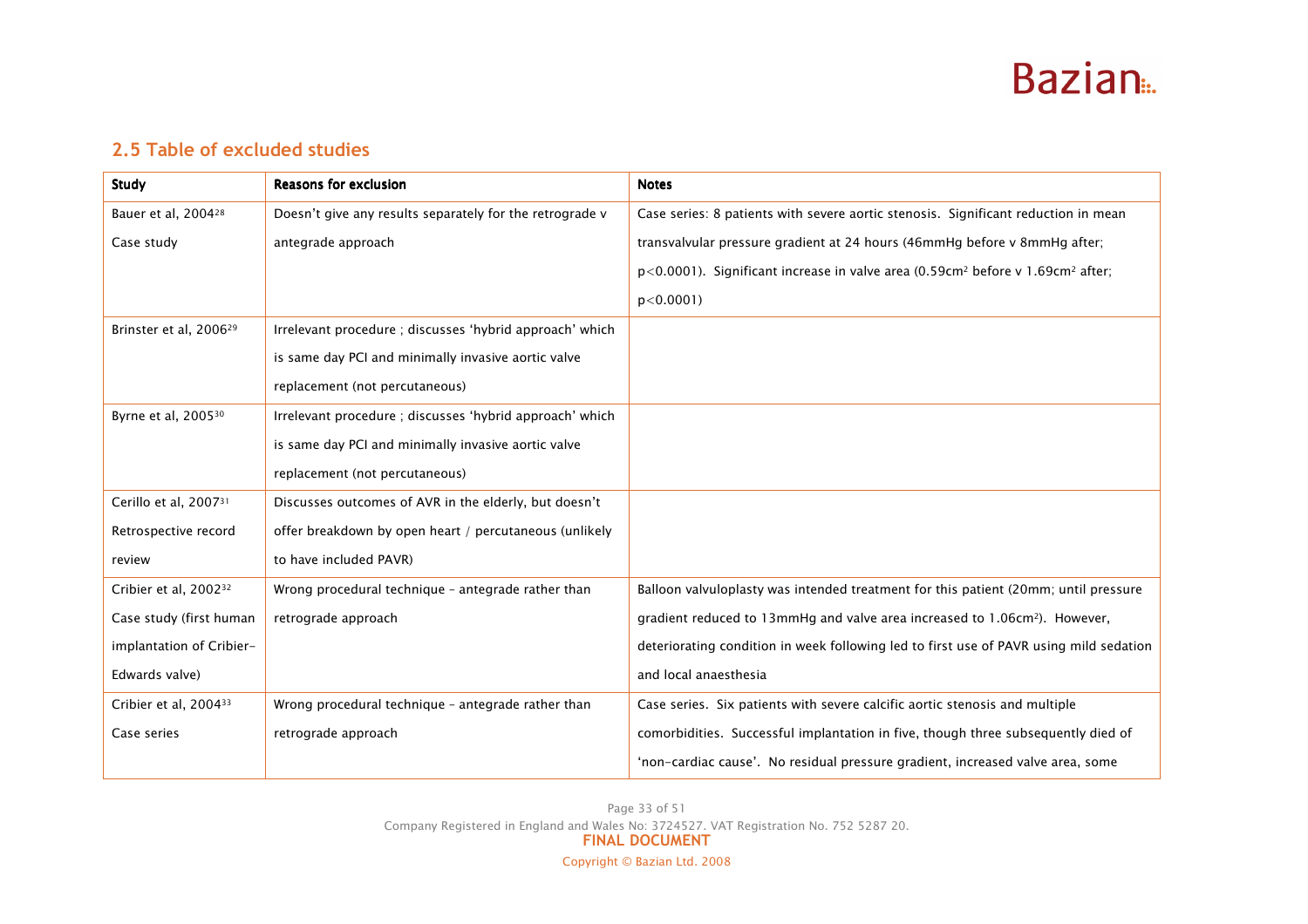

### 2.5 Table of excluded studies

| <b>Study</b>                       | <b>Reasons for exclusion</b>                             | <b>Notes</b>                                                                                              |
|------------------------------------|----------------------------------------------------------|-----------------------------------------------------------------------------------------------------------|
| Bauer et al, 2004 <sup>28</sup>    | Doesn't give any results separately for the retrograde v | Case series: 8 patients with severe aortic stenosis. Significant reduction in mean                        |
| Case study                         | antegrade approach                                       | transvalvular pressure gradient at 24 hours (46mmHg before v 8mmHg after;                                 |
|                                    |                                                          | $p$ <0.0001). Significant increase in valve area (0.59cm <sup>2</sup> before v 1.69cm <sup>2</sup> after; |
|                                    |                                                          | $p < 0.0001$ )                                                                                            |
| Brinster et al, 2006 <sup>29</sup> | Irrelevant procedure; discusses 'hybrid approach' which  |                                                                                                           |
|                                    | is same day PCI and minimally invasive aortic valve      |                                                                                                           |
|                                    | replacement (not percutaneous)                           |                                                                                                           |
| Byrne et al, 2005 <sup>30</sup>    | Irrelevant procedure; discusses 'hybrid approach' which  |                                                                                                           |
|                                    | is same day PCI and minimally invasive aortic valve      |                                                                                                           |
|                                    | replacement (not percutaneous)                           |                                                                                                           |
| Cerillo et al, 200731              | Discusses outcomes of AVR in the elderly, but doesn't    |                                                                                                           |
| Retrospective record               | offer breakdown by open heart / percutaneous (unlikely   |                                                                                                           |
| review                             | to have included PAVR)                                   |                                                                                                           |
| Cribier et al, 2002 <sup>32</sup>  | Wrong procedural technique - antegrade rather than       | Balloon valvuloplasty was intended treatment for this patient (20mm; until pressure                       |
| Case study (first human            | retrograde approach                                      | gradient reduced to 13mmHg and valve area increased to 1.06cm <sup>2</sup> ). However,                    |
| implantation of Cribier-           |                                                          | deteriorating condition in week following led to first use of PAVR using mild sedation                    |
| Edwards valve)                     |                                                          | and local anaesthesia                                                                                     |
| Cribier et al, 200433              | Wrong procedural technique - antegrade rather than       | Case series. Six patients with severe calcific aortic stenosis and multiple                               |
| Case series                        | retrograde approach                                      | comorbidities. Successful implantation in five, though three subsequently died of                         |
|                                    |                                                          | 'non-cardiac cause'. No residual pressure gradient, increased valve area, some                            |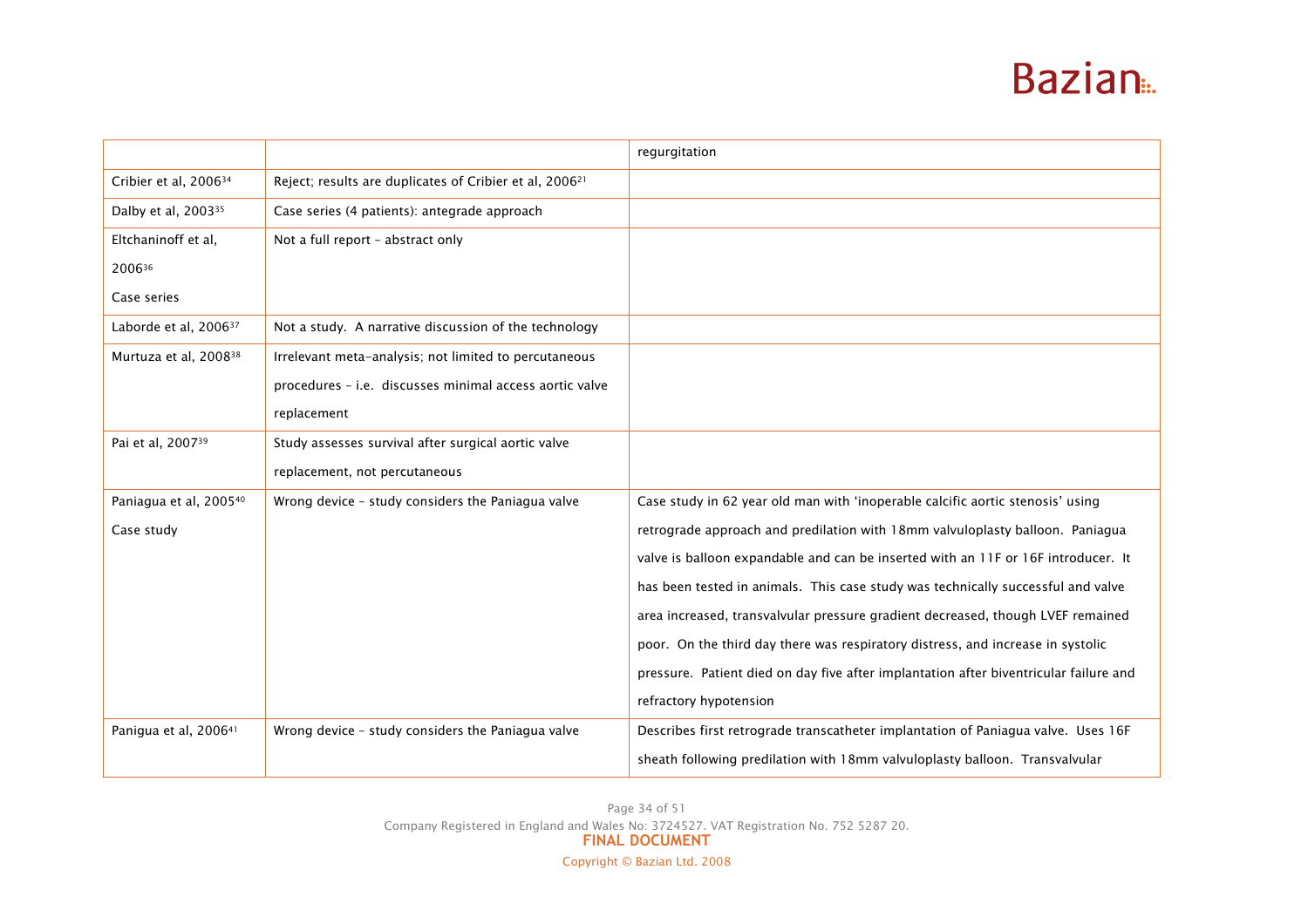|                                   |                                                                     | regurgitation                                                                         |
|-----------------------------------|---------------------------------------------------------------------|---------------------------------------------------------------------------------------|
| Cribier et al, 2006 <sup>34</sup> | Reject; results are duplicates of Cribier et al, 2006 <sup>21</sup> |                                                                                       |
| Dalby et al, 2003 <sup>35</sup>   | Case series (4 patients): antegrade approach                        |                                                                                       |
| Eltchaninoff et al,               | Not a full report - abstract only                                   |                                                                                       |
| 200636                            |                                                                     |                                                                                       |
| Case series                       |                                                                     |                                                                                       |
| Laborde et al, 2006 <sup>37</sup> | Not a study. A narrative discussion of the technology               |                                                                                       |
| Murtuza et al, 2008 <sup>38</sup> | Irrelevant meta-analysis; not limited to percutaneous               |                                                                                       |
|                                   | procedures - i.e. discusses minimal access aortic valve             |                                                                                       |
|                                   | replacement                                                         |                                                                                       |
| Pai et al, 200739                 | Study assesses survival after surgical aortic valve                 |                                                                                       |
|                                   | replacement, not percutaneous                                       |                                                                                       |
| Paniagua et al, 200540            | Wrong device - study considers the Paniagua valve                   | Case study in 62 year old man with 'inoperable calcific aortic stenosis' using        |
| Case study                        |                                                                     | retrograde approach and predilation with 18mm valvuloplasty balloon. Paniagua         |
|                                   |                                                                     | valve is balloon expandable and can be inserted with an 11F or 16F introducer. It     |
|                                   |                                                                     | has been tested in animals. This case study was technically successful and valve      |
|                                   |                                                                     | area increased, transvalvular pressure gradient decreased, though LVEF remained       |
|                                   |                                                                     | poor. On the third day there was respiratory distress, and increase in systolic       |
|                                   |                                                                     | pressure. Patient died on day five after implantation after biventricular failure and |
|                                   |                                                                     | refractory hypotension                                                                |
| Panigua et al, 2006 <sup>41</sup> | Wrong device - study considers the Paniagua valve                   | Describes first retrograde transcatheter implantation of Paniagua valve. Uses 16F     |
|                                   |                                                                     | sheath following predilation with 18mm valvuloplasty balloon. Transvalvular           |

Page 34 of 51 Company Registered in England and Wales No: 3724527. VAT Registration No. 752 5287 20.<br>FINAL DOCUMENT Copyright © Bazian Ltd. 2008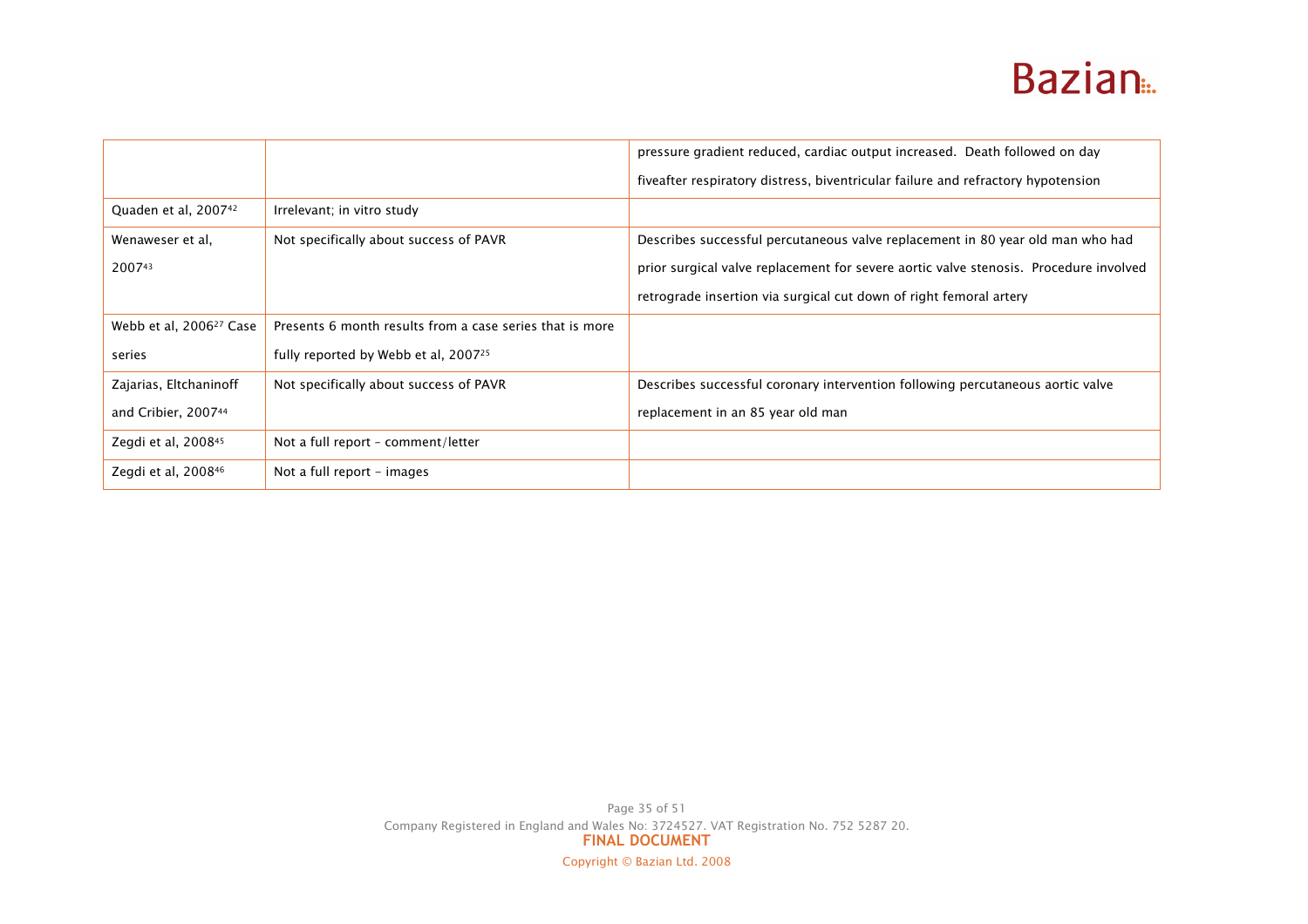|                                     |                                                          | pressure gradient reduced, cardiac output increased. Death followed on day            |
|-------------------------------------|----------------------------------------------------------|---------------------------------------------------------------------------------------|
|                                     |                                                          | fiveafter respiratory distress, biventricular failure and refractory hypotension      |
| Quaden et al, 2007 <sup>42</sup>    | Irrelevant; in vitro study                               |                                                                                       |
| Wenaweser et al,                    | Not specifically about success of PAVR                   | Describes successful percutaneous valve replacement in 80 year old man who had        |
| 200743                              |                                                          | prior surgical valve replacement for severe aortic valve stenosis. Procedure involved |
|                                     |                                                          | retrograde insertion via surgical cut down of right femoral artery                    |
| Webb et al, 2006 <sup>27</sup> Case | Presents 6 month results from a case series that is more |                                                                                       |
| series                              | fully reported by Webb et al, 2007 <sup>25</sup>         |                                                                                       |
| Zajarias, Eltchaninoff              | Not specifically about success of PAVR                   | Describes successful coronary intervention following percutaneous aortic valve        |
| and Cribier, 200744                 |                                                          | replacement in an 85 year old man                                                     |
| Zegdi et al, 2008 <sup>45</sup>     | Not a full report - comment/letter                       |                                                                                       |
| Zegdi et al, 2008 <sup>46</sup>     | Not a full report - images                               |                                                                                       |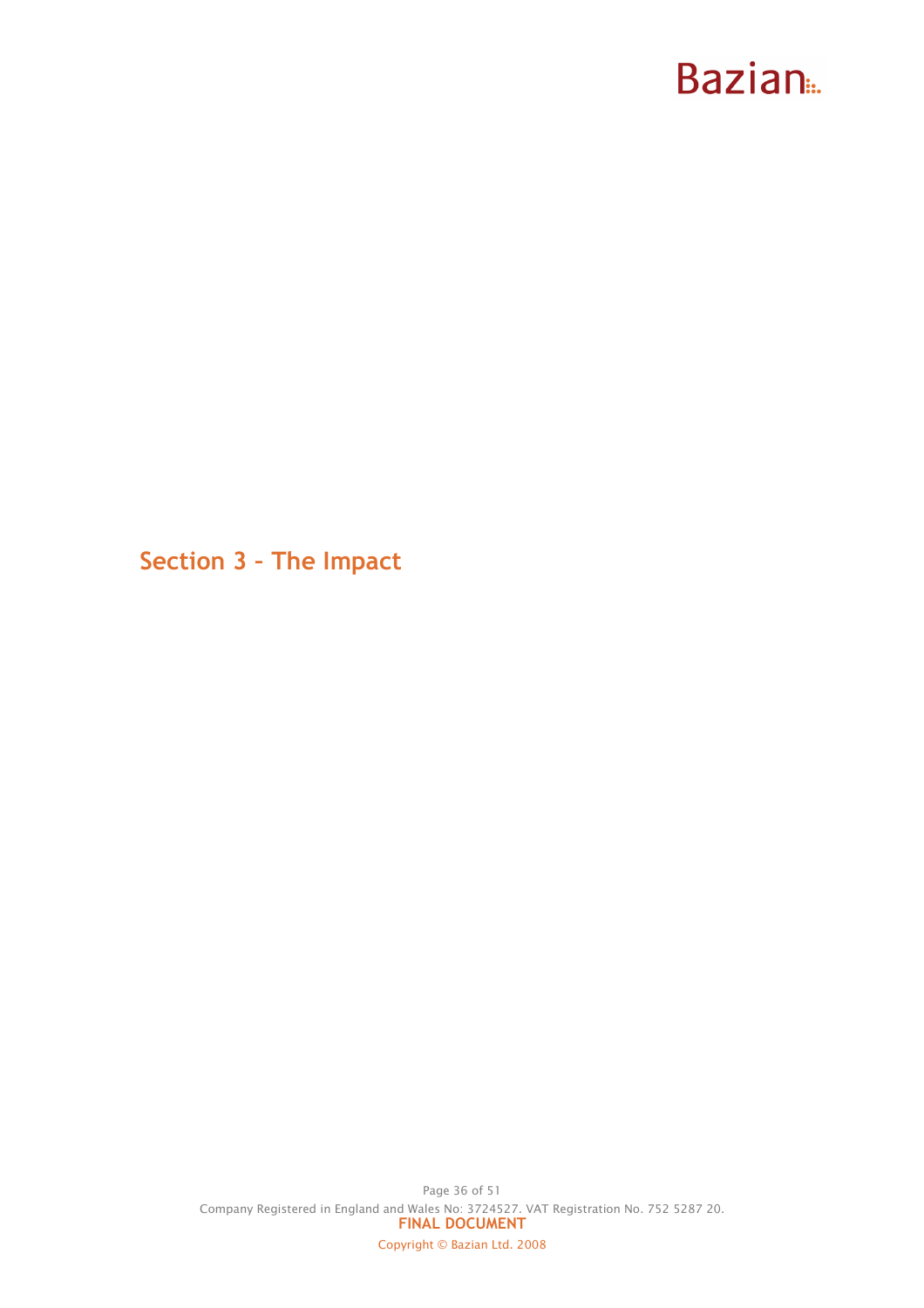Section 3 – The Impact

Page 36 of 51 Company Registered in England and Wales No: 3724527. VAT Registration No. 752 5287 20. FINAL DOCUMENT Copyright © Bazian Ltd. 2008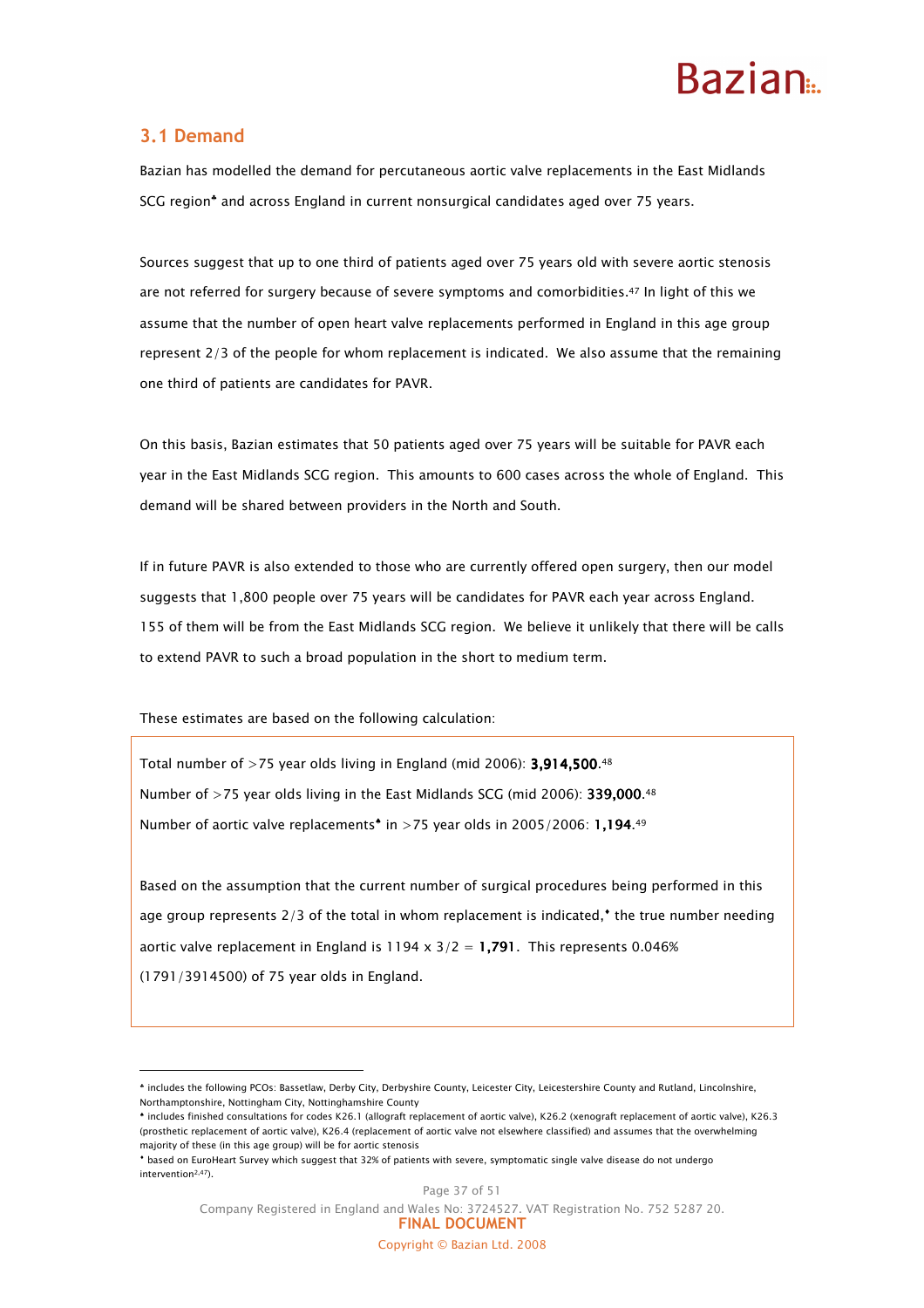### 3.1 Demand

 $\overline{a}$ 

Bazian has modelled the demand for percutaneous aortic valve replacements in the East Midlands SCG region<sup>\*</sup> and across England in current nonsurgical candidates aged over 75 years.

Sources suggest that up to one third of patients aged over 75 years old with severe aortic stenosis are not referred for surgery because of severe symptoms and comorbidities.47 In light of this we assume that the number of open heart valve replacements performed in England in this age group represent 2/3 of the people for whom replacement is indicated. We also assume that the remaining one third of patients are candidates for PAVR.

On this basis, Bazian estimates that 50 patients aged over 75 years will be suitable for PAVR each year in the East Midlands SCG region. This amounts to 600 cases across the whole of England. This demand will be shared between providers in the North and South.

If in future PAVR is also extended to those who are currently offered open surgery, then our model suggests that 1,800 people over 75 years will be candidates for PAVR each year across England. 155 of them will be from the East Midlands SCG region. We believe it unlikely that there will be calls to extend PAVR to such a broad population in the short to medium term.

These estimates are based on the following calculation:

Total number of  $>75$  year olds living in England (mid 2006): 3.914.500.<sup>48</sup> Number of  $>75$  year olds living in the East Midlands SCG (mid 2006): 339,000.<sup>48</sup> Number of aortic valve replacements<sup> $\text{*}$  in >75 year olds in 2005/2006: 1,194.<sup>49</sup></sup>

Based on the assumption that the current number of surgical procedures being performed in this age group represents 2/3 of the total in whom replacement is indicated, $^*$  the true number needing aortic valve replacement in England is 1194 x  $3/2 = 1.791$ . This represents 0.046% (1791/3914500) of 75 year olds in England.

<sup>♣</sup> includes the following PCOs: Bassetlaw, Derby City, Derbyshire County, Leicester City, Leicestershire County and Rutland, Lincolnshire, Northamptonshire, Nottingham City, Nottinghamshire County

<sup>♠</sup> includes finished consultations for codes K26.1 (allograft replacement of aortic valve), K26.2 (xenograft replacement of aortic valve), K26.3 (prosthetic replacement of aortic valve), K26.4 (replacement of aortic valve not elsewhere classified) and assumes that the overwhelming majority of these (in this age group) will be for aortic stenosis

<sup>♦</sup> based on EuroHeart Survey which suggest that 32% of patients with severe, symptomatic single valve disease do not undergo intervention2,47).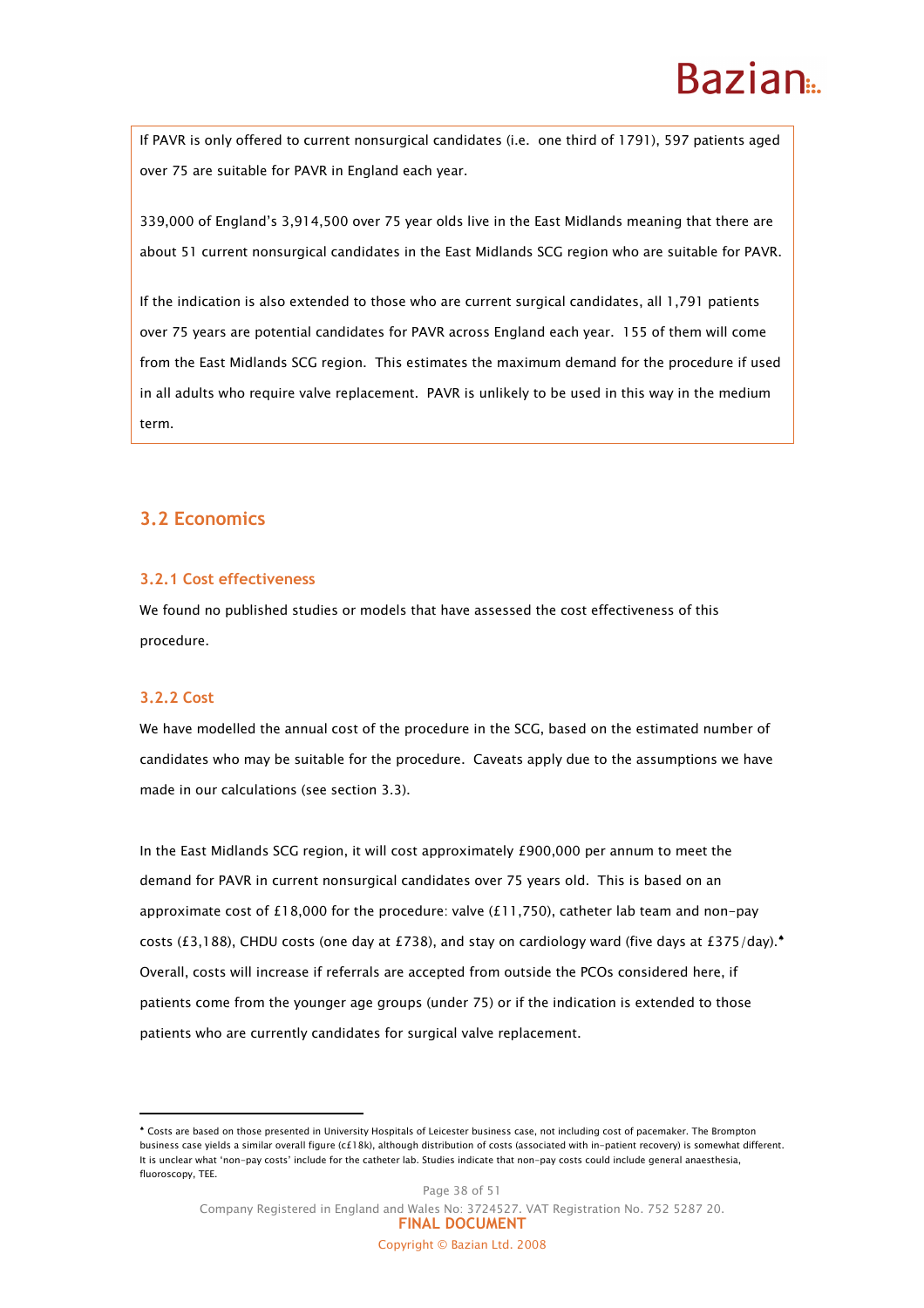### **Razian**

If PAVR is only offered to current nonsurgical candidates (i.e. one third of 1791), 597 patients aged over 75 are suitable for PAVR in England each year.

339,000 of England's 3,914,500 over 75 year olds live in the East Midlands meaning that there are about 51 current nonsurgical candidates in the East Midlands SCG region who are suitable for PAVR.

If the indication is also extended to those who are current surgical candidates, all 1,791 patients over 75 years are potential candidates for PAVR across England each year. 155 of them will come from the East Midlands SCG region. This estimates the maximum demand for the procedure if used in all adults who require valve replacement. PAVR is unlikely to be used in this way in the medium term.

### 3.2 Economics

#### 3.2.1 Cost effectiveness

We found no published studies or models that have assessed the cost effectiveness of this procedure.

#### 3.2.2 Cost

 $\overline{a}$ 

We have modelled the annual cost of the procedure in the SCG, based on the estimated number of candidates who may be suitable for the procedure. Caveats apply due to the assumptions we have made in our calculations (see section 3.3).

In the East Midlands SCG region, it will cost approximately £900,000 per annum to meet the demand for PAVR in current nonsurgical candidates over 75 years old. This is based on an approximate cost of £18,000 for the procedure: valve  $(£11,750)$ , catheter lab team and non-pay costs (£3,188), CHDU costs (one day at £738), and stay on cardiology ward (five days at £375/day).<sup>▲</sup> Overall, costs will increase if referrals are accepted from outside the PCOs considered here, if patients come from the younger age groups (under 75) or if the indication is extended to those patients who are currently candidates for surgical valve replacement.

Page 38 of 51 Company Registered in England and Wales No: 3724527. VAT Registration No. 752 5287 20. FINAL DOCUMENT Copyright © Bazian Ltd. 2008

<sup>♠</sup> Costs are based on those presented in University Hospitals of Leicester business case, not including cost of pacemaker. The Brompton business case yields a similar overall figure (c£18k), although distribution of costs (associated with in-patient recovery) is somewhat different. It is unclear what 'non-pay costs' include for the catheter lab. Studies indicate that non-pay costs could include general anaesthesia, fluoroscopy, TEE.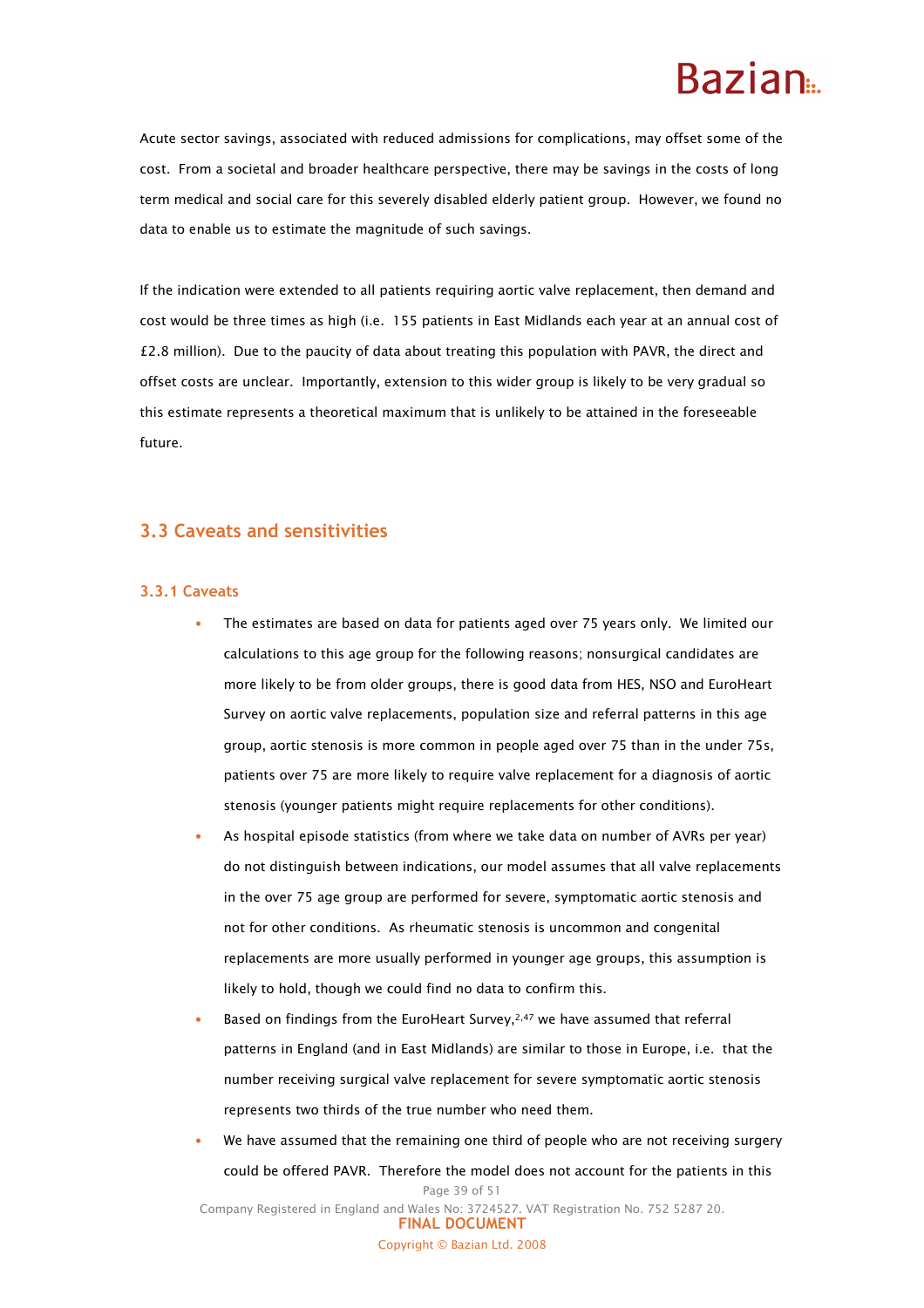Acute sector savings, associated with reduced admissions for complications, may offset some of the cost. From a societal and broader healthcare perspective, there may be savings in the costs of long term medical and social care for this severely disabled elderly patient group. However, we found no data to enable us to estimate the magnitude of such savings.

If the indication were extended to all patients requiring aortic valve replacement, then demand and cost would be three times as high (i.e. 155 patients in East Midlands each year at an annual cost of £2.8 million). Due to the paucity of data about treating this population with PAVR, the direct and offset costs are unclear. Importantly, extension to this wider group is likely to be very gradual so this estimate represents a theoretical maximum that is unlikely to be attained in the foreseeable future.

### 3.3 Caveats and sensitivities

#### 3.3.1 Caveats

- The estimates are based on data for patients aged over 75 years only. We limited our calculations to this age group for the following reasons; nonsurgical candidates are more likely to be from older groups, there is good data from HES, NSO and EuroHeart Survey on aortic valve replacements, population size and referral patterns in this age group, aortic stenosis is more common in people aged over 75 than in the under 75s, patients over 75 are more likely to require valve replacement for a diagnosis of aortic stenosis (younger patients might require replacements for other conditions).
- As hospital episode statistics (from where we take data on number of AVRs per year) do not distinguish between indications, our model assumes that all valve replacements in the over 75 age group are performed for severe, symptomatic aortic stenosis and not for other conditions. As rheumatic stenosis is uncommon and congenital replacements are more usually performed in younger age groups, this assumption is likely to hold, though we could find no data to confirm this.
- Based on findings from the EuroHeart Survey,<sup>2,47</sup> we have assumed that referral patterns in England (and in East Midlands) are similar to those in Europe, i.e. that the number receiving surgical valve replacement for severe symptomatic aortic stenosis represents two thirds of the true number who need them.
- Page 39 of 51 Company Registered in England and Wales No: 3724527. VAT Registration No. 752 5287 20. FINAL DOCUMENT We have assumed that the remaining one third of people who are not receiving surgery could be offered PAVR. Therefore the model does not account for the patients in this

Copyright © Bazian Ltd. 2008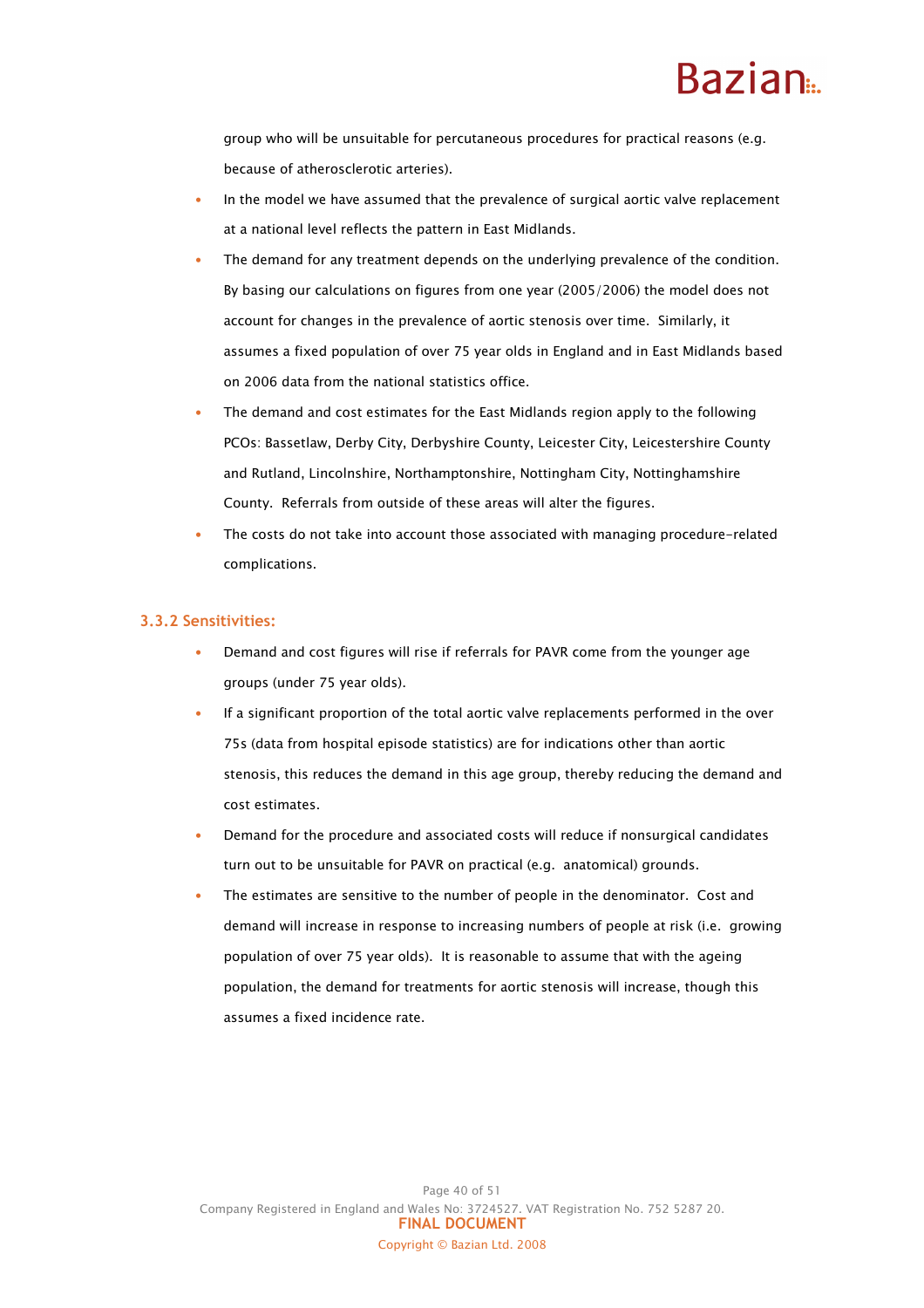# Razian<sub>a</sub>

group who will be unsuitable for percutaneous procedures for practical reasons (e.g. because of atherosclerotic arteries).

- In the model we have assumed that the prevalence of surgical aortic valve replacement at a national level reflects the pattern in East Midlands.
- The demand for any treatment depends on the underlying prevalence of the condition. By basing our calculations on figures from one year (2005/2006) the model does not account for changes in the prevalence of aortic stenosis over time. Similarly, it assumes a fixed population of over 75 year olds in England and in East Midlands based on 2006 data from the national statistics office.
- The demand and cost estimates for the East Midlands region apply to the following PCOs: Bassetlaw, Derby City, Derbyshire County, Leicester City, Leicestershire County and Rutland, Lincolnshire, Northamptonshire, Nottingham City, Nottinghamshire County. Referrals from outside of these areas will alter the figures.
- The costs do not take into account those associated with managing procedure-related complications.

#### 3.3.2 Sensitivities:

- Demand and cost figures will rise if referrals for PAVR come from the younger age groups (under 75 year olds).
- If a significant proportion of the total aortic valve replacements performed in the over 75s (data from hospital episode statistics) are for indications other than aortic stenosis, this reduces the demand in this age group, thereby reducing the demand and cost estimates.
- Demand for the procedure and associated costs will reduce if nonsurgical candidates turn out to be unsuitable for PAVR on practical (e.g. anatomical) grounds.
- The estimates are sensitive to the number of people in the denominator. Cost and demand will increase in response to increasing numbers of people at risk (i.e. growing population of over 75 year olds). It is reasonable to assume that with the ageing population, the demand for treatments for aortic stenosis will increase, though this assumes a fixed incidence rate.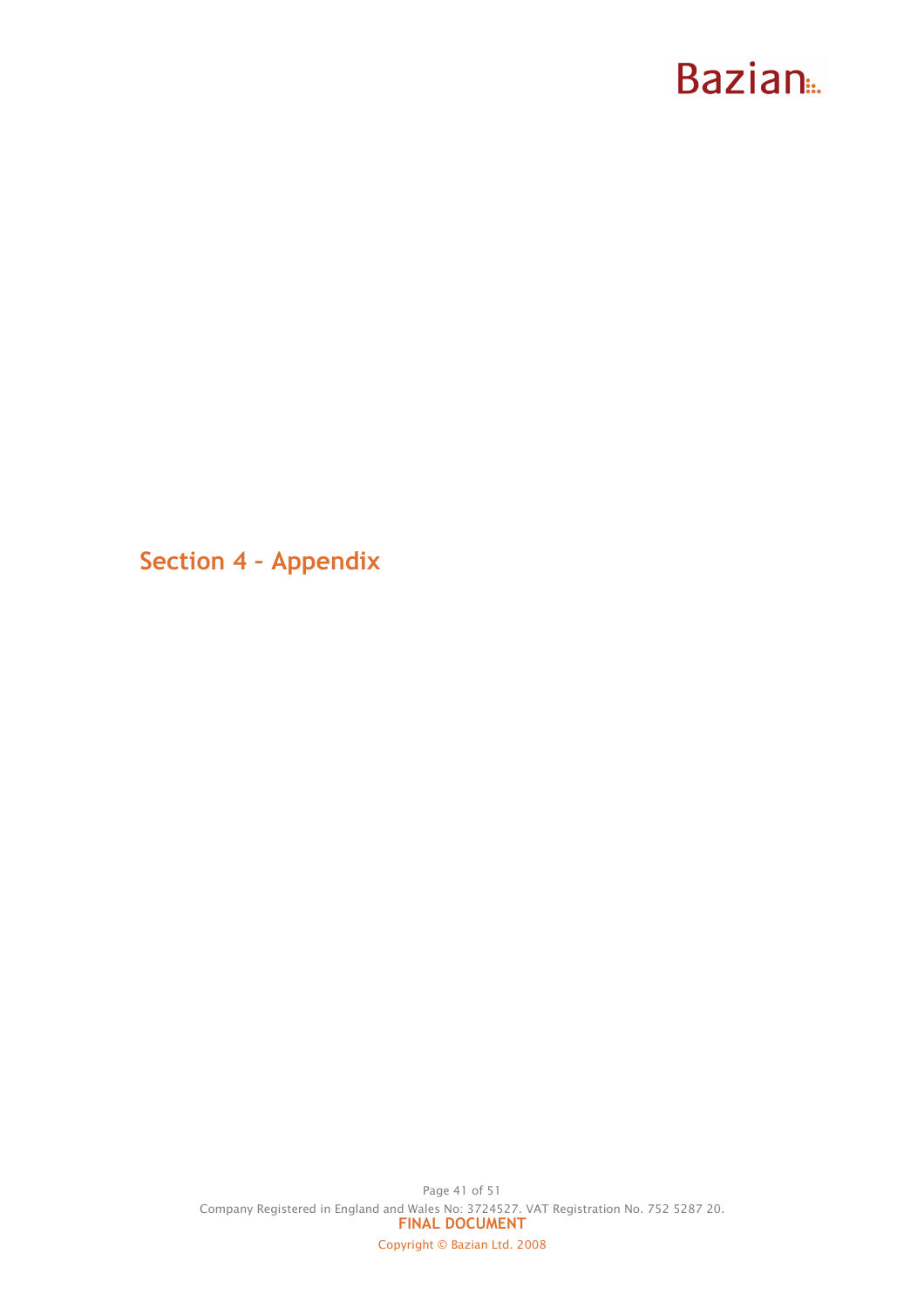Section 4 – Appendix

Page 41 of 51 Company Registered in England and Wales No: 3724527. VAT Registration No. 752 5287 20. FINAL DOCUMENT Copyright © Bazian Ltd. 2008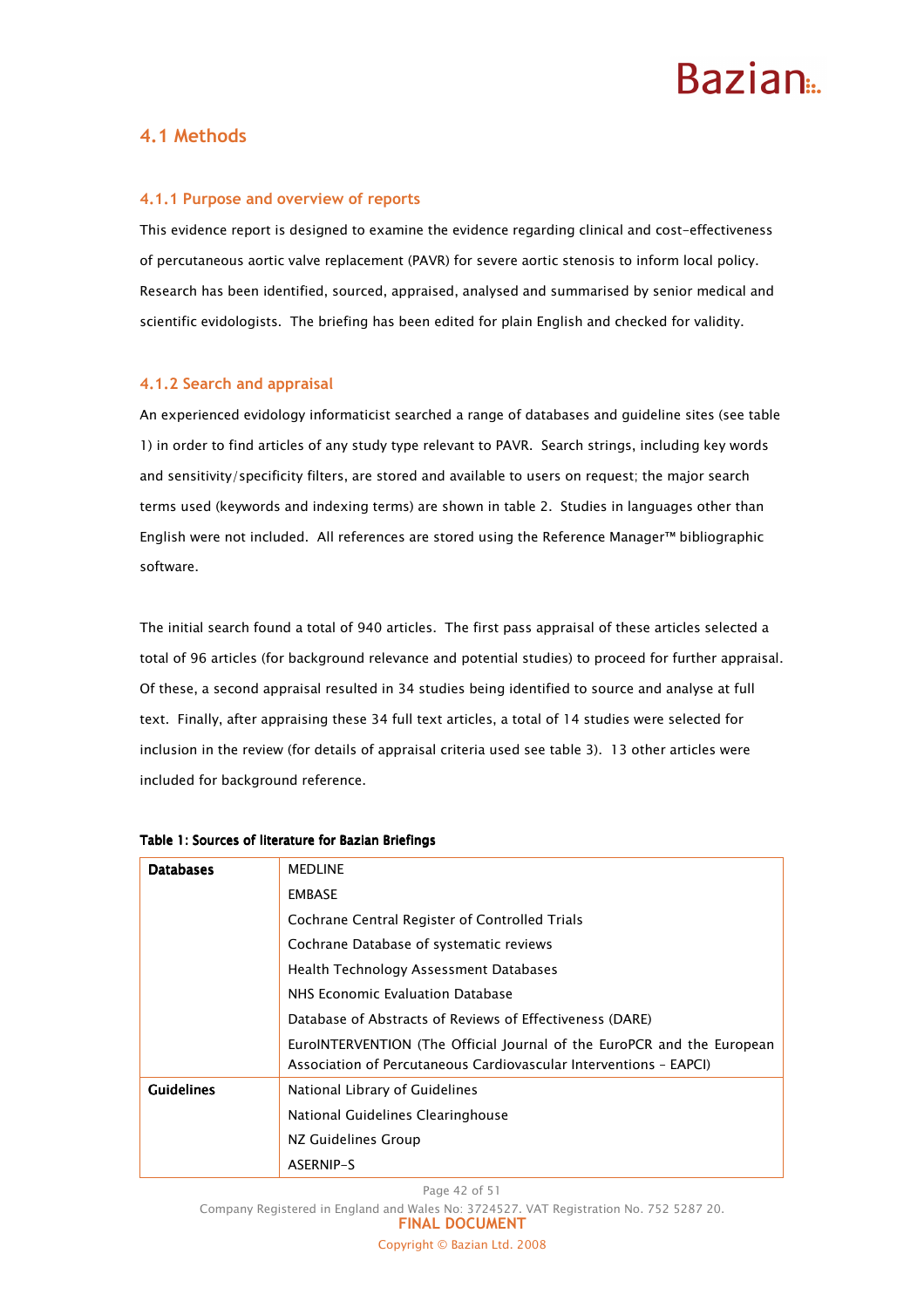### 4.1 Methods

#### 4.1.1 Purpose and overview of reports

This evidence report is designed to examine the evidence regarding clinical and cost-effectiveness of percutaneous aortic valve replacement (PAVR) for severe aortic stenosis to inform local policy. Research has been identified, sourced, appraised, analysed and summarised by senior medical and scientific evidologists. The briefing has been edited for plain English and checked for validity.

#### 4.1.2 Search and appraisal

An experienced evidology informaticist searched a range of databases and guideline sites (see table 1) in order to find articles of any study type relevant to PAVR. Search strings, including key words and sensitivity/specificity filters, are stored and available to users on request; the major search terms used (keywords and indexing terms) are shown in table 2. Studies in languages other than English were not included. All references are stored using the Reference Manager™ bibliographic software.

The initial search found a total of 940 articles. The first pass appraisal of these articles selected a total of 96 articles (for background relevance and potential studies) to proceed for further appraisal. Of these, a second appraisal resulted in 34 studies being identified to source and analyse at full text. Finally, after appraising these 34 full text articles, a total of 14 studies were selected for inclusion in the review (for details of appraisal criteria used see table 3). 13 other articles were included for background reference.

| <b>Databases</b>  | <b>MEDLINE</b>                                                                                                                              |  |  |  |  |
|-------------------|---------------------------------------------------------------------------------------------------------------------------------------------|--|--|--|--|
|                   | <b>EMBASE</b>                                                                                                                               |  |  |  |  |
|                   | Cochrane Central Register of Controlled Trials                                                                                              |  |  |  |  |
|                   | Cochrane Database of systematic reviews                                                                                                     |  |  |  |  |
|                   | Health Technology Assessment Databases                                                                                                      |  |  |  |  |
|                   | NHS Economic Evaluation Database                                                                                                            |  |  |  |  |
|                   | Database of Abstracts of Reviews of Effectiveness (DARE)                                                                                    |  |  |  |  |
|                   | EuroINTERVENTION (The Official Journal of the EuroPCR and the European<br>Association of Percutaneous Cardiovascular Interventions - EAPCI) |  |  |  |  |
| <b>Guidelines</b> | National Library of Guidelines                                                                                                              |  |  |  |  |
|                   | National Guidelines Clearinghouse                                                                                                           |  |  |  |  |
|                   | NZ Guidelines Group                                                                                                                         |  |  |  |  |
|                   | ASERNIP-S                                                                                                                                   |  |  |  |  |

#### Table 1: Sources of literature for Bazian Briefings

Page 42 of 51

Company Registered in England and Wales No: 3724527. VAT Registration No. 752 5287 20.

FINAL DOCUMENT

Copyright © Bazian Ltd. 2008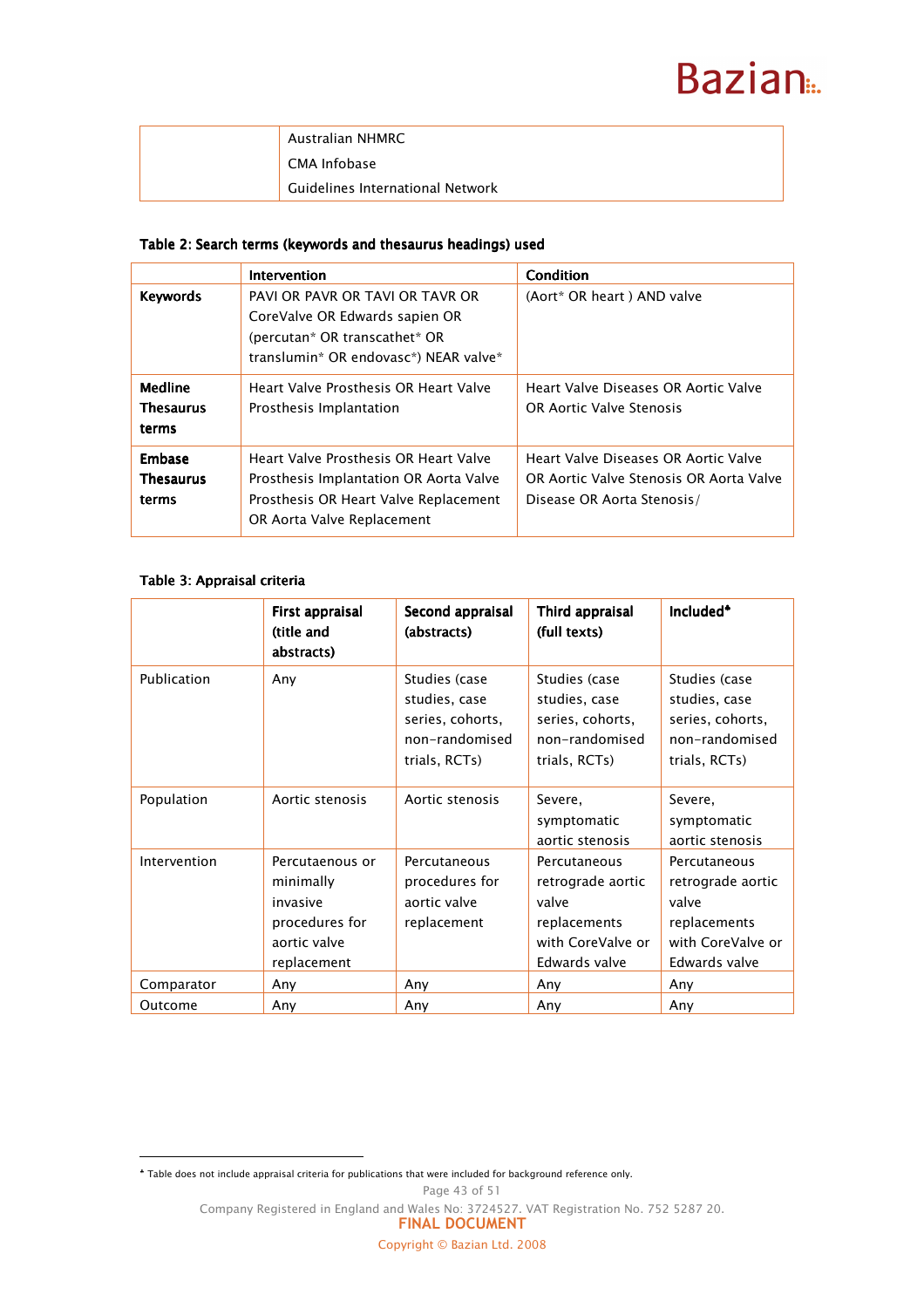| Australian NHMRC                        |
|-----------------------------------------|
| CMA Infobase                            |
| <b>Guidelines International Network</b> |

#### Table 2: Search terms (keywords and thesaurus headings) used

|                                             | Intervention                                                                                                                                           | Condition                                                                                                     |
|---------------------------------------------|--------------------------------------------------------------------------------------------------------------------------------------------------------|---------------------------------------------------------------------------------------------------------------|
| <b>Keywords</b>                             | PAVI OR PAVR OR TAVI OR TAVR OR<br>CoreValve OR Edwards sapien OR<br>(percutan* OR transcathet* OR<br>translumin* OR endovasc*) NEAR valve*            | (Aort* OR heart) AND valve                                                                                    |
| <b>Medline</b><br><b>Thesaurus</b><br>terms | Heart Valve Prosthesis OR Heart Valve<br>Prosthesis Implantation                                                                                       | Heart Valve Diseases OR Aortic Valve<br>OR Aortic Valve Stenosis                                              |
| Embase<br><b>Thesaurus</b><br>terms         | Heart Valve Prosthesis OR Heart Valve<br>Prosthesis Implantation OR Aorta Valve<br>Prosthesis OR Heart Valve Replacement<br>OR Aorta Valve Replacement | Heart Valve Diseases OR Aortic Valve<br>OR Aortic Valve Stenosis OR Aorta Valve<br>Disease OR Aorta Stenosis/ |

#### Table 3: Appraisal criteria

 $\overline{a}$ 

|              | First appraisal<br>(title and<br>abstracts)                                               | Second appraisal<br>(abstracts)                                                       | Third appraisal<br>(full texts)                                                                  | Included <sup>*</sup>                                                                            |
|--------------|-------------------------------------------------------------------------------------------|---------------------------------------------------------------------------------------|--------------------------------------------------------------------------------------------------|--------------------------------------------------------------------------------------------------|
| Publication  | Any                                                                                       | Studies (case<br>studies, case<br>series, cohorts,<br>non-randomised<br>trials, RCTs) | Studies (case<br>studies, case<br>series, cohorts,<br>non-randomised<br>trials, RCTs)            | Studies (case<br>studies, case<br>series, cohorts,<br>non-randomised<br>trials, RCTs)            |
| Population   | Aortic stenosis                                                                           | Aortic stenosis                                                                       | Severe,<br>symptomatic<br>aortic stenosis                                                        | Severe,<br>symptomatic<br>aortic stenosis                                                        |
| Intervention | Percutaenous or<br>minimally<br>invasive<br>procedures for<br>aortic valve<br>replacement | Percutaneous<br>procedures for<br>aortic valve<br>replacement                         | Percutaneous<br>retrograde aortic<br>valve<br>replacements<br>with CoreValve or<br>Edwards valve | Percutaneous<br>retrograde aortic<br>valve<br>replacements<br>with CoreValve or<br>Edwards valve |
| Comparator   | Any                                                                                       | Any                                                                                   | Any                                                                                              | Any                                                                                              |
| Outcome      | Any                                                                                       | Any                                                                                   | Any                                                                                              | Any                                                                                              |

♣ Table does not include appraisal criteria for publications that were included for background reference only.

Page 43 of 51

Company Registered in England and Wales No: 3724527. VAT Registration No. 752 5287 20. FINAL DOCUMENT

Copyright © Bazian Ltd. 2008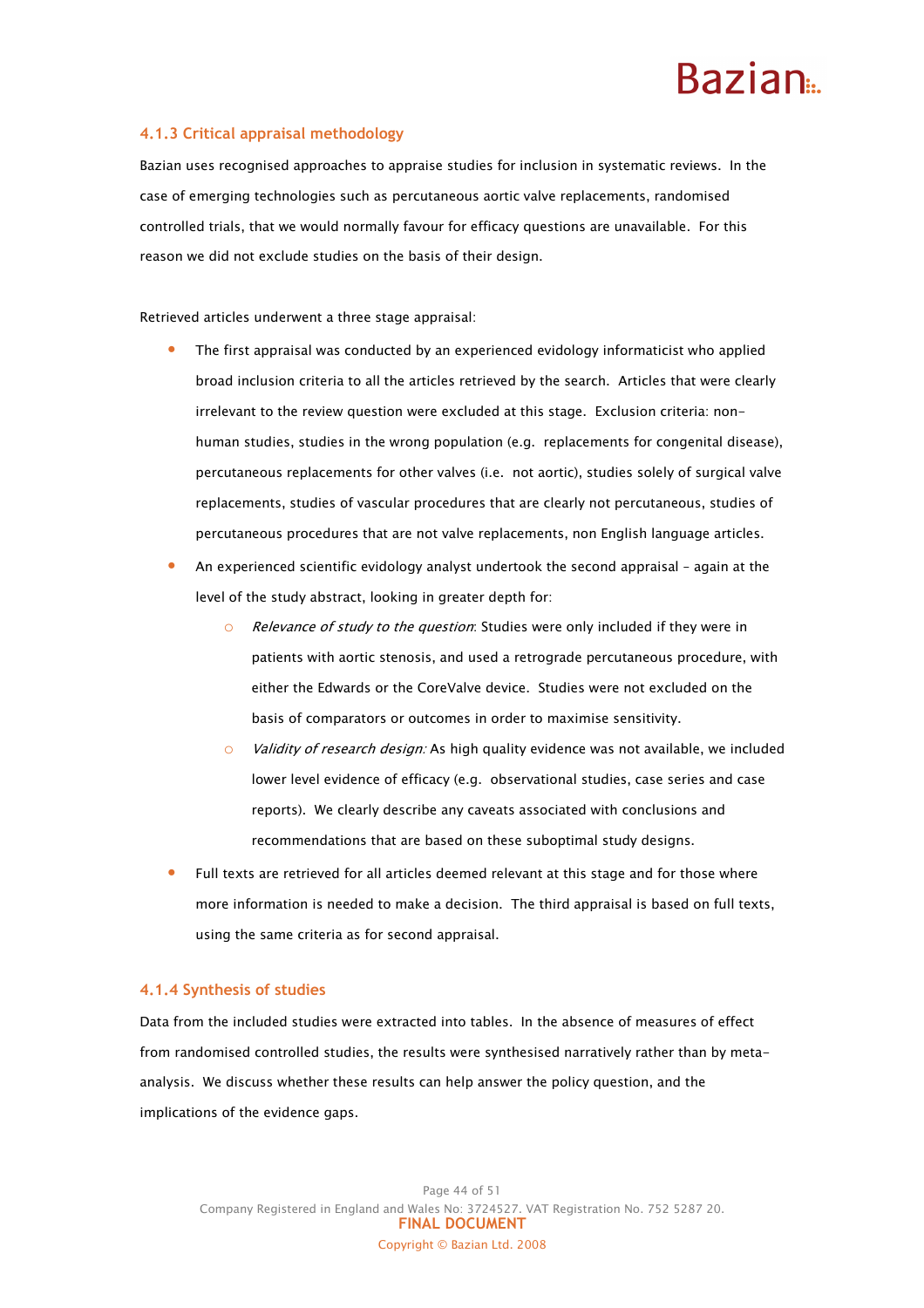#### 4.1.3 Critical appraisal methodology

Bazian uses recognised approaches to appraise studies for inclusion in systematic reviews. In the case of emerging technologies such as percutaneous aortic valve replacements, randomised controlled trials, that we would normally favour for efficacy questions are unavailable. For this reason we did not exclude studies on the basis of their design.

Retrieved articles underwent a three stage appraisal:

- The first appraisal was conducted by an experienced evidology informaticist who applied broad inclusion criteria to all the articles retrieved by the search. Articles that were clearly irrelevant to the review question were excluded at this stage. Exclusion criteria: nonhuman studies, studies in the wrong population (e.g. replacements for congenital disease), percutaneous replacements for other valves (i.e. not aortic), studies solely of surgical valve replacements, studies of vascular procedures that are clearly not percutaneous, studies of percutaneous procedures that are not valve replacements, non English language articles.
- An experienced scientific evidology analyst undertook the second appraisal again at the level of the study abstract, looking in greater depth for:
	- **O** Relevance of study to the question: Studies were only included if they were in patients with aortic stenosis, and used a retrograde percutaneous procedure, with either the Edwards or the CoreValve device. Studies were not excluded on the basis of comparators or outcomes in order to maximise sensitivity.
	- Validity of research design: As high quality evidence was not available, we included lower level evidence of efficacy (e.g. observational studies, case series and case reports). We clearly describe any caveats associated with conclusions and recommendations that are based on these suboptimal study designs.
- Full texts are retrieved for all articles deemed relevant at this stage and for those where more information is needed to make a decision. The third appraisal is based on full texts, using the same criteria as for second appraisal.

#### 4.1.4 Synthesis of studies

Data from the included studies were extracted into tables. In the absence of measures of effect from randomised controlled studies, the results were synthesised narratively rather than by metaanalysis. We discuss whether these results can help answer the policy question, and the implications of the evidence gaps.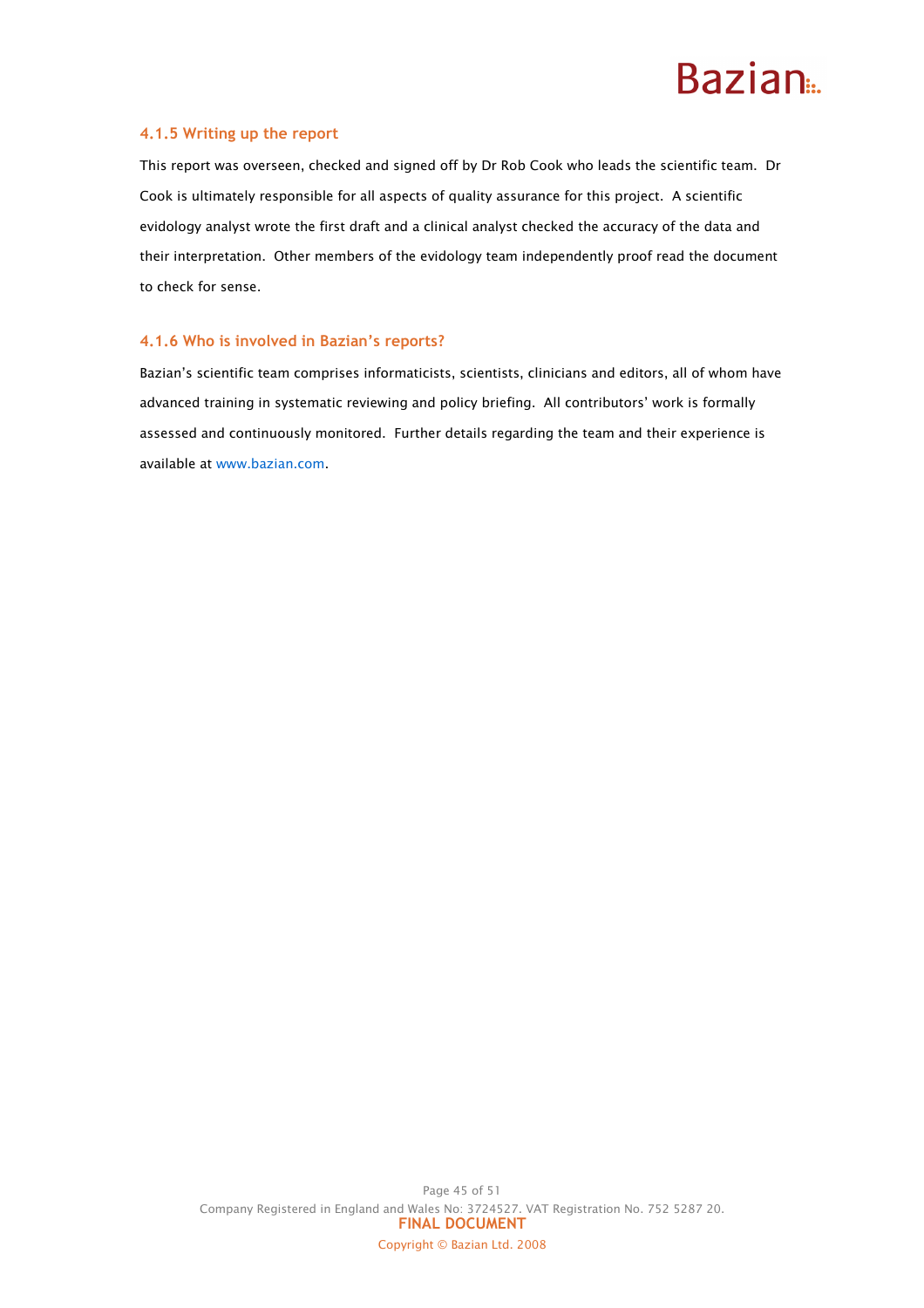#### 4.1.5 Writing up the report

This report was overseen, checked and signed off by Dr Rob Cook who leads the scientific team. Dr Cook is ultimately responsible for all aspects of quality assurance for this project. A scientific evidology analyst wrote the first draft and a clinical analyst checked the accuracy of the data and their interpretation. Other members of the evidology team independently proof read the document to check for sense.

#### 4.1.6 Who is involved in Bazian's reports?

Bazian's scientific team comprises informaticists, scientists, clinicians and editors, all of whom have advanced training in systematic reviewing and policy briefing. All contributors' work is formally assessed and continuously monitored. Further details regarding the team and their experience is available at www.bazian.com.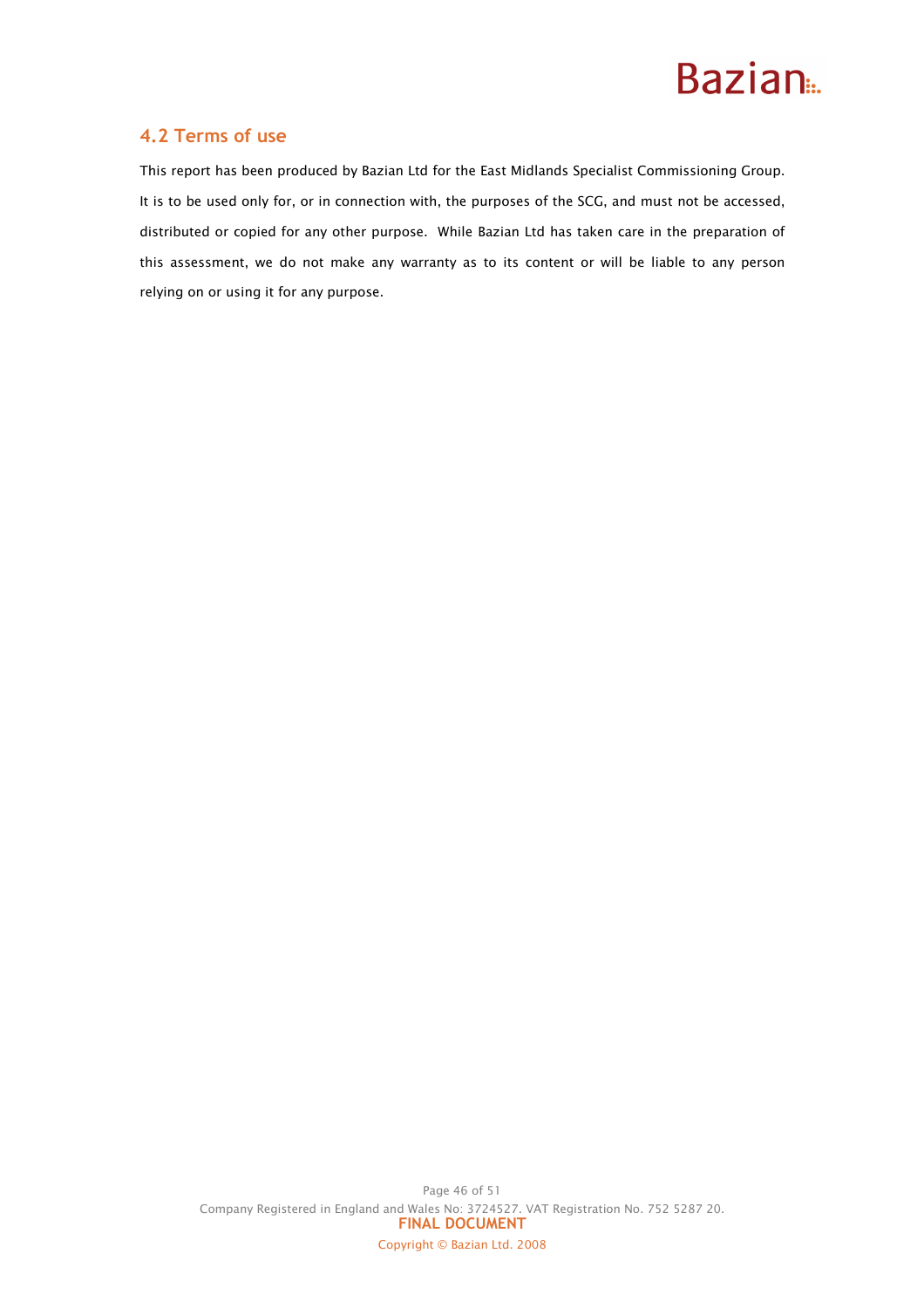

### 4.2 Terms of use

This report has been produced by Bazian Ltd for the East Midlands Specialist Commissioning Group. It is to be used only for, or in connection with, the purposes of the SCG, and must not be accessed, distributed or copied for any other purpose. While Bazian Ltd has taken care in the preparation of this assessment, we do not make any warranty as to its content or will be liable to any person relying on or using it for any purpose.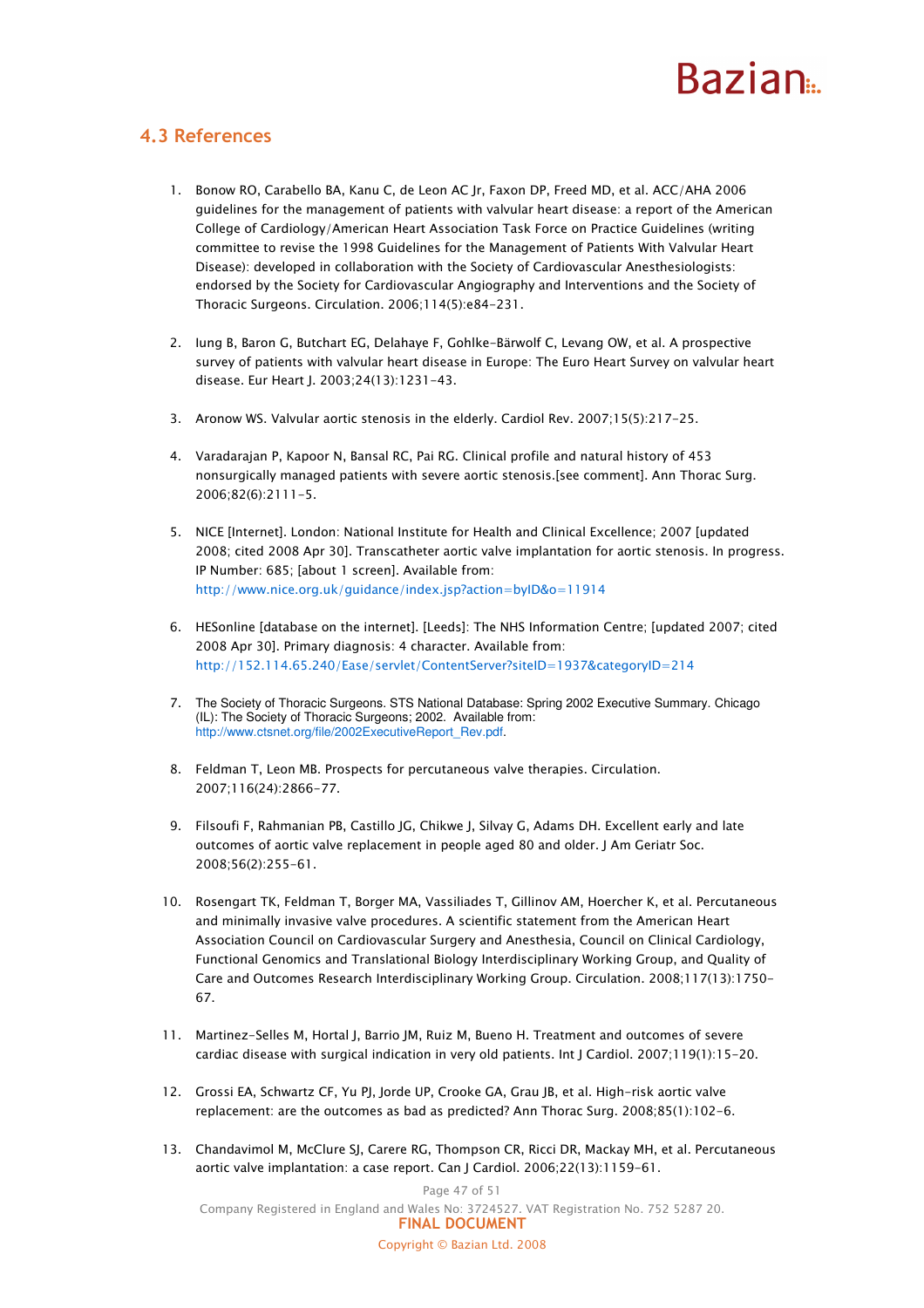## **Razian**

### 4.3 References

- 1. Bonow RO, Carabello BA, Kanu C, de Leon AC Jr, Faxon DP, Freed MD, et al. ACC/AHA 2006 guidelines for the management of patients with valvular heart disease: a report of the American College of Cardiology/American Heart Association Task Force on Practice Guidelines (writing committee to revise the 1998 Guidelines for the Management of Patients With Valvular Heart Disease): developed in collaboration with the Society of Cardiovascular Anesthesiologists: endorsed by the Society for Cardiovascular Angiography and Interventions and the Society of Thoracic Surgeons. Circulation. 2006;114(5):e84-231.
- 2. Iung B, Baron G, Butchart EG, Delahaye F, Gohlke-Bärwolf C, Levang OW, et al. A prospective survey of patients with valvular heart disease in Europe: The Euro Heart Survey on valvular heart disease. Eur Heart J. 2003;24(13):1231-43.
- 3. Aronow WS. Valvular aortic stenosis in the elderly. Cardiol Rev. 2007;15(5):217-25.
- 4. Varadarajan P, Kapoor N, Bansal RC, Pai RG. Clinical profile and natural history of 453 nonsurgically managed patients with severe aortic stenosis.[see comment]. Ann Thorac Surg. 2006;82(6):2111-5.
- 5. NICE [Internet]. London: National Institute for Health and Clinical Excellence; 2007 [updated 2008; cited 2008 Apr 30]. Transcatheter aortic valve implantation for aortic stenosis. In progress. IP Number: 685; [about 1 screen]. Available from: http://www.nice.org.uk/guidance/index.jsp?action=byID&o=11914
- 6. HESonline [database on the internet]. [Leeds]: The NHS Information Centre; [updated 2007; cited 2008 Apr 30]. Primary diagnosis: 4 character. Available from: http://152.114.65.240/Ease/servlet/ContentServer?siteID=1937&categoryID=214
- 7. The Society of Thoracic Surgeons. STS National Database: Spring 2002 Executive Summary. Chicago (IL): The Society of Thoracic Surgeons; 2002. Available from: http://www.ctsnet.org/file/2002ExecutiveReport\_Rev.pdf.
- 8. Feldman T, Leon MB. Prospects for percutaneous valve therapies. Circulation. 2007;116(24):2866-77.
- 9. Filsoufi F, Rahmanian PB, Castillo JG, Chikwe J, Silvay G, Adams DH. Excellent early and late outcomes of aortic valve replacement in people aged 80 and older. J Am Geriatr Soc. 2008;56(2):255-61.
- 10. Rosengart TK, Feldman T, Borger MA, Vassiliades T, Gillinov AM, Hoercher K, et al. Percutaneous and minimally invasive valve procedures. A scientific statement from the American Heart Association Council on Cardiovascular Surgery and Anesthesia, Council on Clinical Cardiology, Functional Genomics and Translational Biology Interdisciplinary Working Group, and Quality of Care and Outcomes Research Interdisciplinary Working Group. Circulation. 2008;117(13):1750- 67.
- 11. Martinez-Selles M, Hortal J, Barrio JM, Ruiz M, Bueno H. Treatment and outcomes of severe cardiac disease with surgical indication in very old patients. Int J Cardiol. 2007;119(1):15-20.
- 12. Grossi EA, Schwartz CF, Yu PJ, Jorde UP, Crooke GA, Grau JB, et al. High-risk aortic valve replacement: are the outcomes as bad as predicted? Ann Thorac Surg. 2008;85(1):102-6.
- 13. Chandavimol M, McClure SJ, Carere RG, Thompson CR, Ricci DR, Mackay MH, et al. Percutaneous aortic valve implantation: a case report. Can J Cardiol. 2006;22(13):1159-61.

Page 47 of 51 Company Registered in England and Wales No: 3724527. VAT Registration No. 752 5287 20. FINAL DOCUMENT Copyright © Bazian Ltd. 2008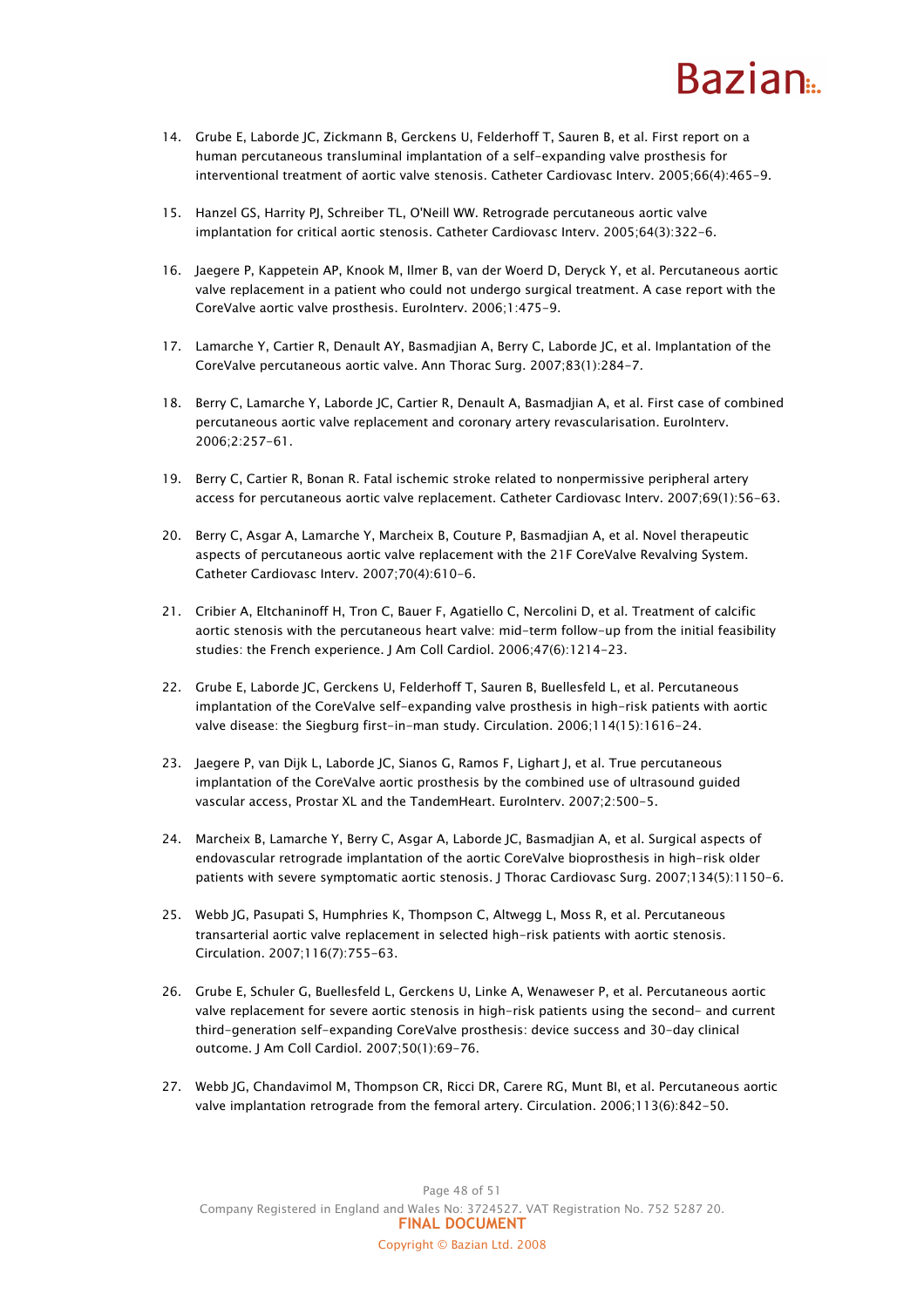## **Razian**

- 14. Grube E, Laborde JC, Zickmann B, Gerckens U, Felderhoff T, Sauren B, et al. First report on a human percutaneous transluminal implantation of a self-expanding valve prosthesis for interventional treatment of aortic valve stenosis. Catheter Cardiovasc Interv. 2005;66(4):465-9.
- 15. Hanzel GS, Harrity PJ, Schreiber TL, O'Neill WW. Retrograde percutaneous aortic valve implantation for critical aortic stenosis. Catheter Cardiovasc Interv. 2005;64(3):322-6.
- 16. Jaegere P, Kappetein AP, Knook M, Ilmer B, van der Woerd D, Deryck Y, et al. Percutaneous aortic valve replacement in a patient who could not undergo surgical treatment. A case report with the CoreValve aortic valve prosthesis. EuroInterv. 2006;1:475-9.
- 17. Lamarche Y, Cartier R, Denault AY, Basmadjian A, Berry C, Laborde JC, et al. Implantation of the CoreValve percutaneous aortic valve. Ann Thorac Surg. 2007;83(1):284-7.
- 18. Berry C, Lamarche Y, Laborde JC, Cartier R, Denault A, Basmadjian A, et al. First case of combined percutaneous aortic valve replacement and coronary artery revascularisation. EuroInterv. 2006;2:257-61.
- 19. Berry C, Cartier R, Bonan R. Fatal ischemic stroke related to nonpermissive peripheral artery access for percutaneous aortic valve replacement. Catheter Cardiovasc Interv. 2007;69(1):56-63.
- 20. Berry C, Asgar A, Lamarche Y, Marcheix B, Couture P, Basmadjian A, et al. Novel therapeutic aspects of percutaneous aortic valve replacement with the 21F CoreValve Revalving System. Catheter Cardiovasc Interv. 2007;70(4):610-6.
- 21. Cribier A, Eltchaninoff H, Tron C, Bauer F, Agatiello C, Nercolini D, et al. Treatment of calcific aortic stenosis with the percutaneous heart valve: mid-term follow-up from the initial feasibility studies: the French experience. J Am Coll Cardiol. 2006;47(6):1214-23.
- 22. Grube E, Laborde JC, Gerckens U, Felderhoff T, Sauren B, Buellesfeld L, et al. Percutaneous implantation of the CoreValve self-expanding valve prosthesis in high-risk patients with aortic valve disease: the Siegburg first-in-man study. Circulation. 2006;114(15):1616-24.
- 23. Jaegere P, van Dijk L, Laborde JC, Sianos G, Ramos F, Lighart J, et al. True percutaneous implantation of the CoreValve aortic prosthesis by the combined use of ultrasound guided vascular access, Prostar XL and the TandemHeart. EuroInterv. 2007;2:500-5.
- 24. Marcheix B, Lamarche Y, Berry C, Asgar A, Laborde JC, Basmadjian A, et al. Surgical aspects of endovascular retrograde implantation of the aortic CoreValve bioprosthesis in high-risk older patients with severe symptomatic aortic stenosis. J Thorac Cardiovasc Surg. 2007;134(5):1150-6.
- 25. Webb JG, Pasupati S, Humphries K, Thompson C, Altwegg L, Moss R, et al. Percutaneous transarterial aortic valve replacement in selected high-risk patients with aortic stenosis. Circulation. 2007;116(7):755-63.
- 26. Grube E, Schuler G, Buellesfeld L, Gerckens U, Linke A, Wenaweser P, et al. Percutaneous aortic valve replacement for severe aortic stenosis in high-risk patients using the second- and current third-generation self-expanding CoreValve prosthesis: device success and 30-day clinical outcome. J Am Coll Cardiol. 2007;50(1):69-76.
- 27. Webb JG, Chandavimol M, Thompson CR, Ricci DR, Carere RG, Munt BI, et al. Percutaneous aortic valve implantation retrograde from the femoral artery. Circulation. 2006;113(6):842-50.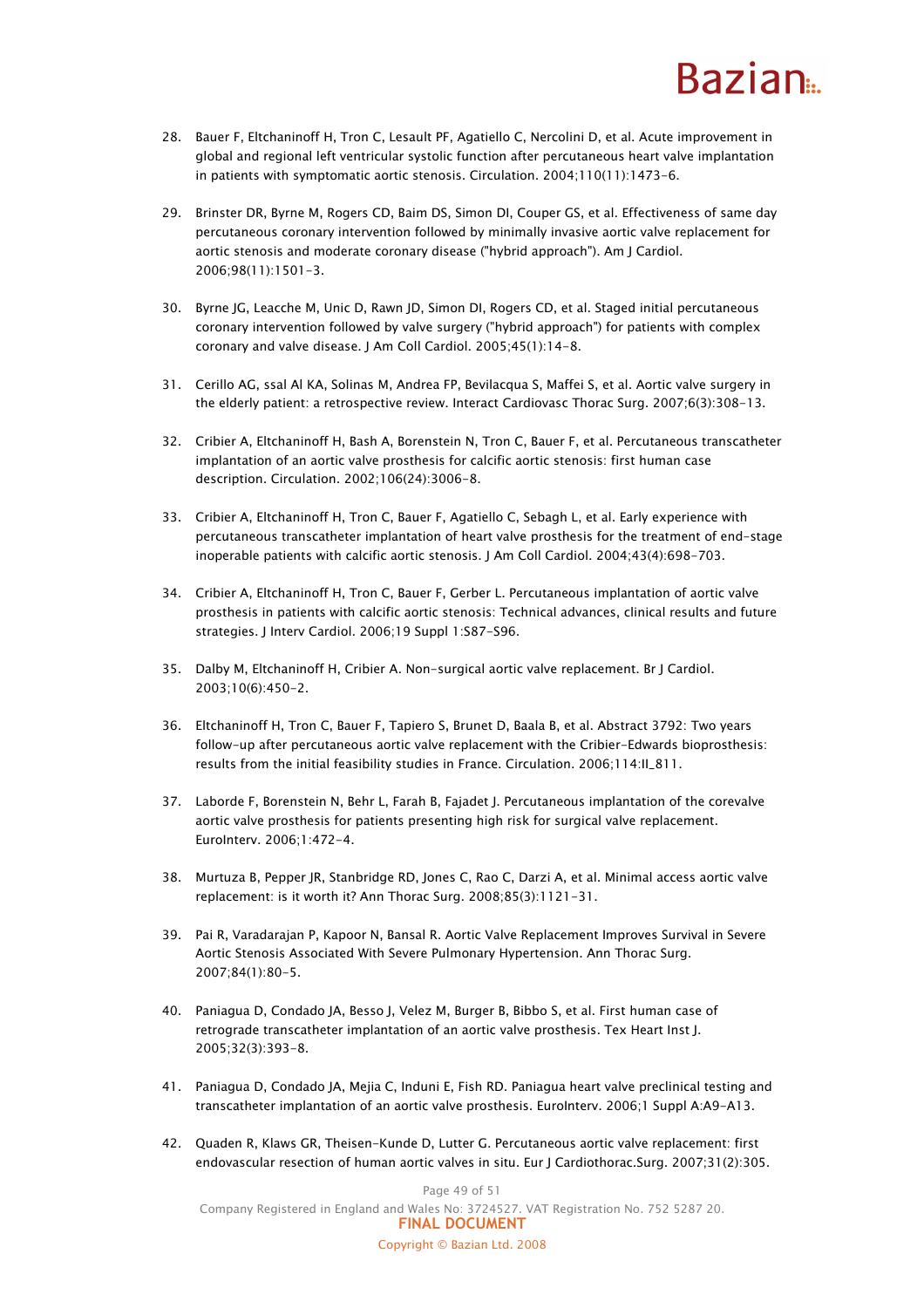## Razian<sub>a</sub>

- 28. Bauer F, Eltchaninoff H, Tron C, Lesault PF, Agatiello C, Nercolini D, et al. Acute improvement in global and regional left ventricular systolic function after percutaneous heart valve implantation in patients with symptomatic aortic stenosis. Circulation. 2004;110(11):1473-6.
- 29. Brinster DR, Byrne M, Rogers CD, Baim DS, Simon DI, Couper GS, et al. Effectiveness of same day percutaneous coronary intervention followed by minimally invasive aortic valve replacement for aortic stenosis and moderate coronary disease ("hybrid approach"). Am J Cardiol. 2006;98(11):1501-3.
- 30. Byrne JG, Leacche M, Unic D, Rawn JD, Simon DI, Rogers CD, et al. Staged initial percutaneous coronary intervention followed by valve surgery ("hybrid approach") for patients with complex coronary and valve disease. J Am Coll Cardiol. 2005;45(1):14-8.
- 31. Cerillo AG, ssal Al KA, Solinas M, Andrea FP, Bevilacqua S, Maffei S, et al. Aortic valve surgery in the elderly patient: a retrospective review. Interact Cardiovasc Thorac Surg. 2007;6(3):308-13.
- 32. Cribier A, Eltchaninoff H, Bash A, Borenstein N, Tron C, Bauer F, et al. Percutaneous transcatheter implantation of an aortic valve prosthesis for calcific aortic stenosis: first human case description. Circulation. 2002;106(24):3006-8.
- 33. Cribier A, Eltchaninoff H, Tron C, Bauer F, Agatiello C, Sebagh L, et al. Early experience with percutaneous transcatheter implantation of heart valve prosthesis for the treatment of end-stage inoperable patients with calcific aortic stenosis. J Am Coll Cardiol. 2004;43(4):698-703.
- 34. Cribier A, Eltchaninoff H, Tron C, Bauer F, Gerber L. Percutaneous implantation of aortic valve prosthesis in patients with calcific aortic stenosis: Technical advances, clinical results and future strategies. J Interv Cardiol. 2006;19 Suppl 1:S87-S96.
- 35. Dalby M, Eltchaninoff H, Cribier A. Non-surgical aortic valve replacement. Br J Cardiol. 2003;10(6):450-2.
- 36. Eltchaninoff H, Tron C, Bauer F, Tapiero S, Brunet D, Baala B, et al. Abstract 3792: Two years follow-up after percutaneous aortic valve replacement with the Cribier-Edwards bioprosthesis: results from the initial feasibility studies in France. Circulation. 2006;114:II\_811.
- 37. Laborde F, Borenstein N, Behr L, Farah B, Fajadet J. Percutaneous implantation of the corevalve aortic valve prosthesis for patients presenting high risk for surgical valve replacement. EuroInterv. 2006;1:472-4.
- 38. Murtuza B, Pepper JR, Stanbridge RD, Jones C, Rao C, Darzi A, et al. Minimal access aortic valve replacement: is it worth it? Ann Thorac Surg. 2008;85(3):1121-31.
- 39. Pai R, Varadarajan P, Kapoor N, Bansal R. Aortic Valve Replacement Improves Survival in Severe Aortic Stenosis Associated With Severe Pulmonary Hypertension. Ann Thorac Surg. 2007;84(1):80-5.
- 40. Paniagua D, Condado JA, Besso J, Velez M, Burger B, Bibbo S, et al. First human case of retrograde transcatheter implantation of an aortic valve prosthesis. Tex Heart Inst J. 2005;32(3):393-8.
- 41. Paniagua D, Condado JA, Mejia C, Induni E, Fish RD. Paniagua heart valve preclinical testing and transcatheter implantation of an aortic valve prosthesis. EuroInterv. 2006;1 Suppl A:A9-A13.
- 42. Quaden R, Klaws GR, Theisen-Kunde D, Lutter G. Percutaneous aortic valve replacement: first endovascular resection of human aortic valves in situ. Eur J Cardiothorac.Surg. 2007;31(2):305.

Page 49 of 51 Company Registered in England and Wales No: 3724527. VAT Registration No. 752 5287 20. FINAL DOCUMENT Copyright © Bazian Ltd. 2008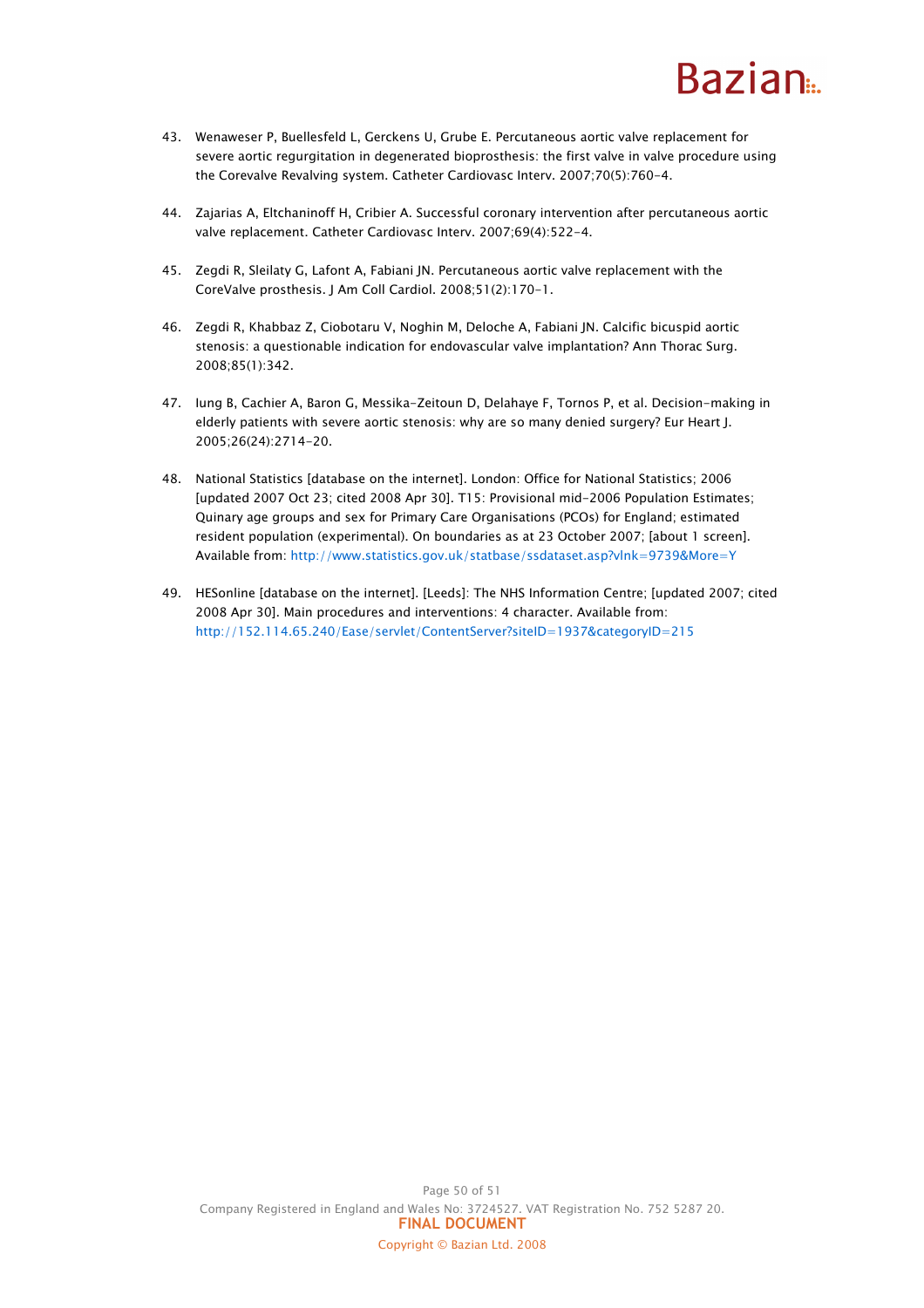## **Razian**

- 43. Wenaweser P, Buellesfeld L, Gerckens U, Grube E. Percutaneous aortic valve replacement for severe aortic regurgitation in degenerated bioprosthesis: the first valve in valve procedure using the Corevalve Revalving system. Catheter Cardiovasc Interv. 2007;70(5):760-4.
- 44. Zajarias A, Eltchaninoff H, Cribier A. Successful coronary intervention after percutaneous aortic valve replacement. Catheter Cardiovasc Interv. 2007;69(4):522-4.
- 45. Zegdi R, Sleilaty G, Lafont A, Fabiani JN. Percutaneous aortic valve replacement with the CoreValve prosthesis. J Am Coll Cardiol. 2008;51(2):170-1.
- 46. Zegdi R, Khabbaz Z, Ciobotaru V, Noghin M, Deloche A, Fabiani JN. Calcific bicuspid aortic stenosis: a questionable indication for endovascular valve implantation? Ann Thorac Surg. 2008;85(1):342.
- 47. Iung B, Cachier A, Baron G, Messika-Zeitoun D, Delahaye F, Tornos P, et al. Decision-making in elderly patients with severe aortic stenosis: why are so many denied surgery? Eur Heart J. 2005;26(24):2714-20.
- 48. National Statistics [database on the internet]. London: Office for National Statistics; 2006 [updated 2007 Oct 23; cited 2008 Apr 30]. T15: Provisional mid-2006 Population Estimates; Quinary age groups and sex for Primary Care Organisations (PCOs) for England; estimated resident population (experimental). On boundaries as at 23 October 2007; [about 1 screen]. Available from: http://www.statistics.gov.uk/statbase/ssdataset.asp?vlnk=9739&More=Y
- 49. HESonline [database on the internet]. [Leeds]: The NHS Information Centre; [updated 2007; cited 2008 Apr 30]. Main procedures and interventions: 4 character. Available from: http://152.114.65.240/Ease/servlet/ContentServer?siteID=1937&categoryID=215